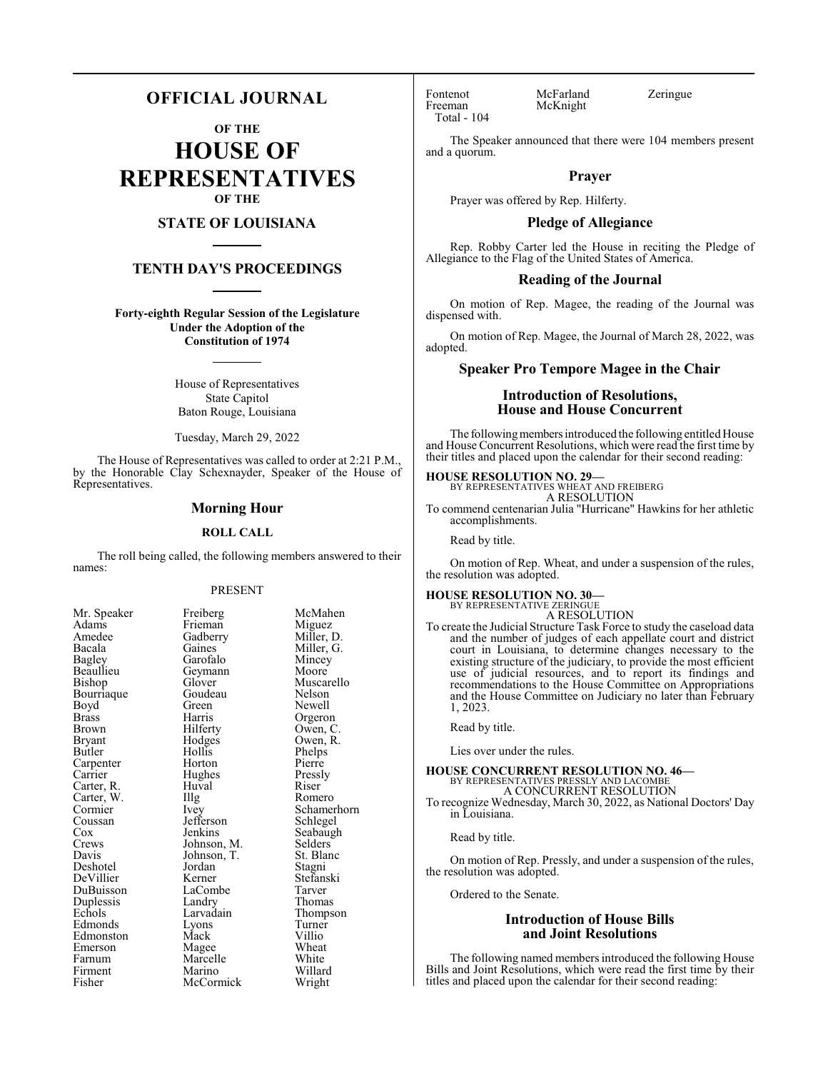#### **OFFICIAL JOURNAL**

**OF THE**

**HOUSE OF REPRESENTATIVES OF THE**

#### **STATE OF LOUISIANA**

#### **TENTH DAY'S PROCEEDINGS**

**Forty-eighth Regular Session of the Legislature Under the Adoption of the Constitution of 1974**

> House of Representatives State Capitol Baton Rouge, Louisiana

> Tuesday, March 29, 2022

The House of Representatives was called to order at 2:21 P.M., by the Honorable Clay Schexnayder, Speaker of the House of Representatives.

#### **Morning Hour**

#### **ROLL CALL**

The roll being called, the following members answered to their names:

#### PRESENT

Frieman<br>Gadberry

Geymann<br>Glover

Goudeau<br>Green

Jefferson<br>Jenkins

Jordan<br>Kerner

Landry<br>Larvadain

Marcelle<br>Marino

McCormick

| Mr. Speaker              |
|--------------------------|
| Adams                    |
| Amedee                   |
| Bacala                   |
| Bagley                   |
| Beaullieu                |
| Bishop                   |
| Bourriaque               |
| Boyd                     |
| <b>Brass</b>             |
| Brown                    |
| Bryant                   |
| Butler                   |
| Carpenter                |
| Carrier                  |
|                          |
| Carter, R.<br>Carter, W. |
| Cormier                  |
| Coussan                  |
| $\frac{\cos x}{\cos x}$  |
| Crews                    |
| Davis                    |
| Deshotel                 |
| DeVillier                |
| DuBuisson                |
| Duplessis                |
| Echols                   |
| Edmonds                  |
| Edmonston                |
| Emerson                  |
| Farnum                   |
| Firment                  |
| Fisher                   |

Mr. Speaker Freiberg McMahen<br>Adams Frieman Miguez Gadberry Miller, D.<br>Gaines Miller, G. Miller, G.<br>Mincey Garofalo Mincey<br>Geymann Moore Muscarello<br>Nelson Green Newell<br>Harris Orgeror Harris Orgeron<br>Hilferty Owen, C Hilferty Owen, C.<br>Hodges Owen, R. Owen, R.<br>Phelps Hollis Phelps<br>
Horton Pierre Horton Pierre<br>
Hughes Pressly Hughes Pressl<br>Huval Riser Carter, R. Huval Riser Illg Romero<br>Ivey Schamer Schamerhorn<br>Schlegel Seabaugh<br>Selders Johnson, M. Selders<br>Johnson, T. St. Blanc Johnson, T. St. Blanch<br>Jordan Stagni Stefanski<br>Tarver LaCombe Tarver<br>
Landrv Thomas Thompson<br>Turner Lyons Turner<br>
Mack Villio Edmonston Mack Villio Magee Wheat<br>
Marcelle White Willard<br>Wright

Fontenot McFarland Zeringue<br>Freeman McKnight Total - 104

McKnight

The Speaker announced that there were 104 members present and a quorum.

#### **Prayer**

Prayer was offered by Rep. Hilferty.

#### **Pledge of Allegiance**

Rep. Robby Carter led the House in reciting the Pledge of Allegiance to the Flag of the United States of America.

#### **Reading of the Journal**

On motion of Rep. Magee, the reading of the Journal was dispensed with.

On motion of Rep. Magee, the Journal of March 28, 2022, was adopted.

#### **Speaker Pro Tempore Magee in the Chair**

#### **Introduction of Resolutions, House and House Concurrent**

The following members introduced the following entitled House and House Concurrent Resolutions, which were read the first time by their titles and placed upon the calendar for their second reading:

### **HOUSE RESOLUTION NO. 29—** BY REPRESENTATIVES WHEAT AND FREIBERG

A RESOLUTION

To commend centenarian Julia "Hurricane" Hawkins for her athletic accomplishments.

Read by title.

On motion of Rep. Wheat, and under a suspension of the rules, the resolution was adopted.

#### **HOUSE RESOLUTION NO. 30—**

BY REPRESENTATIVE ZERINGUE A RESOLUTION

To create the Judicial Structure Task Force to study the caseload data and the number of judges of each appellate court and district court in Louisiana, to determine changes necessary to the existing structure of the judiciary, to provide the most efficient use of judicial resources, and to report its findings and recommendations to the House Committee on Appropriations and the House Committee on Judiciary no later than February 1, 2023.

Read by title.

Lies over under the rules.

#### **HOUSE CONCURRENT RESOLUTION NO. 46—** BY REPRESENTATIVES PRESSLY AND LACOMBE

A CONCURRENT RESOLUTION

To recognize Wednesday, March 30, 2022, as National Doctors' Day in Louisiana.

Read by title.

On motion of Rep. Pressly, and under a suspension of the rules, the resolution was adopted.

Ordered to the Senate.

#### **Introduction of House Bills and Joint Resolutions**

The following named members introduced the following House Bills and Joint Resolutions, which were read the first time by their titles and placed upon the calendar for their second reading: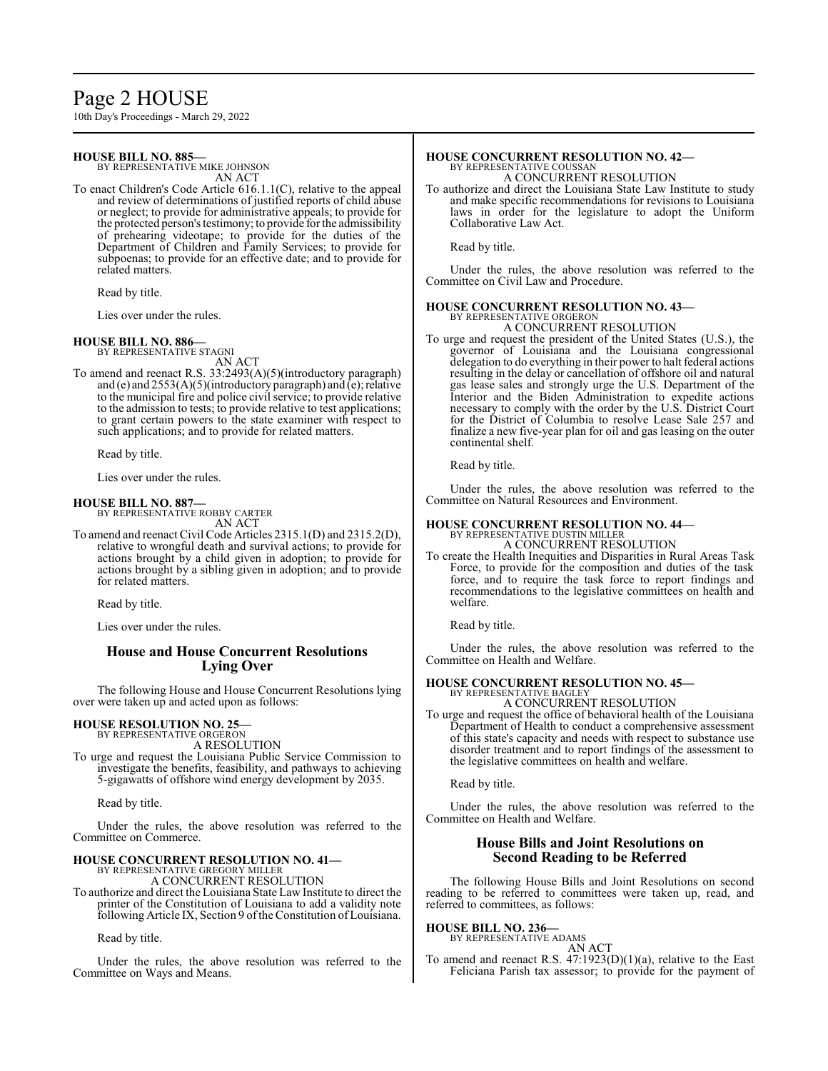### Page 2 HOUSE

10th Day's Proceedings - March 29, 2022

#### **HOUSE BILL NO. 885—**

BY REPRESENTATIVE MIKE JOHNSON AN ACT

To enact Children's Code Article 616.1.1(C), relative to the appeal and review of determinations of justified reports of child abuse or neglect; to provide for administrative appeals; to provide for the protected person's testimony; to provide for the admissibility of prehearing videotape; to provide for the duties of the Department of Children and Family Services; to provide for subpoenas; to provide for an effective date; and to provide for related matters.

Read by title.

Lies over under the rules.

#### **HOUSE BILL NO. 886—** BY REPRESENTATIVE STAGNI

AN ACT

To amend and reenact R.S. 33:2493(A)(5)(introductory paragraph) and (e) and  $2553(A)(5)$ (introductory paragraph) and (e); relative to the municipal fire and police civil service; to provide relative to the admission to tests; to provide relative to test applications; to grant certain powers to the state examiner with respect to such applications; and to provide for related matters.

Read by title.

Lies over under the rules.

#### **HOUSE BILL NO. 887—**

BY REPRESENTATIVE ROBBY CARTER AN ACT

To amend and reenact Civil Code Articles 2315.1(D) and 2315.2(D), relative to wrongful death and survival actions; to provide for actions brought by a child given in adoption; to provide for actions brought by a sibling given in adoption; and to provide for related matters.

Read by title.

Lies over under the rules.

#### **House and House Concurrent Resolutions Lying Over**

The following House and House Concurrent Resolutions lying over were taken up and acted upon as follows:

#### **HOUSE RESOLUTION NO. 25—** BY REPRESENTATIVE ORGERON

A RESOLUTION

To urge and request the Louisiana Public Service Commission to investigate the benefits, feasibility, and pathways to achieving 5-gigawatts of offshore wind energy development by 2035.

Read by title.

Under the rules, the above resolution was referred to the Committee on Commerce.

#### **HOUSE CONCURRENT RESOLUTION NO. 41—** BY REPRESENTATIVE GREGORY MILLER

A CONCURRENT RESOLUTION

To authorize and direct the Louisiana State Law Institute to direct the printer of the Constitution of Louisiana to add a validity note following Article IX, Section 9 of the Constitution of Louisiana.

Read by title.

Under the rules, the above resolution was referred to the Committee on Ways and Means.

#### **HOUSE CONCURRENT RESOLUTION NO. 42—** BY REPRESENTATIVE COUSSAN

A CONCURRENT RESOLUTION

To authorize and direct the Louisiana State Law Institute to study and make specific recommendations for revisions to Louisiana laws in order for the legislature to adopt the Uniform Collaborative Law Act.

Read by title.

Under the rules, the above resolution was referred to the Committee on Civil Law and Procedure.

#### **HOUSE CONCURRENT RESOLUTION NO. 43—** BY REPRESENTATIVE ORGERON

A CONCURRENT RESOLUTION To urge and request the president of the United States (U.S.), the governor of Louisiana and the Louisiana congressional delegation to do everything in their power to halt federal actions resulting in the delay or cancellation of offshore oil and natural gas lease sales and strongly urge the U.S. Department of the Interior and the Biden Administration to expedite actions necessary to comply with the order by the U.S. District Court for the District of Columbia to resolve Lease Sale 257 and finalize a new five-year plan for oil and gas leasing on the outer continental shelf.

Read by title.

Under the rules, the above resolution was referred to the Committee on Natural Resources and Environment.

#### **HOUSE CONCURRENT RESOLUTION NO. 44—**

BY REPRESENTATIVE DUSTIN MILLER A CONCURRENT RESOLUTION

To create the Health Inequities and Disparities in Rural Areas Task Force, to provide for the composition and duties of the task force, and to require the task force to report findings and recommendations to the legislative committees on health and welfare.

Read by title.

Under the rules, the above resolution was referred to the Committee on Health and Welfare.

### **HOUSE CONCURRENT RESOLUTION NO. 45—**

BY REPRESENTATIVE BAGLEY A CONCURRENT RESOLUTION

To urge and request the office of behavioral health of the Louisiana Department of Health to conduct a comprehensive assessment of this state's capacity and needs with respect to substance use disorder treatment and to report findings of the assessment to the legislative committees on health and welfare.

Read by title.

Under the rules, the above resolution was referred to the Committee on Health and Welfare.

#### **House Bills and Joint Resolutions on Second Reading to be Referred**

The following House Bills and Joint Resolutions on second reading to be referred to committees were taken up, read, and referred to committees, as follows:

#### **HOUSE BILL NO. 236—** BY REPRESENTATIVE ADAMS

AN ACT

To amend and reenact R.S. 47:1923(D)(1)(a), relative to the East Feliciana Parish tax assessor; to provide for the payment of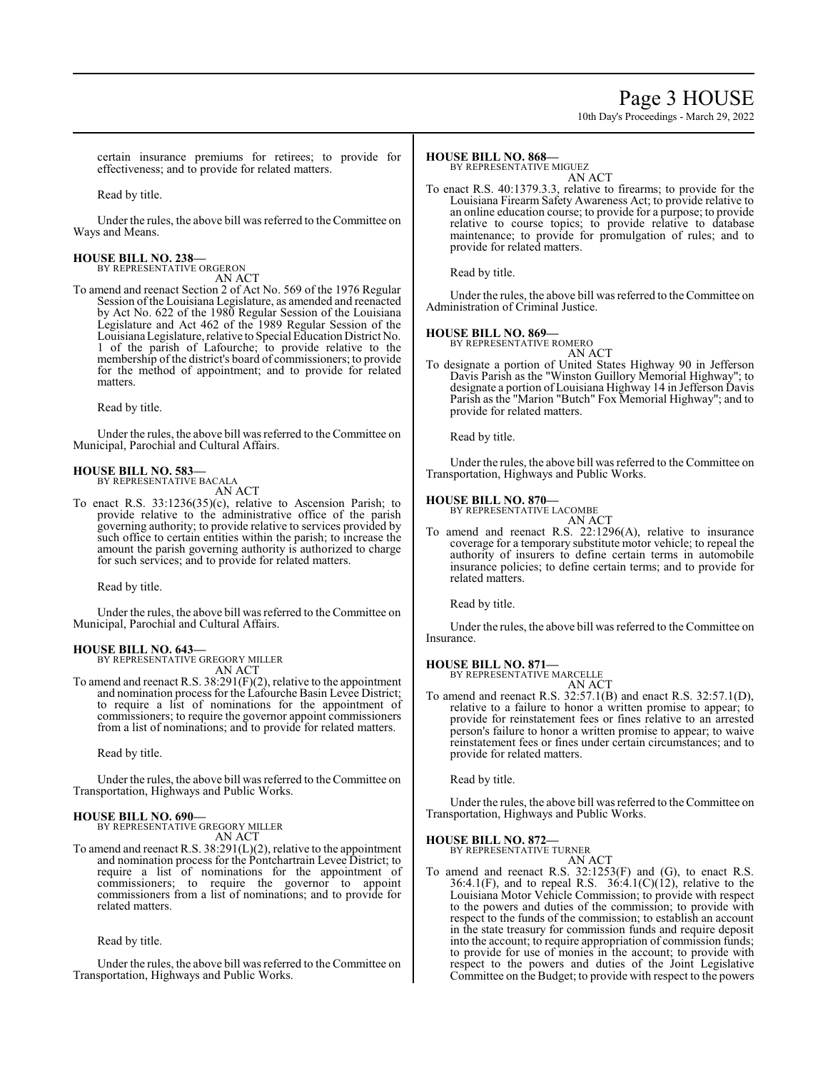### Page 3 HOUSE

10th Day's Proceedings - March 29, 2022

certain insurance premiums for retirees; to provide for effectiveness; and to provide for related matters.

Read by title.

Under the rules, the above bill was referred to the Committee on Ways and Means.

**HOUSE BILL NO. 238—** BY REPRESENTATIVE ORGERON

AN ACT

To amend and reenact Section 2 of Act No. 569 of the 1976 Regular Session of the Louisiana Legislature, as amended and reenacted by Act No. 622 of the 1980 Regular Session of the Louisiana Legislature and Act 462 of the 1989 Regular Session of the LouisianaLegislature, relative to Special Education District No. 1 of the parish of Lafourche; to provide relative to the membership of the district's board of commissioners; to provide for the method of appointment; and to provide for related matters.

Read by title.

Under the rules, the above bill was referred to the Committee on Municipal, Parochial and Cultural Affairs.

#### **HOUSE BILL NO. 583—**

BY REPRESENTATIVE BACALA

AN ACT

To enact R.S. 33:1236(35)(c), relative to Ascension Parish; to provide relative to the administrative office of the parish governing authority; to provide relative to services provided by such office to certain entities within the parish; to increase the amount the parish governing authority is authorized to charge for such services; and to provide for related matters.

Read by title.

Under the rules, the above bill was referred to the Committee on Municipal, Parochial and Cultural Affairs.

#### **HOUSE BILL NO. 643—**

BY REPRESENTATIVE GREGORY MILLER AN ACT

To amend and reenact R.S. 38:291(F)(2), relative to the appointment and nomination process for the Lafourche Basin Levee District; to require a list of nominations for the appointment of commissioners; to require the governor appoint commissioners from a list of nominations; and to provide for related matters.

Read by title.

Under the rules, the above bill was referred to the Committee on Transportation, Highways and Public Works.

#### **HOUSE BILL NO. 690—** BY REPRESENTATIVE GREGORY MILLER

AN ACT

To amend and reenact R.S. 38:291(L)(2), relative to the appointment and nomination process for the Pontchartrain Levee District; to require a list of nominations for the appointment of commissioners; to require the governor to appoint commissioners from a list of nominations; and to provide for related matters.

Read by title.

Under the rules, the above bill was referred to the Committee on Transportation, Highways and Public Works.

#### **HOUSE BILL NO. 868—**

BY REPRESENTATIVE MIGUEZ

AN ACT To enact R.S. 40:1379.3.3, relative to firearms; to provide for the Louisiana Firearm Safety Awareness Act; to provide relative to an online education course; to provide for a purpose; to provide relative to course topics; to provide relative to database maintenance; to provide for promulgation of rules; and to provide for related matters.

Read by title.

Under the rules, the above bill was referred to the Committee on Administration of Criminal Justice.

#### **HOUSE BILL NO. 869—**

BY REPRESENTATIVE ROMERO AN ACT

To designate a portion of United States Highway 90 in Jefferson Davis Parish as the "Winston Guillory Memorial Highway"; to designate a portion of Louisiana Highway 14 in Jefferson Davis Parish as the "Marion "Butch" Fox Memorial Highway"; and to provide for related matters.

Read by title.

Under the rules, the above bill was referred to the Committee on Transportation, Highways and Public Works.

#### **HOUSE BILL NO. 870—**

BY REPRESENTATIVE LACOMBE AN ACT

To amend and reenact R.S. 22:1296(A), relative to insurance coverage for a temporary substitute motor vehicle; to repeal the authority of insurers to define certain terms in automobile insurance policies; to define certain terms; and to provide for related matters.

Read by title.

Under the rules, the above bill was referred to the Committee on Insurance.

#### **HOUSE BILL NO. 871—** BY REPRESENTATIVE MARCELLE

AN ACT

To amend and reenact R.S. 32:57.1(B) and enact R.S. 32:57.1(D), relative to a failure to honor a written promise to appear; to provide for reinstatement fees or fines relative to an arrested person's failure to honor a written promise to appear; to waive reinstatement fees or fines under certain circumstances; and to provide for related matters.

Read by title.

Under the rules, the above bill was referred to the Committee on Transportation, Highways and Public Works.

#### **HOUSE BILL NO. 872—**

BY REPRESENTATIVE TURNER AN ACT

To amend and reenact R.S. 32:1253(F) and (G), to enact R.S. 36:4.1(F), and to repeal R.S.  $36:4.1(C)(12)$ , relative to the Louisiana Motor Vehicle Commission; to provide with respect to the powers and duties of the commission; to provide with respect to the funds of the commission; to establish an account in the state treasury for commission funds and require deposit into the account; to require appropriation of commission funds; to provide for use of monies in the account; to provide with respect to the powers and duties of the Joint Legislative Committee on the Budget; to provide with respect to the powers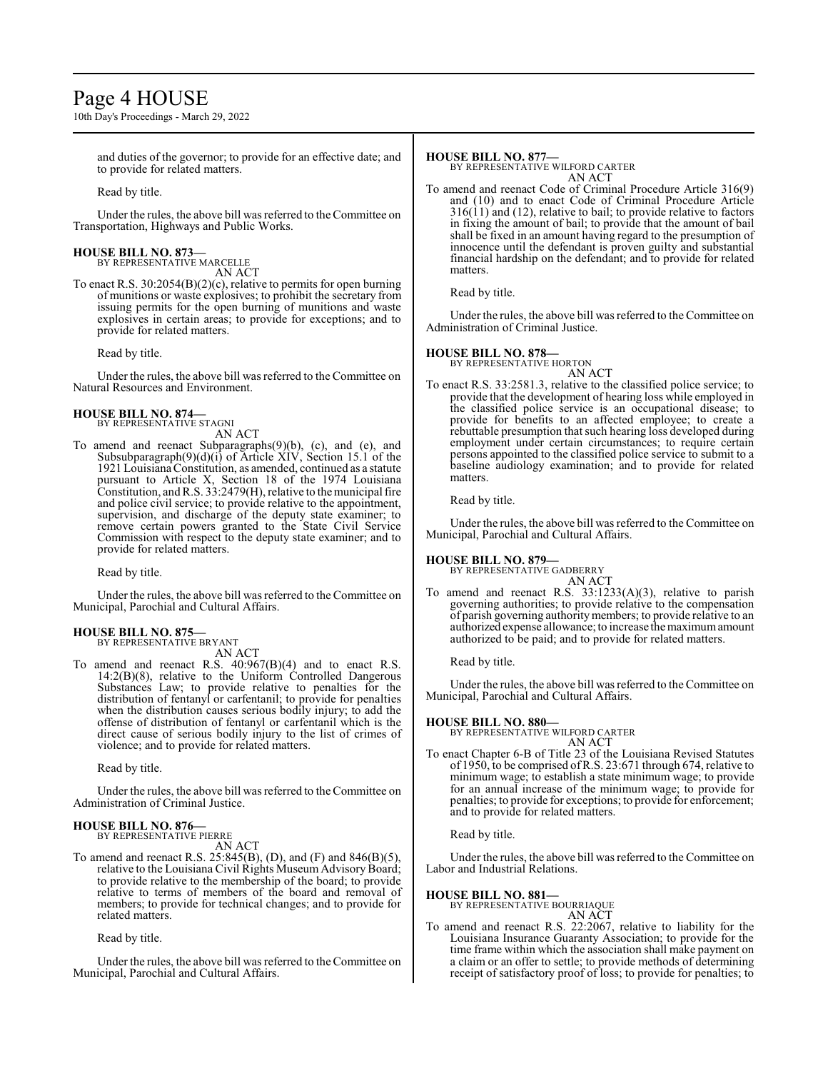### Page 4 HOUSE

10th Day's Proceedings - March 29, 2022

and duties of the governor; to provide for an effective date; and to provide for related matters.

Read by title.

Under the rules, the above bill was referred to the Committee on Transportation, Highways and Public Works.

#### **HOUSE BILL NO. 873—**

BY REPRESENTATIVE MARCELLE AN ACT

To enact R.S. 30:2054(B)(2)(c), relative to permits for open burning of munitions or waste explosives; to prohibit the secretary from issuing permits for the open burning of munitions and waste explosives in certain areas; to provide for exceptions; and to provide for related matters.

Read by title.

Under the rules, the above bill was referred to the Committee on Natural Resources and Environment.

#### **HOUSE BILL NO. 874—** BY REPRESENTATIVE STAGNI

AN ACT

To amend and reenact Subparagraphs(9)(b), (c), and (e), and Subsubparagraph(9)(d)(i) of Article XIV, Section 15.1 of the 1921 Louisiana Constitution, as amended, continued as a statute pursuant to Article X, Section 18 of the 1974 Louisiana Constitution, andR.S. 33:2479(H), relative to the municipal fire and police civil service; to provide relative to the appointment, supervision, and discharge of the deputy state examiner; to remove certain powers granted to the State Civil Service Commission with respect to the deputy state examiner; and to provide for related matters.

Read by title.

Under the rules, the above bill was referred to theCommittee on Municipal, Parochial and Cultural Affairs.

#### **HOUSE BILL NO. 875—** BY REPRESENTATIVE BRYANT

AN ACT

To amend and reenact R.S. 40:967(B)(4) and to enact R.S. 14:2(B)(8), relative to the Uniform Controlled Dangerous Substances Law; to provide relative to penalties for the distribution of fentanyl or carfentanil; to provide for penalties when the distribution causes serious bodily injury; to add the offense of distribution of fentanyl or carfentanil which is the direct cause of serious bodily injury to the list of crimes of violence; and to provide for related matters.

Read by title.

Under the rules, the above bill was referred to the Committee on Administration of Criminal Justice.

#### **HOUSE BILL NO. 876—**

BY REPRESENTATIVE PIERRE AN ACT

To amend and reenact R.S. 25:845(B), (D), and (F) and 846(B)(5), relative to the Louisiana Civil Rights Museum Advisory Board; to provide relative to the membership of the board; to provide relative to terms of members of the board and removal of members; to provide for technical changes; and to provide for related matters.

Read by title.

Under the rules, the above bill was referred to theCommittee on Municipal, Parochial and Cultural Affairs.

#### **HOUSE BILL NO. 877—**

BY REPRESENTATIVE WILFORD CARTER AN ACT

To amend and reenact Code of Criminal Procedure Article 316(9) and (10) and to enact Code of Criminal Procedure Article 316(11) and (12), relative to bail; to provide relative to factors in fixing the amount of bail; to provide that the amount of bail shall be fixed in an amount having regard to the presumption of innocence until the defendant is proven guilty and substantial financial hardship on the defendant; and to provide for related matters.

#### Read by title.

Under the rules, the above bill was referred to the Committee on Administration of Criminal Justice.

#### **HOUSE BILL NO. 878—**

BY REPRESENTATIVE HORTON AN ACT

To enact R.S. 33:2581.3, relative to the classified police service; to provide that the development of hearing loss while employed in the classified police service is an occupational disease; to provide for benefits to an affected employee; to create a rebuttable presumption that such hearing loss developed during employment under certain circumstances; to require certain persons appointed to the classified police service to submit to a baseline audiology examination; and to provide for related matters.

Read by title.

Under the rules, the above bill was referred to the Committee on Municipal, Parochial and Cultural Affairs.

#### **HOUSE BILL NO. 879—**

BY REPRESENTATIVE GADBERRY

AN ACT To amend and reenact R.S. 33:1233(A)(3), relative to parish governing authorities; to provide relative to the compensation of parish governing authority members; to provide relative to an

authorized expense allowance; to increase the maximumamount authorized to be paid; and to provide for related matters.

Read by title.

Under the rules, the above bill was referred to the Committee on Municipal, Parochial and Cultural Affairs.

#### **HOUSE BILL NO. 880—**

BY REPRESENTATIVE WILFORD CARTER AN ACT

To enact Chapter 6-B of Title 23 of the Louisiana Revised Statutes of 1950, to be comprised ofR.S. 23:671 through 674, relative to minimum wage; to establish a state minimum wage; to provide for an annual increase of the minimum wage; to provide for penalties; to provide for exceptions; to provide for enforcement; and to provide for related matters.

Read by title.

Under the rules, the above bill was referred to the Committee on Labor and Industrial Relations.

#### **HOUSE BILL NO. 881—**

BY REPRESENTATIVE BOURRIAQUE AN ACT

To amend and reenact R.S. 22:2067, relative to liability for the Louisiana Insurance Guaranty Association; to provide for the time frame within which the association shall make payment on a claim or an offer to settle; to provide methods of determining receipt of satisfactory proof of loss; to provide for penalties; to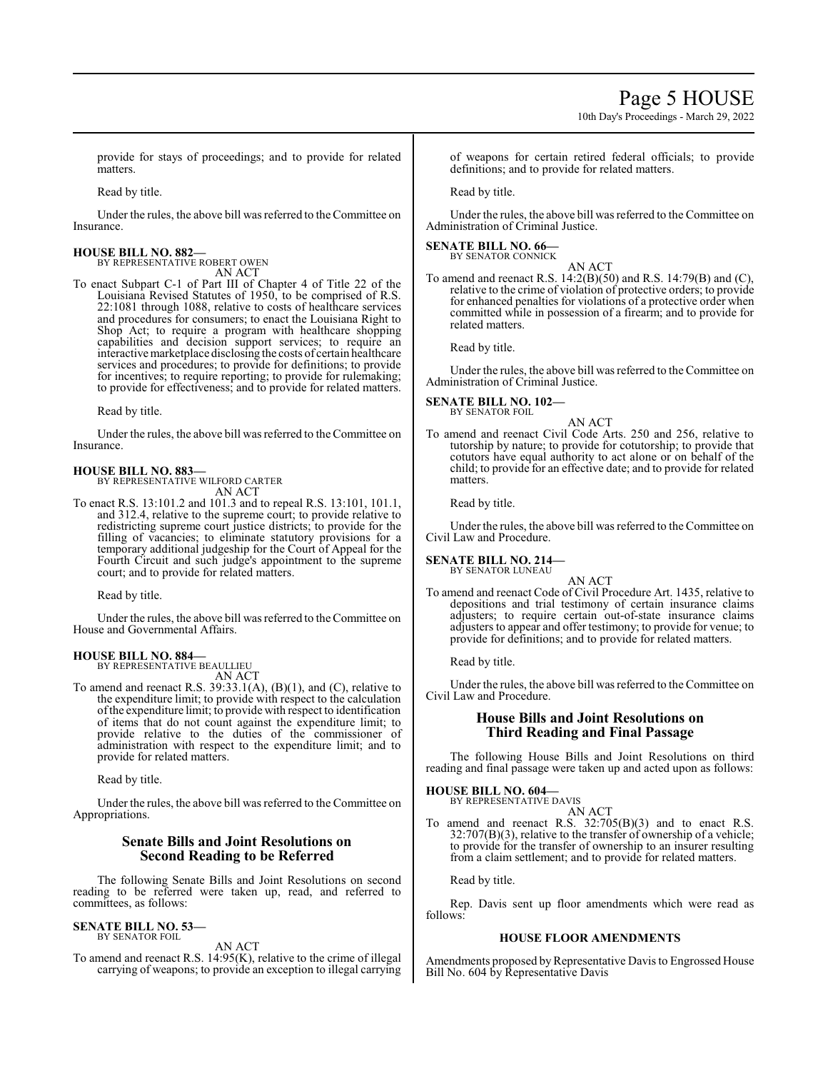10th Day's Proceedings - March 29, 2022

provide for stays of proceedings; and to provide for related **matters** 

Read by title.

Under the rules, the above bill was referred to the Committee on Insurance.

#### **HOUSE BILL NO. 882—** BY REPRESENTATIVE ROBERT OWEN

AN ACT

To enact Subpart C-1 of Part III of Chapter 4 of Title 22 of the Louisiana Revised Statutes of 1950, to be comprised of R.S. 22:1081 through 1088, relative to costs of healthcare services and procedures for consumers; to enact the Louisiana Right to Shop Act; to require a program with healthcare shopping capabilities and decision support services; to require an interactive marketplace disclosing the costs of certain healthcare services and procedures; to provide for definitions; to provide for incentives; to require reporting; to provide for rulemaking; to provide for effectiveness; and to provide for related matters.

Read by title.

Under the rules, the above bill was referred to the Committee on Insurance.

#### **HOUSE BILL NO. 883—**

BY REPRESENTATIVE WILFORD CARTER AN ACT

To enact R.S. 13:101.2 and 101.3 and to repeal R.S. 13:101, 101.1, and 312.4, relative to the supreme court; to provide relative to redistricting supreme court justice districts; to provide for the filling of vacancies; to eliminate statutory provisions for a temporary additional judgeship for the Court of Appeal for the Fourth Circuit and such judge's appointment to the supreme court; and to provide for related matters.

Read by title.

Under the rules, the above bill was referred to theCommittee on House and Governmental Affairs.

#### **HOUSE BILL NO. 884—**

BY REPRESENTATIVE BEAULLIEU AN ACT

To amend and reenact R.S. 39:33.1(A), (B)(1), and (C), relative to the expenditure limit; to provide with respect to the calculation ofthe expenditure limit; to provide with respect to identification of items that do not count against the expenditure limit; to provide relative to the duties of the commissioner of administration with respect to the expenditure limit; and to provide for related matters.

Read by title.

Under the rules, the above bill was referred to the Committee on Appropriations.

#### **Senate Bills and Joint Resolutions on Second Reading to be Referred**

The following Senate Bills and Joint Resolutions on second reading to be referred were taken up, read, and referred to committees, as follows:

#### **SENATE BILL NO. 53—**

BY SENATOR FOIL

AN ACT To amend and reenact R.S. 14:95(K), relative to the crime of illegal carrying of weapons; to provide an exception to illegal carrying of weapons for certain retired federal officials; to provide definitions; and to provide for related matters.

Read by title.

Under the rules, the above bill was referred to the Committee on Administration of Criminal Justice.

#### **SENATE BILL NO. 66—** BY SENATOR CONNICK

AN ACT

To amend and reenact R.S. 14:2(B)(50) and R.S. 14:79(B) and (C), relative to the crime of violation of protective orders; to provide for enhanced penalties for violations of a protective order when committed while in possession of a firearm; and to provide for related matters.

Read by title.

Under the rules, the above bill was referred to the Committee on Administration of Criminal Justice.

#### **SENATE BILL NO. 102—**

BY SENATOR FOIL AN ACT

To amend and reenact Civil Code Arts. 250 and 256, relative to tutorship by nature; to provide for cotutorship; to provide that cotutors have equal authority to act alone or on behalf of the child; to provide for an effective date; and to provide for related matters.

Read by title.

Under the rules, the above bill was referred to the Committee on Civil Law and Procedure.

**SENATE BILL NO. 214—** BY SENATOR LUNEAU

AN ACT

To amend and reenact Code of Civil Procedure Art. 1435, relative to depositions and trial testimony of certain insurance claims adjusters; to require certain out-of-state insurance claims adjusters to appear and offer testimony; to provide for venue; to provide for definitions; and to provide for related matters.

Read by title.

Under the rules, the above bill was referred to the Committee on Civil Law and Procedure.

#### **House Bills and Joint Resolutions on Third Reading and Final Passage**

The following House Bills and Joint Resolutions on third reading and final passage were taken up and acted upon as follows:

#### **HOUSE BILL NO. 604—**

BY REPRESENTATIVE DAVIS AN ACT

To amend and reenact R.S. 32:705(B)(3) and to enact R.S. 32:707(B)(3), relative to the transfer of ownership of a vehicle; to provide for the transfer of ownership to an insurer resulting from a claim settlement; and to provide for related matters.

Read by title.

Rep. Davis sent up floor amendments which were read as follows:

#### **HOUSE FLOOR AMENDMENTS**

Amendments proposed by Representative Davis to Engrossed House Bill No. 604 by Representative Davis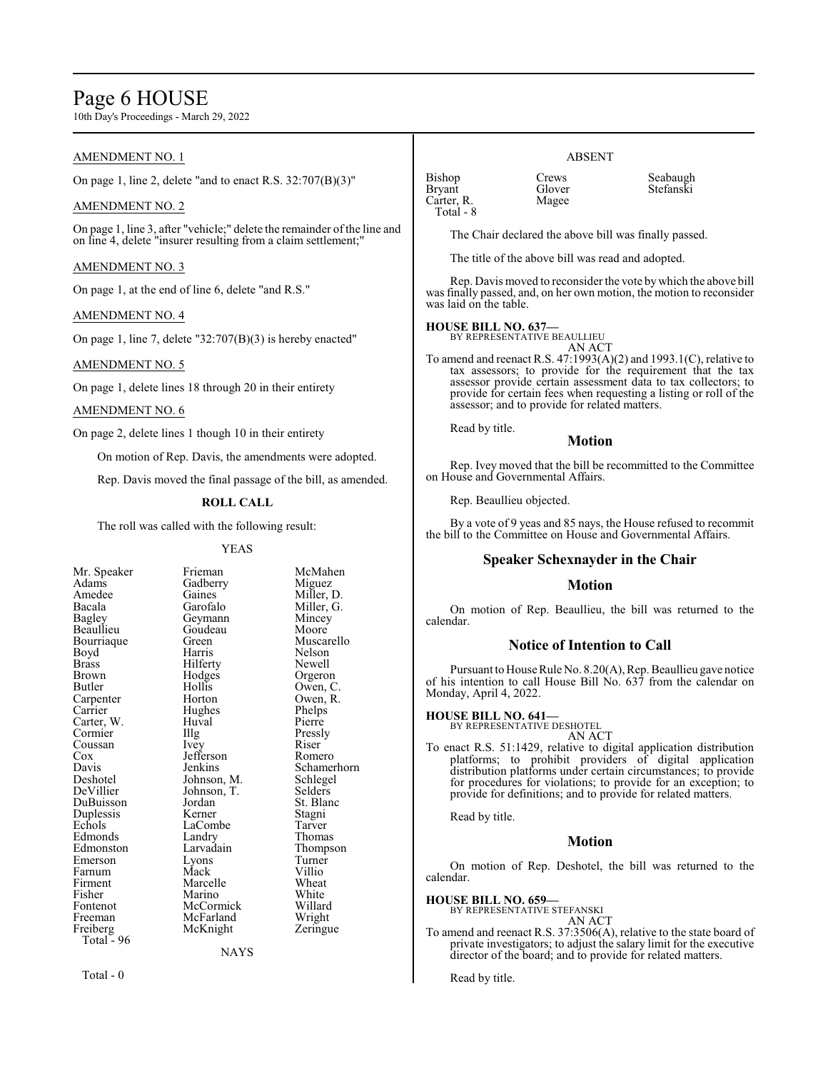### Page 6 HOUSE

10th Day's Proceedings - March 29, 2022

#### AMENDMENT NO. 1

On page 1, line 2, delete "and to enact R.S. 32:707(B)(3)"

#### AMENDMENT NO. 2

On page 1, line 3, after "vehicle;" delete the remainder of the line and on line 4, delete "insurer resulting from a claim settlement;"

#### AMENDMENT NO. 3

On page 1, at the end of line 6, delete "and R.S."

#### AMENDMENT NO. 4

On page 1, line 7, delete "32:707(B)(3) is hereby enacted"

#### AMENDMENT NO. 5

On page 1, delete lines 18 through 20 in their entirety

#### AMENDMENT NO. 6

On page 2, delete lines 1 though 10 in their entirety

On motion of Rep. Davis, the amendments were adopted.

Rep. Davis moved the final passage of the bill, as amended.

#### **ROLL CALL**

The roll was called with the following result:

Huval<br>Illg

#### YEAS

| Mr. Speaker              |
|--------------------------|
| Adams                    |
| Amedee                   |
| Bacala                   |
| Bagley                   |
| Beaullieu                |
| Bourriaque               |
| Boyd                     |
| <b>Brass</b>             |
| <b>Brown</b>             |
| Butler                   |
| Carpenter                |
| Carrier                  |
| Carter, W.<br>Cormier    |
|                          |
| Coussan                  |
| Cox                      |
| Davis                    |
| Deshotel                 |
| DeVillier                |
| DuBuisson                |
| Duplessis                |
| Echols                   |
| Edmonds                  |
| Edmonston                |
| Emerson                  |
| Farnum                   |
| Firment                  |
| Fisher                   |
| Fontenot                 |
| Freeman                  |
| Freiberg                 |
| Total <sub>z</sub><br>96 |

Frieman McMahen Gadberry Miguez<br>
Gaines Miller, 1 Gaines Miller, D.<br>Garofalo Miller, G. Geymann Mincey<br>Goudeau Moore Goudeau<br>Green Green Muscarello<br>Harris Nelson Hilferty<br>Hodges Hodges Orgeron<br>Hollis Owen C Hollis Owen, C.<br>Horton Owen, R. Hughes Phelps<br>Huval Pierre Illg Pressly<br>Ivey Riser Jefferson<br>Jenkins Johnson, M. Schlege<br>Johnson, T. Selders Johnson, T.<br>Jordan Kerner Stagni<br>LaCombe Tarver LaCombe<br>
Landry Thomas Landry<br>Larvadain Lyons Turner<br>Mack Villio Mack Villio<br>
Marcelle Wheat Marcelle Wheat<br>
Marino White Marino White<br>
McCormick Willard McCormick Willard<br>
McFarland Wright McFarland Wright<br>
McKnight Zeringue McKnight

Miller, G.<br>Mincey Nelson<br>Newell Owen, R.<br>Phelps Riser<br>Romero Schamerhorn<br>Schlegel St. Blanc<br>Stagni Thompson<br>Turner

NAYS

Total - 0

| Bishop        | Crews  | Seabaugh  |
|---------------|--------|-----------|
|               |        |           |
| <b>Bryant</b> | Glover | Stefanski |
| Carter, R.    | Magee  |           |
| Total - 8     |        |           |

ABSENT

The Chair declared the above bill was finally passed.

The title of the above bill was read and adopted.

Rep. Davis moved to reconsider the vote bywhich the above bill was finally passed, and, on her own motion, the motion to reconsider was laid on the table.

#### **HOUSE BILL NO. 637—**

BY REPRESENTATIVE BEAULLIEU AN ACT

To amend and reenact R.S. 47:1993(A)(2) and 1993.1(C), relative to tax assessors; to provide for the requirement that the tax assessor provide certain assessment data to tax collectors; to provide for certain fees when requesting a listing or roll of the assessor; and to provide for related matters.

Read by title.

#### **Motion**

Rep. Ivey moved that the bill be recommitted to the Committee on House and Governmental Affairs.

Rep. Beaullieu objected.

By a vote of 9 yeas and 85 nays, the House refused to recommit the bill to the Committee on House and Governmental Affairs.

#### **Speaker Schexnayder in the Chair**

#### **Motion**

On motion of Rep. Beaullieu, the bill was returned to the calendar.

#### **Notice of Intention to Call**

Pursuant to House Rule No. 8.20(A), Rep. Beaullieu gave notice of his intention to call House Bill No. 637 from the calendar on Monday, April 4, 2022.

#### **HOUSE BILL NO. 641—**

BY REPRESENTATIVE DESHOTEL AN ACT

To enact R.S. 51:1429, relative to digital application distribution platforms; to prohibit providers of digital application distribution platforms under certain circumstances; to provide for procedures for violations; to provide for an exception; to provide for definitions; and to provide for related matters.

Read by title.

#### **Motion**

On motion of Rep. Deshotel, the bill was returned to the calendar.

#### **HOUSE BILL NO. 659—**

BY REPRESENTATIVE STEFANSKI AN ACT

To amend and reenact R.S. 37:3506(A), relative to the state board of private investigators; to adjust the salary limit for the executive director of the board; and to provide for related matters.

Read by title.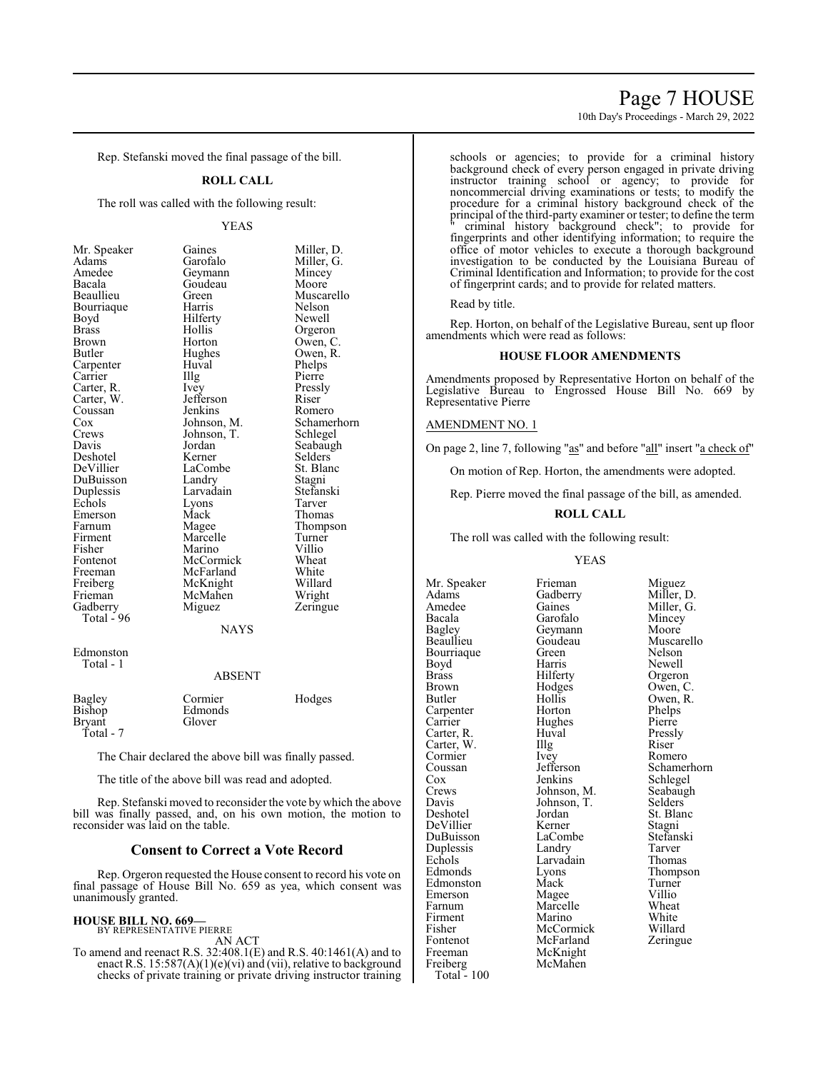### Page 7 HOUSE

10th Day's Proceedings - March 29, 2022

Rep. Stefanski moved the final passage of the bill.

#### **ROLL CALL**

The roll was called with the following result:

| Mr. Speaker              |
|--------------------------|
| Adams                    |
| Amedee                   |
| Bacala                   |
| Beaullieu                |
| Bourriaque               |
| Boyd                     |
| <b>Brass</b>             |
| <b>Brown</b>             |
| Butler                   |
| Carpenter                |
| Carrier                  |
| Carter, R.<br>Carter, W. |
|                          |
| Coussan                  |
| Cox                      |
| Crews                    |
| Davis                    |
| Deshotel                 |
| DeVillier                |
| DuBuisson                |
| Duplessis                |
| Echols                   |
| Emerson                  |
| Farnum                   |
| Firment                  |
| Fisher                   |
| Fontenot                 |
| Freeman                  |
| Freiberg                 |
| Frieman                  |
| Gadberry                 |
| Total - 96               |
|                          |

YEAS Gaines Miller, D.<br>Garofalo Miller, G. Miller, G.<br>Mincey Geymann Mincey<br>Goudeau Moore Goudeau<br>Green Green Muscarello<br>Harris Nelson Nelson<br>Newell Hilferty<br>Hollis Hollis Orgeron<br>Horton Owen, C Horton Owen, C.<br>Hughes Owen, R. Hughes Owen, R.<br>Huyal Phelps Huval Phelps<br>Illg Pierre Carrier Illg Pierre Vey Pressly<br>
Jefferson Riser Jefferson Riser<br>Jenkins Romero Jenkins<br>Johnson, M. Schamerhorn<br>Schlegel Johnson, T.<br>Jordan Jordan Seabaugh<br>Kerner Selders Selders<sup>T</sup><br>St. Blanc LaCombe<br>Landry Landry Stagni<br>Larvadain Stefans Stefanski<br>Tarver Lyons<br>Mack Mack Thomas<br>
Magee Thomps Thompson<br>Turner Marcelle Turner<br>
Marino Villio Marino Villio<br>
McCormick Wheat McCormick Wheat<br>
McFarland White McFarland White<br>
McKnight Willard McKnight Willard<br>
McMahen Wright McMahen<br>Miguez Zeringue

#### **NAYS**

Edmonston Total - 1

#### ABSENT

| Bagley<br>Bishop<br>Bryant | Cormier<br>Edmonds<br>Glover | Hodges |
|----------------------------|------------------------------|--------|
| Total - 7                  |                              |        |

The Chair declared the above bill was finally passed.

The title of the above bill was read and adopted.

Rep. Stefanski moved to reconsider the vote by which the above bill was finally passed, and, on his own motion, the motion to reconsider was laid on the table.

#### **Consent to Correct a Vote Record**

Rep. Orgeron requested the House consent to record his vote on final passage of House Bill No. 659 as yea, which consent was unanimously granted.

#### **HOUSE BILL NO. 669—**

BY REPRESENTATIVE PIERRE AN ACT

To amend and reenact R.S. 32:408.1(E) and R.S. 40:1461(A) and to enact R.S.  $15:587(A)(1)(e)(vi)$  and (vii), relative to background checks of private training or private driving instructor training schools or agencies; to provide for a criminal history background check of every person engaged in private driving instructor training school or agency; to provide for noncommercial driving examinations or tests; to modify the procedure for a criminal history background check of the principal of the third-party examiner or tester; to define the term " criminal history background check"; to provide for fingerprints and other identifying information; to require the office of motor vehicles to execute a thorough background investigation to be conducted by the Louisiana Bureau of Criminal Identification and Information; to provide for the cost of fingerprint cards; and to provide for related matters.

Read by title.

Rep. Horton, on behalf of the Legislative Bureau, sent up floor amendments which were read as follows:

#### **HOUSE FLOOR AMENDMENTS**

Amendments proposed by Representative Horton on behalf of the Legislative Bureau to Engrossed House Bill No. 669 by Representative Pierre

#### AMENDMENT NO. 1

On page 2, line 7, following "as" and before "all" insert "a check of"

On motion of Rep. Horton, the amendments were adopted.

Rep. Pierre moved the final passage of the bill, as amended.

#### **ROLL CALL**

The roll was called with the following result:

#### YEAS

Adams Gadberry<br>Amedee Gaines Amedee Gaines Miller, G.<br>Bacala Garofalo Mincey Bacala Garofalo Mincey<br>Bagley Geymann Moore Bagley Geymann<br>Beaullieu Goudeau Bourriaque Green<br>Boyd Harris Boyd Harris Newell<br>Brass Hilferty Orgeron Brass Hilferty Orgeron<br>Brown Hodges Owen Brown Hodges Owen, C.<br>Butler Hollis Owen, R. Carpenter Horton Phelps<br>
Carrier Hughes Pierre Carrier Hughes<br>Carter, R. Huval Carter, W. Illg Riser Cormier Livey Romero Cormier Ivey<br>Coussan Jefferson Coussan Jefferson Schamerhorn<br>Cox Jenkins Schlegel Cox Jenkins Schlegel<br>Crews Johnson, M. Seabaugh Crews Johnson, M. Seabaugh<br>
Davis Johnson, T. Selders Davis Johnson, T.<br>Deshotel Jordan DeVillier Kerner Stagni DuBuisson LaCombe Stefans<br>
Duplessis Landry Tarver Duplessis Landry Tarver<br>
Echols Larvadain Thomas Echols Larvadain<br>Edmonds Lyons Edmonston Mack Turner<br>Emerson Magee Villio Emerson Magee Villio<br>Farnum Marcelle Wheat Firment Marino White<br>
Fisher McCormick Willard Fontenot McFarland<br>Freeman McKnight Freeman McKnight<br>Freiberg McMahen Total  $-100$ 

Mr. Speaker Frieman Miguez<br>Adams Gadberry Miller, D. Goudeau Muscarello<br>Green Nelson Hollis Owen, R.<br>Horton Phelps Huval Pressly<br>
Illg Riser Jordan St. Blanc<br>
Stagni Stagni Eyons Thompson<br>
Mack Turner Marcelle Wheat<br>
Marino White McCormick Willard<br>
McFarland Zeringue McMahen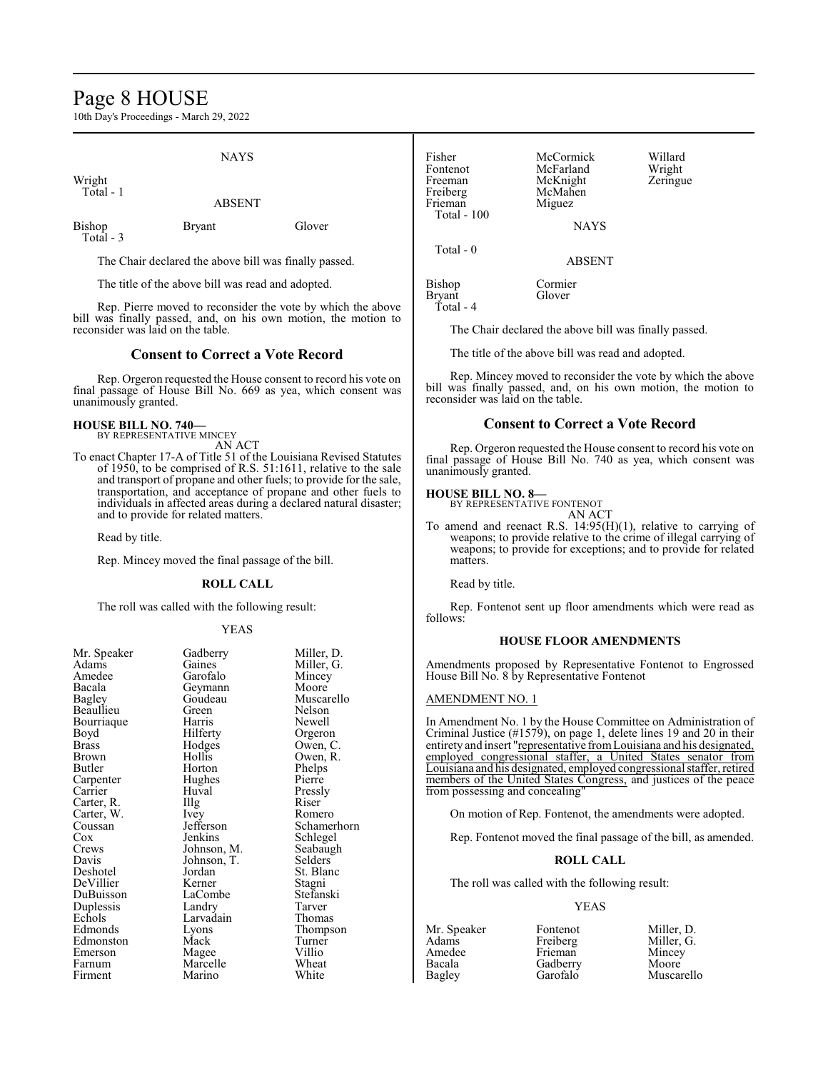### Page 8 HOUSE

10th Day's Proceedings - March 29, 2022

Wright Total - 1

Total - 3

#### ABSENT

NAYS

Bishop Bryant Glover

The Chair declared the above bill was finally passed.

The title of the above bill was read and adopted.

Rep. Pierre moved to reconsider the vote by which the above bill was finally passed, and, on his own motion, the motion to reconsider was laid on the table.

#### **Consent to Correct a Vote Record**

Rep. Orgeron requested the House consent to record his vote on final passage of House Bill No. 669 as yea, which consent was unanimously granted.

#### **HOUSE BILL NO. 740—**

BY REPRESENTATIVE MINCEY AN ACT

To enact Chapter 17-A of Title 51 of the Louisiana Revised Statutes of 1950, to be comprised of R.S. 51:1611, relative to the sale and transport of propane and other fuels; to provide for the sale, transportation, and acceptance of propane and other fuels to individuals in affected areas during a declared natural disaster; and to provide for related matters.

Read by title.

Rep. Mincey moved the final passage of the bill.

#### **ROLL CALL**

The roll was called with the following result:

#### YEAS

| Mr. Speaker  | Gadberry    | Miller, D. |
|--------------|-------------|------------|
| Adams        | Gaines      | Miller, G. |
| Amedee       | Garofalo    | Mincey     |
| Bacala       | Geymann     | Moore      |
| Bagley       | Goudeau     | Muscarell  |
| Beaullieu    | Green       | Nelson     |
| Bourriaque   | Harris      | Newell     |
| Boyd         | Hilferty    | Orgeron    |
| <b>Brass</b> | Hodges      | Owen, C.   |
| Brown        | Hollis      | Owen, R.   |
| Butler       | Horton      | Phelps     |
| Carpenter    | Hughes      | Pierre     |
| Carrier      | Huval       | Pressly    |
| Carter, R.   | Illg        | Riser      |
| Carter, W.   | Ivey        | Romero     |
| Coussan      | Jefferson   | Schamerh   |
| Cox          | Jenkins     | Schlegel   |
| Crews        | Johnson, M. | Seabaugh   |
| Davis        | Johnson, T. | Selders    |
| Deshotel     | Jordan      | St. Blanc  |
| DeVillier    | Kerner      | Stagni     |
| DuBuisson    | LaCombe     | Stefanski  |
| Duplessis    | Landry      | Tarver     |
| Echols       | Larvadain   | Thomas     |
| Edmonds      | Lyons       | Thompson   |
| Edmonston    | Mack        | Turner     |
| Emerson      | Magee       | Villio     |
| Farnum       | Marcelle    | Wheat      |
| Firment      | Marino      | White      |

Garofalo Mincey<br>Geymann Moore Geymann<br>Goudeau Goudeau Muscarello<br>Green Nelson Green Nelson<br>Harris Newell Hilferty Orgeron<br>Hodges Owen, C Hodges Owen, C.<br>Hollis Owen, R. Hollis Owen, R.<br>Horton Phelps Hughes<br>Huval Huval Pressly<br>Illg Riser The U.S. Experience Romero<br>
Schamer<br>
Schamer Jefferson Schamerhorn<br>Jenkins Schlegel Johnson, M. Seabaug<br>Johnson, T. Selders Johnson, T.<br>Jordan Jordan St. Blanc<br>Kerner Stagni LaCombe Stefans<br>Landry Tarver Landry Tarver<br>
Larvadain Thomas Larvadain<br>Lyons Eyons Thompson<br>
Mack Turner Magee Villio<br>
Marcelle Wheat Marcelle Wheat<br>
Marino White Marino

Fisher McCormick Willard Fontenot McFarland Wright<br>Freeman McKnight Zeringue Freeman McKnight<br>
Freiberg McMahen Freiberg McMahen<br>Frieman Miguez Miguez Total - 100 NAYS Total - 0 ABSENT Bishop Cormier Bryant Total - 4

The Chair declared the above bill was finally passed.

The title of the above bill was read and adopted.

Rep. Mincey moved to reconsider the vote by which the above bill was finally passed, and, on his own motion, the motion to reconsider was laid on the table.

#### **Consent to Correct a Vote Record**

Rep. Orgeron requested the House consent to record his vote on final passage of House Bill No. 740 as yea, which consent was unanimously granted.

### **HOUSE BILL NO. 8—** BY REPRESENTATIVE FONTENOT

AN ACT

To amend and reenact R.S. 14:95(H)(1), relative to carrying of weapons; to provide relative to the crime of illegal carrying of weapons; to provide for exceptions; and to provide for related matters.

Read by title.

Rep. Fontenot sent up floor amendments which were read as follows:

#### **HOUSE FLOOR AMENDMENTS**

Amendments proposed by Representative Fontenot to Engrossed House Bill No. 8 by Representative Fontenot

#### AMENDMENT NO. 1

In Amendment No. 1 by the House Committee on Administration of Criminal Justice (#1579), on page 1, delete lines 19 and 20 in their entirety and insert "representative fromLouisiana and his designated, employed congressional staffer, a United States senator from Louisiana and his designated, employed congressional staffer, retired members of the United States Congress, and justices of the peace from possessing and concealing"

On motion of Rep. Fontenot, the amendments were adopted.

Rep. Fontenot moved the final passage of the bill, as amended.

#### **ROLL CALL**

The roll was called with the following result:

#### YEAS

Bacala Gadberry<br>Bagley Garofalo

Mr. Speaker Fontenot Miller, D.<br>Adams Freiberg Miller, G. Adams Freiberg Miller, G. Amedee Frieman Mincey<br>Bacala Gadberry Moore Muscarello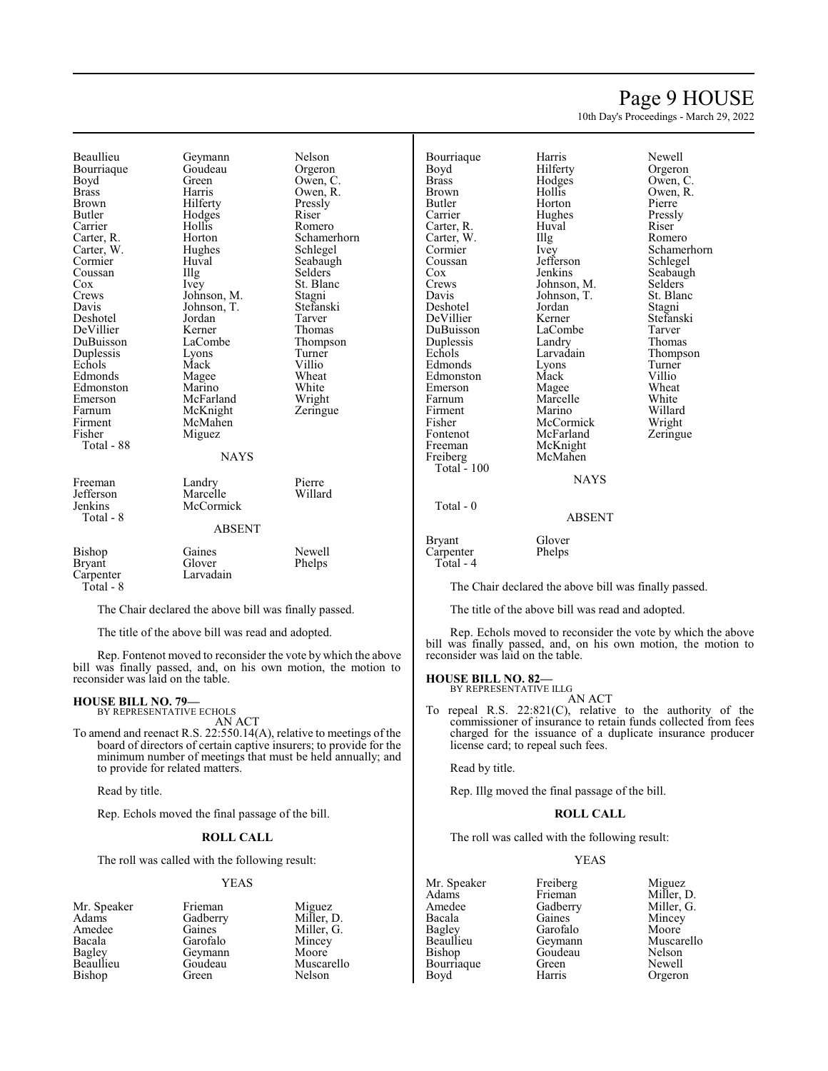### Page 9 HOUSE

10th Day's Proceedings - March 29, 2022

Beaullieu Geymann Nelson<br>Bourriaque Goudeau Orgeron Bourriaque Goude<br>Boyd Green Boyd Green Owen, C.<br>Brass Harris Owen, R. Brass Harris Owen, R. Brown Hilferty Pressl<br>Butler Hodges Riser Carrier Hollis Romero Carter, R. Horton Schamerhorn<br>
Carter, W. Hughes Schlegel Carter, W. Hughe<br>Cormier Huval Coussan Illg<br>Cox Ivey Cox Ivey St. Blanc Crews Iohnson, M. Stagni Crews Johnson, M. Stagni<br>
Davis Johnson, T. Stefanski Deshotel Jordan Tarver<br>
DeVillier Kerner Thomas DeVillier Kerner<br>DuBuisson LaCombe Duplessis Lyons Turner Edmonds Magee Wheat<br>Edmonston Marino White Edmonston Marino White<br>
Emerson McFarland Wright Emerson McFarland Wright<br>
Farnum McKnight Zeringue Farnum McKnight<br>Firment McMahen Firment McMahen<br>Fisher Miguez Total - 88 Freeman Landry Pierre<br> **Example 19** Lefferson Marcelle Willard Jefferson Marcelle<br>Jenkins McCorm Total - 8

Hodges<br>Hollis Huval Seabaugh<br>Illg Selders Johnson, T. Stefans<br>Jordan Tarver Mack Villio<br>
Magee Wheat Miguez **NAYS** 

LaCombe Thompson<br>Lyons Turner

| Bishop        | Gaines    | Newell |
|---------------|-----------|--------|
| <b>Bryant</b> | Glover    | Phelps |
| Carpenter     | Larvadain |        |
| Total - 8     |           |        |

McCormick

The Chair declared the above bill was finally passed.

ABSENT

The title of the above bill was read and adopted.

Rep. Fontenot moved to reconsider the vote by which the above bill was finally passed, and, on his own motion, the motion to reconsider was laid on the table.

#### **HOUSE BILL NO. 79—**

BY REPRESENTATIVE ECHOLS AN ACT

To amend and reenact R.S. 22:550.14(A), relative to meetings of the board of directors of certain captive insurers; to provide for the minimum number of meetings that must be held annually; and to provide for related matters.

Read by title.

Rep. Echols moved the final passage of the bill.

#### **ROLL CALL**

The roll was called with the following result:

#### YEAS

- Mr. Speaker Frieman Miguez<br>Adams Gadberry Miller. D. Adams Gadberry<br>Amedee Gaines Amedee Gaines Miller, G.<br>Bacala Garofalo Mincey Bacala Garofalo Mincey Bagley Geymann<br>Beaullieu Goudeau Bishop
	- Goudeau Muscarello<br>Green Nelson

Bourriaque Harris Newell<br>Boyd Hilferty Orgeror Boyd Hilferty Orgeron<br>Brass Hodges Owen, C Brass Hodges Owen, C. Butler Horton Pierre<br>Carrier Hughes Pressly Carter, R. Huval Riser (R. Riser Carter, W. Illg (R. Romero Carter, W. Illg<br>Cormier Ivey Coussan Jefferson<br>Cox Jenkins DeVillier Kerner<br>DuBuisson LaCombe DuBuisson LaCombe Tarver<br>
Duplessis Landry Thomas Duplessis Landry<br>Echols Larvadain Edmonds Lyons Turner<br>Edmonston Mack Villio Edmonston Mack Villio<br>Emerson Magee Wheat Emerson Magee Wheat<br>
Farnum Marcelle White Firment Marino Willard<br>Fisher McCormick Wright Fisher McCormick Wright<br>Fontenot McFarland Zeringue Fontenot McFarland<br>Freeman McKnight

Hughes Johnson, T. St. Blanch<br>Jordan Stagni Freeman McKnight<br>Freiberg McMahen McMahen

Brown Hollis Owen, R.<br>Butler Horton Pierre Cormier Ivey Schamerhorn<br>
Coussan Jefferson Schlegel Cox Jenkins Seabaugh<br>Crews Johnson, M. Selders Crews Johnson, M. Selders<br>Davis Johnson, T. St. Blanc Deshotel Jordan Stagni<br>
DeVillier Kerner Stefanski Larvadain Thompson<br>Lyons Turner Marcelle White<br>
Marino Willard

#### **NAYS**

#### ABSENT

Bryant Glover<br>
Carpenter Phelps Carpenter Total - 4

Total - 100

Total - 0

The Chair declared the above bill was finally passed.

The title of the above bill was read and adopted.

Rep. Echols moved to reconsider the vote by which the above bill was finally passed, and, on his own motion, the motion to reconsider was laid on the table.

#### **HOUSE BILL NO. 82—** BY REPRESENTATIVE ILLG

AN ACT

To repeal R.S. 22:821(C), relative to the authority of the commissioner of insurance to retain funds collected from fees charged for the issuance of a duplicate insurance producer license card; to repeal such fees.

Read by title.

Rep. Illg moved the final passage of the bill.

#### **ROLL CALL**

The roll was called with the following result:

#### YEAS

Mr. Speaker Freiberg Miguez<br>Adams Frieman Miller, 1 Adams Frieman Miller, D.<br>Amedee Gadberry Miller, G. Amedee Gadberry Miller, G.<br>Bacala Gaines Mincey Bacala Gaines Mincey<br>Bagley Garofalo Moore Bagley Garofalo<br>Beaullieu Geymann Beaullieu Geymann Muscarello Bourriaque Green<br>Boyd Harris

Goudeau Nelson<br>Green Newell Orgeron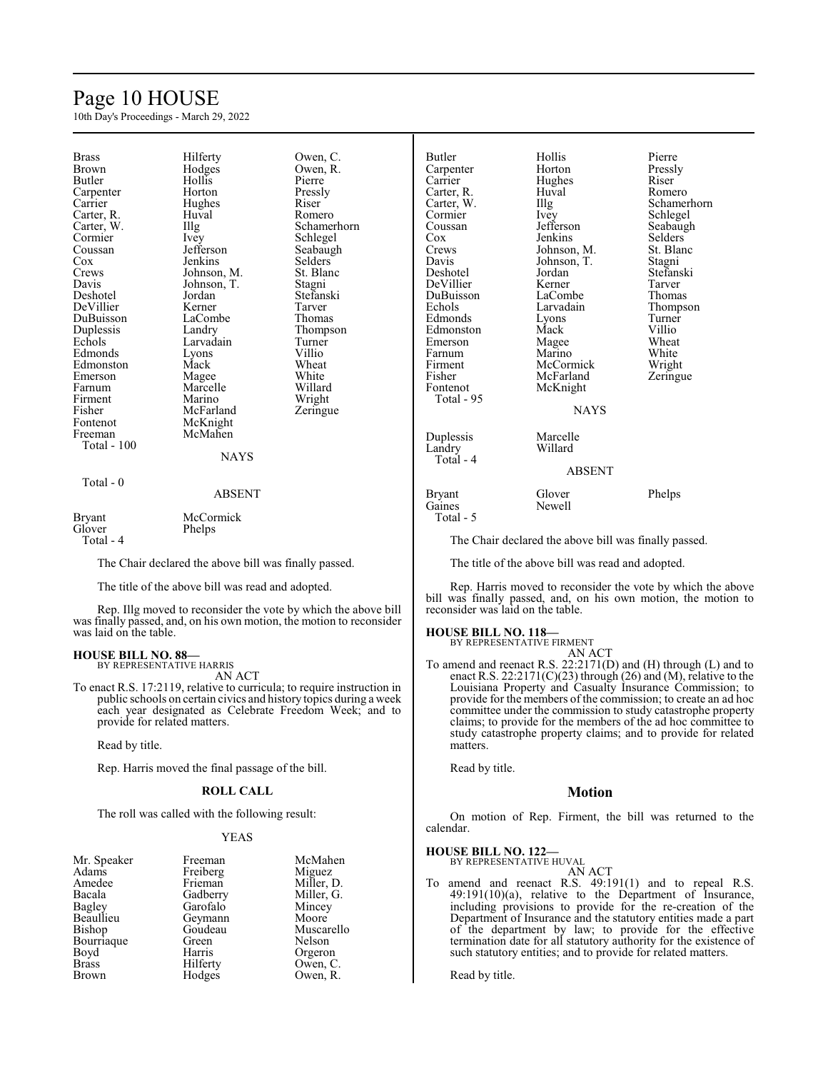### Page 10 HOUSE

10th Day's Proceedings - March 29, 2022

| <b>Brass</b><br><b>Brown</b><br>Butler<br>Carpenter<br>Carrier<br>Carter, R.<br>Carter, W.<br>Cormier<br>Coussan<br>$\cos$<br>Crews<br>Davis<br>Deshotel<br>DeVillier<br>DuBuisson<br>Duplessis<br>Echols<br>Edmonds<br>Edmonston<br>Emerson<br>Farnum<br>Firment<br>Fisher<br>Fontenot<br>Freeman<br>Total - 100 | Hilferty<br>Hodges<br>Hollis<br>Horton<br>Hughes<br>Huval<br>$\prod_{i=1}^{n}$<br>Ivey<br>Jefferson<br>Jenkins<br>Johnson, M.<br>Johnson, T.<br>Jordan<br>Kerner<br>LaCombe<br>Landry<br>Larvadain<br>Lyons<br>Mack<br>Magee<br>Marcelle<br>Marino<br>McFarland<br>McKnight<br>McMahen<br><b>NAYS</b> | Owen, C.<br>Owen, R.<br>Pierre<br>Pressly<br>Riser<br>Romero<br>Schamerhorn<br>Schlegel<br>Seabaugh<br>Selders<br>St. Blanc<br>Stagni<br>Stefanski<br>Tarver<br>Thomas<br>Thompson<br>Turner<br>Villio<br>Wheat<br>White<br>Willard<br>Wright<br>Zeringue | <b>Butler</b><br>Carpenter<br>Carrier<br>Carter, R.<br>Carter, W.<br>Cormier<br>Coussan<br>Cox<br>Crews<br>Davis<br>Deshotel<br>DeVillier<br>DuBuissor<br>Echols<br>Edmonds<br>Edmonstor<br>Emerson<br>Farnum<br>Firment<br>Fisher<br>Fontenot<br>Total - 9<br>Duplessis<br>Landry |
|-------------------------------------------------------------------------------------------------------------------------------------------------------------------------------------------------------------------------------------------------------------------------------------------------------------------|-------------------------------------------------------------------------------------------------------------------------------------------------------------------------------------------------------------------------------------------------------------------------------------------------------|-----------------------------------------------------------------------------------------------------------------------------------------------------------------------------------------------------------------------------------------------------------|------------------------------------------------------------------------------------------------------------------------------------------------------------------------------------------------------------------------------------------------------------------------------------|
|                                                                                                                                                                                                                                                                                                                   |                                                                                                                                                                                                                                                                                                       |                                                                                                                                                                                                                                                           | Total - 4                                                                                                                                                                                                                                                                          |
| Total - 0                                                                                                                                                                                                                                                                                                         | <b>ABSENT</b>                                                                                                                                                                                                                                                                                         |                                                                                                                                                                                                                                                           | <b>Bryant</b><br>Gaines                                                                                                                                                                                                                                                            |
| <b>Bryant</b><br>Glover                                                                                                                                                                                                                                                                                           | McCormick<br>Phelps                                                                                                                                                                                                                                                                                   |                                                                                                                                                                                                                                                           | Total - 5                                                                                                                                                                                                                                                                          |
| $Total - 4$                                                                                                                                                                                                                                                                                                       |                                                                                                                                                                                                                                                                                                       |                                                                                                                                                                                                                                                           | The C                                                                                                                                                                                                                                                                              |

The Chair declared the above bill was finally passed.

The title of the above bill was read and adopted.

Rep. Illg moved to reconsider the vote by which the above bill was finally passed, and, on his own motion, the motion to reconsider was laid on the table.

# **HOUSE BILL NO. 88—** BY REPRESENTATIVE HARRIS AN ACT

To enact R.S. 17:2119, relative to curricula; to require instruction in public schools on certain civics and history topics during a week each year designated as Celebrate Freedom Week; and to provide for related matters.

Read by title.

Rep. Harris moved the final passage of the bill.

#### **ROLL CALL**

The roll was called with the following result:

#### YEAS

| Mr. Speaker  | Freeman  | McMahen    |
|--------------|----------|------------|
| Adams        | Freiberg | Miguez     |
| Amedee       | Frieman  | Miller, D. |
| Bacala       | Gadberry | Miller, G. |
| Bagley       | Garofalo | Mincey     |
| Beaullieu    | Geymann  | Moore      |
| Bishop       | Goudeau  | Muscarello |
| Bourriaque   | Green    | Nelson     |
| Boyd         | Harris   | Orgeron    |
| <b>Brass</b> | Hilferty | Owen, C.   |
| Brown        | Hodges   | Owen, R.   |

| Butler<br>Carpenter<br>Carrier<br>Carter, R.<br>Carter, W.<br>Cormier<br>Coussan<br>Cox<br>Crews<br>Davis<br>Deshotel<br>DeVillier<br>DuBuisson<br>Echols<br>Edmonds<br>Edmonston<br>Emerson<br>Farnum<br>Firment<br>Fisher<br>Fontenot<br>Total - 95 | Hollis<br>Horton<br>Hughes<br>Huval<br>Illg<br>Ivey<br>Jefferson<br>Jenkins<br>Johnson, M.<br>Johnson, T.<br>Jordan<br>Kerner<br>LaCombe<br>Larvadain<br>Lyons<br>Mack<br>Magee<br>Marino<br>McCormick<br>McFarland<br>McKnight | Pierre<br>Pressly<br>Riser<br>Romer<br>Scham<br>Schleg<br>Seabai<br>Selder<br>St. Bla<br>Stagni<br>Stefan:<br>Tarver<br>Thoma<br>Thomp<br>Turner<br>Villio<br>Wheat<br>White<br>Wright<br>Zering |
|-------------------------------------------------------------------------------------------------------------------------------------------------------------------------------------------------------------------------------------------------------|---------------------------------------------------------------------------------------------------------------------------------------------------------------------------------------------------------------------------------|--------------------------------------------------------------------------------------------------------------------------------------------------------------------------------------------------|
|                                                                                                                                                                                                                                                       | <b>NAYS</b>                                                                                                                                                                                                                     |                                                                                                                                                                                                  |
| Duplessis<br>Landry<br>Total - 4                                                                                                                                                                                                                      | Marcelle<br>Willard<br><b>ABSENT</b>                                                                                                                                                                                            |                                                                                                                                                                                                  |
| r.                                                                                                                                                                                                                                                    | $\sim$ 1                                                                                                                                                                                                                        | T11                                                                                                                                                                                              |

### val Romero y Schlegel<br>Corps Seabaugh kins Selders<br>
Inson, M. St. Blan nson, T.<br>dan rner Tarver<br>Combe Thoma Combe Thomas<br>
Vadain Thomps emers wheat<br>
Emerson White<br>
White Fino White<br>Cormick Wrigh Cormick Wright:<br>Farland Zeringu Knight NAYS rcelle

## llis Pierre<br>The Presslu rton Pressly<br>ghes Riser Schamerhorn ferson Seabaugh<br>1kins Selders St. Blanc<br>Stagni dan Stefanski<br>Tarver Tarver Thompson<br>Turner Zeringue

> Glover Phelps Newell

The Chair declared the above bill was finally passed.

The title of the above bill was read and adopted.

Rep. Harris moved to reconsider the vote by which the above bill was finally passed, and, on his own motion, the motion to reconsider was laid on the table.

### **HOUSE BILL NO. 118—** BY REPRESENTATIVE FIRMENT

AN ACT

To amend and reenact R.S. 22:2171(D) and (H) through (L) and to enact R.S. 22:2171(C)(23) through (26) and (M), relative to the Louisiana Property and Casualty Insurance Commission; to provide for the members of the commission; to create an ad hoc committee under the commission to study catastrophe property claims; to provide for the members of the ad hoc committee to study catastrophe property claims; and to provide for related matters.

Read by title.

#### **Motion**

On motion of Rep. Firment, the bill was returned to the calendar.

#### **HOUSE BILL NO. 122—**

BY REPRESENTATIVE HUVAL AN ACT

To amend and reenact R.S. 49:191(1) and to repeal R.S. 49:191(10)(a), relative to the Department of Insurance, including provisions to provide for the re-creation of the Department of Insurance and the statutory entities made a part of the department by law; to provide for the effective termination date for all statutory authority for the existence of such statutory entities; and to provide for related matters.

Read by title.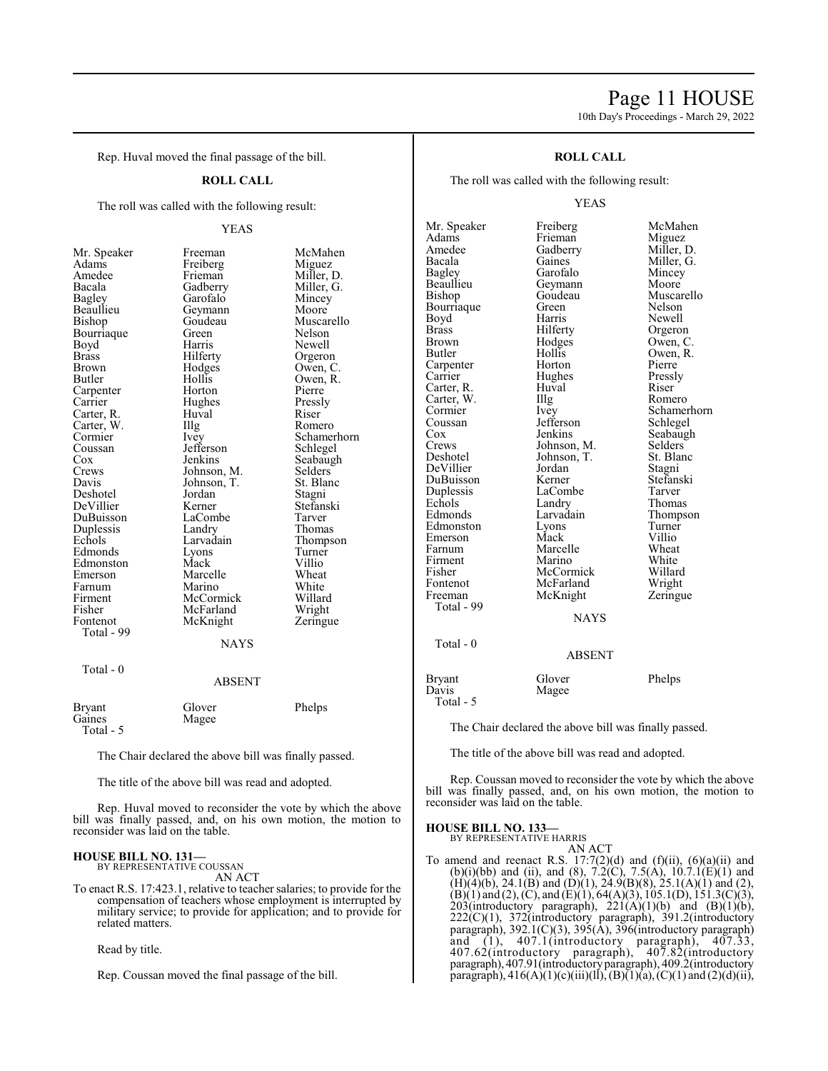### Page 11 HOUSE

10th Day's Proceedings - March 29, 2022

Rep. Huval moved the final passage of the bill.

#### **ROLL CALL**

The roll was called with the following result:

#### YEAS

| Mr. Speaker                                                           |
|-----------------------------------------------------------------------|
| Adams                                                                 |
| Amedee                                                                |
| Bacala                                                                |
|                                                                       |
| Bacara<br>Bagley<br>Beaullieu<br>Bishop                               |
|                                                                       |
| Bourriaque                                                            |
| Boyd                                                                  |
| <b>Brass</b>                                                          |
| Brown                                                                 |
| <b>Butler</b>                                                         |
|                                                                       |
|                                                                       |
| Butter<br>Carpenter<br>Carter, R.<br>Carter, W.<br>Cormier<br>Coussan |
|                                                                       |
|                                                                       |
|                                                                       |
| Cox                                                                   |
| Crews                                                                 |
| Davis                                                                 |
| Deshotel                                                              |
| DeVillier                                                             |
|                                                                       |
|                                                                       |
| De vinter<br>DuBuisson<br>Duplessis<br>Echols<br>Edmonds              |
|                                                                       |
| Edmonston                                                             |
| Emerson                                                               |
| Farnum                                                                |
| Firment                                                               |
| Fisher                                                                |
| Fontenot<br>Total - 99                                                |
|                                                                       |
|                                                                       |
|                                                                       |

Total - 0

Mr. Speaker Freeman McMahen<br>Adams Freiberg Miguez Freiberg<br>Frieman Frieman Miller, D.<br>Gadberry Miller, G. Miller, G.<br>Mincey Garofalo Mincey<br>Geymann Moore Geymann<br>Goudeau Goudeau Muscarello<br>Green Nelson Bourriaque Green Nelson Harris Newell<br>Hilferty Orgeror Hilferty Orgeron<br>
Hodges Owen, C Hodges Owen, C.<br>Hollis Owen, R. Hollis Owen, R.<br>Horton Pierre Carpenter Horton Pierre Hughes Pressly<br>Huval Riser Huval<br>Illg The Romero<br>
Ivey Schamer Schamerhorn<br>Schlegel Jefferson<br>Jenkins Seabaugh<br>Selders Johnson, M. Selders<br>Johnson, T. St. Blanc Johnson, T. Jordan Stagni<br>Kerner Stefans Stefanski<br>Tarver LaCombe<br>Landry Landry Thomas<br>Larvadain Thomps Larvadain Thompson<br>Lyons Turner Turner<br>Villio Mack Villio<br>
Marcelle Wheat Marcelle Wheat<br>
Marino White Marino White<br>
McCormick Willard McCormick Willard<br>
McFarland Wright McFarland Wright<br>
McKnight Zeringue McKnight NAYS

#### ABSENT

| <b>Bryant</b> | Glover | Phelps |
|---------------|--------|--------|
| Gaines        | Magee  |        |
| Total - 5     |        |        |

The Chair declared the above bill was finally passed.

The title of the above bill was read and adopted.

Rep. Huval moved to reconsider the vote by which the above bill was finally passed, and, on his own motion, the motion to reconsider was laid on the table.

#### **HOUSE BILL NO. 131—** BY REPRESENTATIVE COUSSAN

AN ACT

To enact R.S. 17:423.1, relative to teacher salaries; to provide for the compensation of teachers whose employment is interrupted by military service; to provide for application; and to provide for related matters.

Read by title.

Rep. Coussan moved the final passage of the bill.

#### **ROLL CALL**

The roll was called with the following result:

#### YEAS

Mr. Speaker Freiberg McMahen<br>Adams Frieman Miguez Adams Frieman Miguez<br>Amedee Gadberry Miller, D. Amedee Gadberry<br>Bacala Gaines Bagley Garofalo Mincey<br>Beaullieu Geymann Moore Beaullieu Geymann<br>Bishop Goudeau Bourriaque Green<br>Bovd Harris Brass Hilferty Orgeron<br>Brown Hodges Owen, C Brown Hodges Owen, C.<br>Butler Hollis Owen, R. Carpenter Horton Pierre<br>Carrier Hughes Pressly Carter, R. Huval Riser Carter, W. Illg<br>Cormier Ivey Cormier Ivey Schamerhorn<br>
Coussan Iefferson Schlegel Coussan Jefferson<br>Cox Jenkins Cox Jenkins Seabaugh<br>Crews Johnson, M. Selders Crews Johnson, M. Selders<br>Deshotel Johnson, T. St. Blanc DeVillier Jordan Stagni DuBuisson Kerner Stefans<br>Duplessis LaCombe Tarver Duplessis LaCom<br>Echols Landry Echols Landry Thomas<br>Edmonds Larvadain Thomps Edmonston Lyons Turner<br>Emerson Mack Villio Emerson Mack Villio<br>
Farnum Marcelle Wheat Firment Marino White<br>
Fisher McCormick Willard Fontenot McFarland Wright<br>
Freeman McKnight Zeringue McKnight Total - 99 Total - 0

Gaines Miller, G.<br>Garofalo Mincey Goudeau Muscarello<br>Green Nelson Harris Newell<br>Hilferty Orgeror Hollis Owen, R.<br>Horton Pierre Hughes Pressl<br>Huval Riser Johnson, T. St. Blanch<br>Jordan Stagni Larvadain Thompson<br>
Lyons Turner Marcelle Wheat<br>
Marino White McCormick Willard<br>
McFarland Wright

### NAYS ABSENT Bryant Glover Phelps<br>Davis Magee

Magee Total - 5

The Chair declared the above bill was finally passed.

The title of the above bill was read and adopted.

Rep. Coussan moved to reconsider the vote by which the above bill was finally passed, and, on his own motion, the motion to reconsider was laid on the table.

#### **HOUSE BILL NO. 133—**

BY REPRESENTATIVE HARRIS AN ACT

To amend and reenact R.S.  $17:7(2)(d)$  and  $(f)(ii)$ ,  $(6)(a)(ii)$  and (b)(i)(bb) and (ii), and (8), 7.2(C), 7.5(A), 10.7.1(E)(1) and  $(H)(4)(b)$ , 24.1 $(B)$  and  $(D)(1)$ , 24.9 $(B)(8)$ , 25.1 $(A)(1)$  and  $(2)$ ,  $(B)(1)$  and  $(2)$ ,  $(C)$ , and  $(E)(1)$ , 64(A)(3), 105.1(D), 151.3(C)(3), 203(introductory paragraph),  $221(A)(1)(b)$  and  $(B)(1)(b)$ , 222(C)(1), 372(introductory paragraph), 391.2(introductory paragraph), 392.1(C)(3), 395(A), 396(introductory paragraph) and (1), 407.1(introductory paragraph), 407.33, 407.62(introductory paragraph), 407.82(introductory paragraph), 407.91(introductoryparagraph), 409.2(introductory paragraph),  $416(A)(1)(c)(iii)(ll)$ ,  $(B)(1)(a)$ ,  $(C)(1)$  and  $(2)(d)(ii)$ ,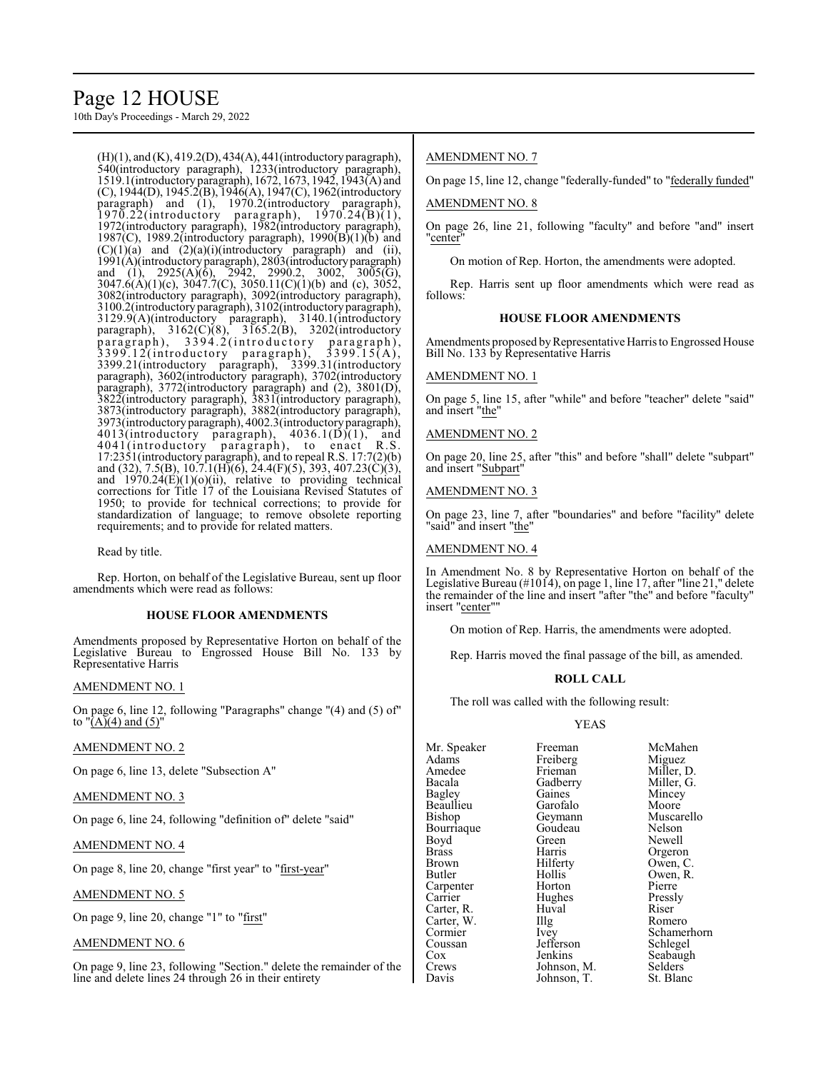### Page 12 HOUSE

10th Day's Proceedings - March 29, 2022

(H)(1), and (K), 419.2(D), 434(A), 441(introductory paragraph), 540(introductory paragraph), 1233(introductory paragraph), 1519.1(introductory paragraph), 1672, 1673, 1942, 1943(A) and (C), 1944(D), 1945.2(B), 1946(A), 1947(C), 1962(introductory paragraph) and (1), 1970.2(introductory paragraph),  $1970.22$ (introductory paragraph),  $1970.24(B(1)),$ 1972(introductory paragraph), 1982(introductory paragraph), 1987(C), 1989.2(introductory paragraph), 1990(B)(1)(b) and  $(C)(1)(a)$  and  $(2)(a)(i)$ (introductory paragraph) and (ii), 1991(A)(introductory paragraph), 2803(introductoryparagraph) and (1), 2925(A)(6), 2942, 2990.2, 3002, 3005(G), 3047.6(A)(1)(c), 3047.7(C), 3050.11(C)(1)(b) and (c), 3052, 3082(introductory paragraph), 3092(introductory paragraph), 3100.2(introductory paragraph), 3102(introductory paragraph), 3129.9(A)(introductory paragraph), 3140.1(introductory paragraph), 3162(C)(8), 3165.2(B), 3202(introductory paragraph), 3394.2(introductory paragraph), paragraph), 3394.2(introductory paragraph), 3399.12(introductory paragraph), 3399.15(A), 3399.21(introductory paragraph), 3399.31(introductory paragraph), 3602(introductory paragraph), 3702(introductory paragraph), 3772(introductory paragraph) and (2), 3801(D), 3822(introductory paragraph), 3831(introductory paragraph), 3873(introductory paragraph), 3882(introductory paragraph), 3973(introductory paragraph), 4002.3(introductory paragraph), 4013(introductory paragraph), 4036.1(D)(1), and 4041(introductory paragraph), to enact R.S. 17:2351(introductory paragraph), and to repeal R.S. 17:7(2)(b) and (32), 7.5(B), 10.7.1(H)(6), 24.4(F)(5), 393, 407.23(C)(3), and  $1970.24(E)(1)(o)(ii)$ , relative to providing technical corrections for Title 17 of the Louisiana Revised Statutes of 1950; to provide for technical corrections; to provide for standardization of language; to remove obsolete reporting requirements; and to provide for related matters.

Read by title.

Rep. Horton, on behalf of the Legislative Bureau, sent up floor amendments which were read as follows:

#### **HOUSE FLOOR AMENDMENTS**

Amendments proposed by Representative Horton on behalf of the Legislative Bureau to Engrossed House Bill No. 133 by Representative Harris

AMENDMENT NO. 1

On page 6, line 12, following "Paragraphs" change "(4) and (5) of" to  $\sqrt[n]{(A)}(4)$  and  $(5)$ "

#### AMENDMENT NO. 2

On page 6, line 13, delete "Subsection A"

#### AMENDMENT NO. 3

On page 6, line 24, following "definition of" delete "said"

#### AMENDMENT NO. 4

On page 8, line 20, change "first year" to "first-year"

#### AMENDMENT NO. 5

On page 9, line 20, change "1" to "first"

#### AMENDMENT NO. 6

On page 9, line 23, following "Section." delete the remainder of the line and delete lines 24 through 26 in their entirety

#### AMENDMENT NO. 7

On page 15, line 12, change "federally-funded" to "federally funded"

#### AMENDMENT NO. 8

On page 26, line 21, following "faculty" and before "and" insert "center"

On motion of Rep. Horton, the amendments were adopted.

Rep. Harris sent up floor amendments which were read as follows:

#### **HOUSE FLOOR AMENDMENTS**

Amendments proposed by Representative Harris to Engrossed House Bill No. 133 by Representative Harris

#### AMENDMENT NO. 1

On page 5, line 15, after "while" and before "teacher" delete "said" and insert "the"

#### AMENDMENT NO. 2

On page 20, line 25, after "this" and before "shall" delete "subpart" and insert "Subpart"

#### AMENDMENT NO. 3

On page 23, line 7, after "boundaries" and before "facility" delete "said" and insert "the"

#### AMENDMENT NO. 4

In Amendment No. 8 by Representative Horton on behalf of the Legislative Bureau (#1014), on page 1, line 17, after "line 21," delete the remainder of the line and insert "after "the" and before "faculty" insert "center"

On motion of Rep. Harris, the amendments were adopted.

Rep. Harris moved the final passage of the bill, as amended.

#### **ROLL CALL**

The roll was called with the following result:

#### YEAS

Mr. Speaker Freeman McMahen<br>Adams Freiberg Miguez Adams Freiberg<br>Amedee Frieman Amedee Frieman Miller, D.<br>Bacala Gadberry Miller, G. Bacala Gadberry Miller, G.<br>Bagley Gaines Mincey Beaullieu Garofalo<br>Bishop Geymann Bourriaque Goudeau Nelson<br>Boyd Green Newell Boyd Green Newell Brass Harris Orgeron Brown Hilferty Owen, C.<br>Butler Hollis Owen, R. Carpenter Horton Pierre<br>
Carrier Hughes Pressly Carter, R. Huval Riser<br>Carter, W. Illg Romero Carter, W. Illg<br>Cormier Ivey Cormier Ivey Schamerhorn<br>
Coussan Jefferson Schlegel Coussan Jefferson<br>Cox Jenkins Cox Jenkins Seabaugh<br>Crews Johnson, M. Selders Crews Johnson, M. Selders Davis Johnson, T. St. Blanc Johnson, T.

Gaines Mincey<br>Garofalo Moore Geymann Muscarello<br>Goudeau Nelson Hollis Owen, R.<br>Horton Pierre Hughes Pressl<br>Huval Riser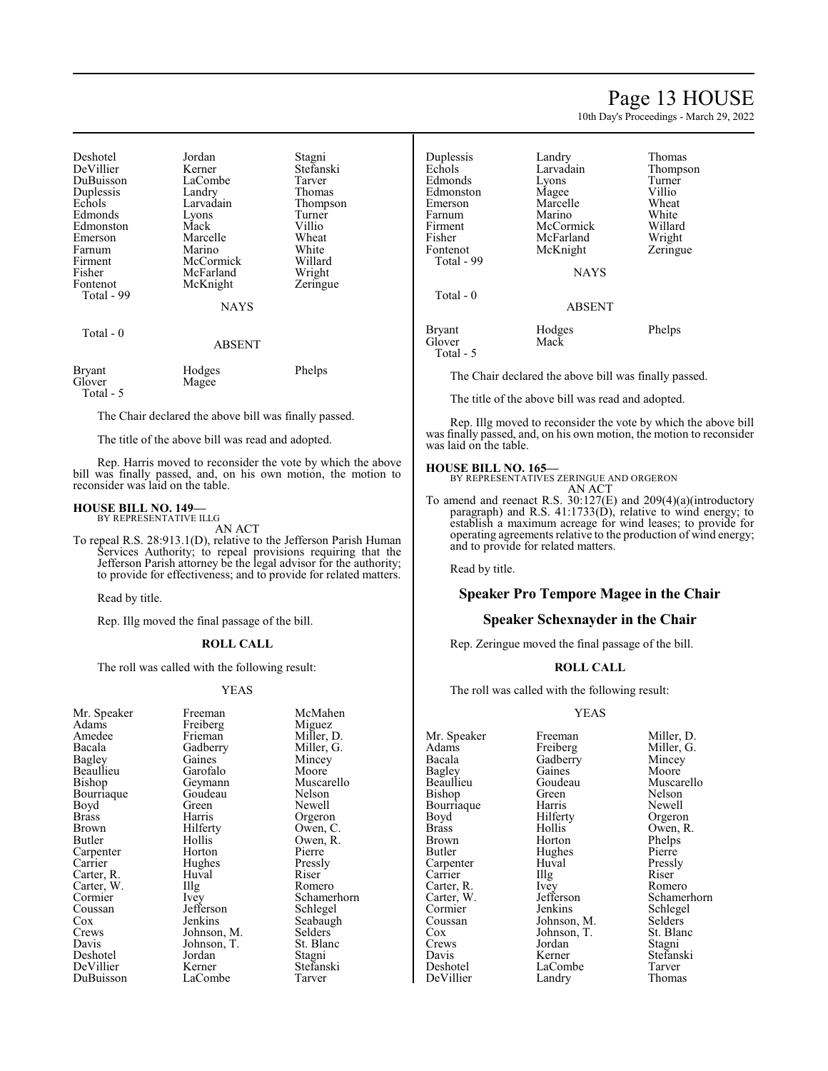### Page 13 HOUSE

10th Day's Proceedings - March 29, 2022

| Deshotel<br>DeVillier<br>DuBuisson<br>Duplessis<br>Echols<br>Edmonds<br>Edmonston<br>Emerson<br>Farnum<br>Firment<br>Fisher | Jordan<br>Kerner<br>LaCombe<br>Landry<br>Larvadain<br>Lyons<br>Mack<br>Marcelle<br>Marino<br>McCormick<br>McFarland | Stagni<br>Stefanski<br>Tarver<br>Thomas<br>Thompson<br>Turner<br>Villio<br>Wheat<br>White<br>Willard<br>Wright |
|-----------------------------------------------------------------------------------------------------------------------------|---------------------------------------------------------------------------------------------------------------------|----------------------------------------------------------------------------------------------------------------|
| Fontenot<br>Total - 99<br>Total - 0                                                                                         | McKnight<br><b>NAYS</b><br><b>ABSENT</b>                                                                            | Zeringue                                                                                                       |
| Bryant<br>Glover<br>Total - 5                                                                                               | Hodges<br>Magee                                                                                                     | Phelps                                                                                                         |

The Chair declared the above bill was finally passed.

The title of the above bill was read and adopted.

Rep. Harris moved to reconsider the vote by which the above bill was finally passed, and, on his own motion, the motion to reconsider was laid on the table.

#### **HOUSE BILL NO. 149—** BY REPRESENTATIVE ILLG

AN ACT

To repeal R.S. 28:913.1(D), relative to the Jefferson Parish Human Services Authority; to repeal provisions requiring that the Jefferson Parish attorney be the legal advisor for the authority; to provide for effectiveness; and to provide for related matters.

Read by title.

Rep. Illg moved the final passage of the bill.

#### **ROLL CALL**

The roll was called with the following result:

Freiberg<br>Frieman

Garofalo<br>Geymann

Goudeau<br>Green

Huval<br>Illg

Jefferson<br>Jenkins

Jordan<br>Kerner

LaCombe

#### YEAS

| Mr. Speaker  |
|--------------|
| Adams        |
| Amedee       |
| Bacala       |
| Bagley       |
| Beaullieu    |
| Bishop       |
| Bourriaque   |
| Boyd         |
| <b>Brass</b> |
| Brown        |
| Butler       |
| Carpenter    |
| Carrier      |
| Carter, R.   |
| Carter, W.   |
| Cormier      |
| Coussan      |
| Cox          |
| Crews        |
| Davis        |
| Deshotel     |
| DeVillier    |
| DuBuisson    |

Freeman McMahen<br>Freiberg Miguez Frieman Miller, D.<br>Gadberry Miller, G. Miller, G.<br>Mincey Gaines Mincey<br>Garofalo Moore Muscarello<br>Nelson Green Newell<br>Harris Orgero Harris Orgeron<br>Hilferty Owen, C Hilferty Owen, C.<br>Hollis Owen, R. Owen, R.<br>Pierre Horton Pierre<br>Hughes Pressly Hughes Pressl<br>Huval Riser The Romero<br>
Ivev Schamer Schamerhorn<br>Schlegel Seabaugh<br>Selders Johnson, M. Selders<br>Johnson, T. St. Blanc Johnson, T. St. Blanch<br>Jordan Stagni Stefanski<br>Tarver

| Duplessis<br>Echols<br>Edmonds<br>Edmonston<br>Emerson<br>Farnum<br>Firment<br>Fisher<br>Fontenot<br>Total - 99<br>Total $-0$ | Landry<br>Larvadain<br>Lyons<br>Magee<br>Marcelle<br>Marino<br>McCormick<br>McFarland<br>McKnight<br><b>NAYS</b> | Thomas<br>Thompson<br>Turner<br>Villio<br>Wheat<br>White<br>Willard<br>Wright<br>Zeringue |
|-------------------------------------------------------------------------------------------------------------------------------|------------------------------------------------------------------------------------------------------------------|-------------------------------------------------------------------------------------------|
|                                                                                                                               | <b>ABSENT</b>                                                                                                    |                                                                                           |
| Bryant<br>Glover<br>Total - 5                                                                                                 | Hodges<br>Mack                                                                                                   | Phelps                                                                                    |

The Chair declared the above bill was finally passed.

The title of the above bill was read and adopted.

Rep. Illg moved to reconsider the vote by which the above bill was finally passed, and, on his own motion, the motion to reconsider was laid on the table.

#### **HOUSE BILL NO. 165—**

BY REPRESENTATIVES ZERINGUE AND ORGERON AN ACT

To amend and reenact R.S. 30:127(E) and 209(4)(a)(introductory paragraph) and R.S. 41:1733(D), relative to wind energy; to establish a maximum acreage for wind leases; to provide for operating agreements relative to the production of wind energy; and to provide for related matters.

Read by title.

#### **Speaker Pro Tempore Magee in the Chair**

#### **Speaker Schexnayder in the Chair**

Rep. Zeringue moved the final passage of the bill.

#### **ROLL CALL**

The roll was called with the following result:

#### YEAS

Mr. Speaker Freeman Miller, D.<br>Adams Freiberg Miller. G. Adams Freiberg Miller, G.<br>Bacala Gadberry Mincey Bacala Gadberry Mincey<br>Bagley Gaines Moore Bagley Gaines<br>Beaullieu Goudeau Bourriaque Harris<br>Boyd Hilferty Carter, R. Ivey<br>Carter, W. Jefferson Crews Jordan<br>Davis Kerner DeVillier

Bishop Green Nelson<br>Bourriaque Harris Newell Boyd Hilferty Orgeron<br>Brass Hollis Owen, R Brass Hollis Owen, R.<br>Brown Horton Phelps Brown Horton Phelps<br>Butler Hughes Pierre Hughes Pierre<br>Huval Pressly Carpenter Huval Pressl<br>Carrier Illg Riser Carrier Illg Riser<br>Carter R. Ivev Romero Cormier Jenkins Schlegel<br>
Coussan Johnson, M. Selders Coussan Johnson, M. Selders<br>Cox Johnson, T. St. Blanc Cox Johnson, T. St. Blanch<br>Crews Jordan Stagni Davis Kerner Stefanski LaCombe<br>
Landry Thomas

Goudeau Muscarello<br>Green Nelson Carter, W. Jefferson Schamerhorn<br>
Cormier Jenkins Schlegel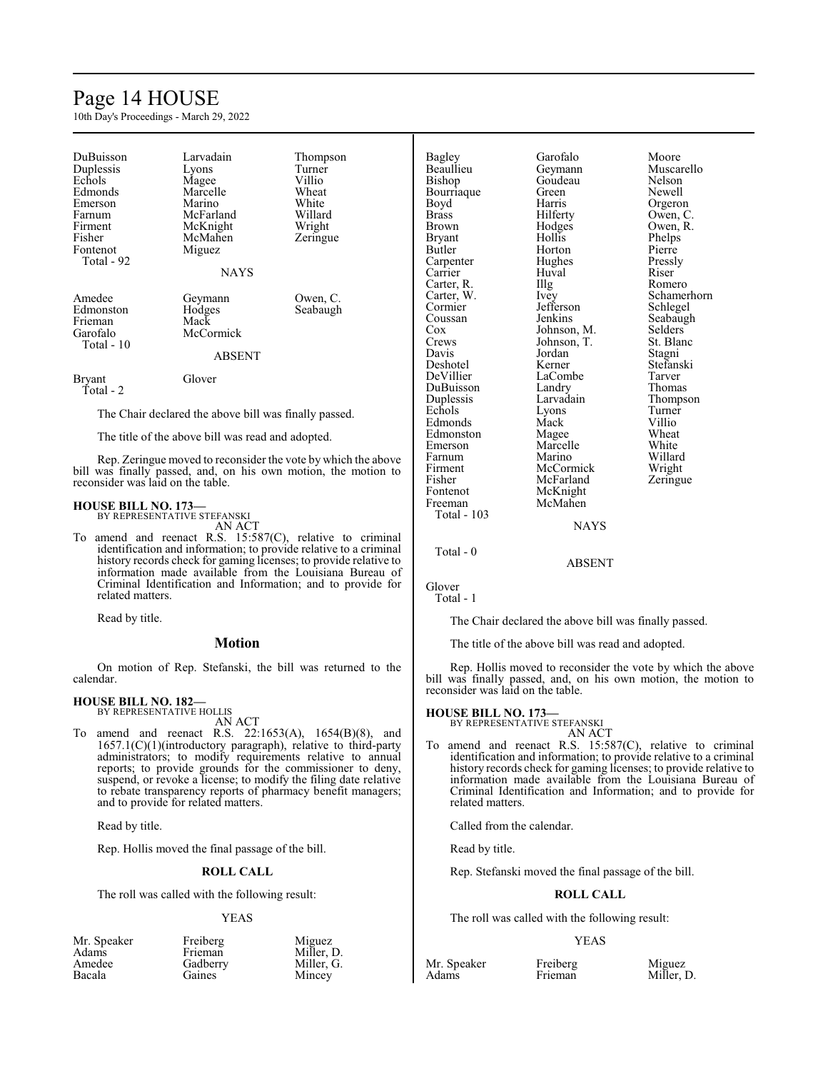### Page 14 HOUSE

10th Day's Proceedings - March 29, 2022

| DuBuisson<br>Duplessis<br>Echols<br>Edmonds<br>Emerson<br>Farnum<br>Firment<br>Fisher<br>Fontenot<br>Total - 92 | Larvadain<br>Lyons<br>Magee<br>Marcelle<br>Marino<br>McFarland<br>McKnight<br>McMahen<br>Miguez<br><b>NAYS</b> | Thompson<br>Turner<br>Villio<br>Wheat<br>White<br>Willard<br>Wright<br>Zeringue |
|-----------------------------------------------------------------------------------------------------------------|----------------------------------------------------------------------------------------------------------------|---------------------------------------------------------------------------------|
| Amedee<br>Edmonston<br>Frieman<br>Garofalo<br>Total - 10                                                        | Geymann<br>Hodges<br>Mack<br>McCormick<br><b>ABSENT</b>                                                        | Owen, C.<br>Seabaugh                                                            |
| Bryant<br>Total - 2                                                                                             | Glover                                                                                                         |                                                                                 |

The Chair declared the above bill was finally passed.

The title of the above bill was read and adopted.

Rep. Zeringue moved to reconsider the vote by which the above bill was finally passed, and, on his own motion, the motion to reconsider was laid on the table.

#### **HOUSE BILL NO. 173—** BY REPRESENTATIVE STEFANSKI

AN ACT

To amend and reenact R.S. 15:587(C), relative to criminal identification and information; to provide relative to a criminal history records check for gaming licenses; to provide relative to information made available from the Louisiana Bureau of Criminal Identification and Information; and to provide for related matters.

Read by title.

#### **Motion**

On motion of Rep. Stefanski, the bill was returned to the calendar.

#### **HOUSE BILL NO. 182—** BY REPRESENTATIVE HOLLIS

AN ACT

To amend and reenact R.S. 22:1653(A), 1654(B)(8), and 1657.1(C)(1)(introductory paragraph), relative to third-party administrators; to modify requirements relative to annual reports; to provide grounds for the commissioner to deny, suspend, or revoke a license; to modify the filing date relative to rebate transparency reports of pharmacy benefit managers; and to provide for related matters.

Read by title.

Rep. Hollis moved the final passage of the bill.

#### **ROLL CALL**

The roll was called with the following result:

#### YEAS

| Mr. Speaker | Freiberg | Miguez  |
|-------------|----------|---------|
| Adams       | Frieman  | Miller, |
| Amedee      | Gadberry | Miller. |
| Bacala      | Gaines   | Mincey  |

Frieman Miller, D.<br>Gadberry Miller, G. Gadberry Miller, G.<br>Gaines Mincev

Mincey

Bagley Garofalo Moore<br>Beaullieu Geymann Muscar Beaullieu Geymann Muscarello<br>Bishop Goudeau Nelson Bourriaque Green<br>Boyd Harris Boyd Harris Orgeron<br>Brass Hilferty Owen, C Brown Hodges Owen, R.<br>Bryant Hollis Phelps Bryant Hollis Phelps<br>Butler Horton Pierre Carpenter Hughes Pressl<br>Carrier Huval Riser Carter, R. Illg<br>Carter, W. Ivey Carter, W. Ivey Schamerhorn Cormier Jefferson<br>Coussan Jenkins Cox Johnson, M. Selders<br>Crews Johnson, T. St. Blanc Crews Johnson, T. St. Blanch<br>Davis Jordan Stagni Davis Jordan<br>Deshotel Kerner Deshotel Kerner Stefanski DuBuisson Landry<br>
Duplessis Larvadain Echols Lyons Turne<br>
Edmonds Mack Villio Edmonds Mack Villio<br>
Edmonston Mage Wheat Edmonston Magee Wheat<br>
Emerson Marcelle White Farnum Marino Willard<br>Firment McCormick Wright Firment McCormick<br>Fisher McFarland Fisher McFarland Zeringue<br>Fontenot McKnight Fontenot McKnight<br>Freeman McMahen McMahen

# Goudeau Nelson<br>Green Newell Owen, C. Horton Pierre<br>
Hughes Pressly Huval Riser<br>Illg Romero Seabaugh LaCombe Tarver<br>
Landry Thomas Larvadain Thompson<br>
Lyons Turner Marcelle White<br>
Marino Willard

NAYS

Total - 0

Total - 103

ABSENT

Glover Total - 1

The Chair declared the above bill was finally passed.

The title of the above bill was read and adopted.

Rep. Hollis moved to reconsider the vote by which the above bill was finally passed, and, on his own motion, the motion to reconsider was laid on the table.

#### **HOUSE BILL NO. 173—**

BY REPRESENTATIVE STEFANSKI AN ACT

To amend and reenact R.S. 15:587(C), relative to criminal identification and information; to provide relative to a criminal history records check for gaming licenses; to provide relative to information made available from the Louisiana Bureau of Criminal Identification and Information; and to provide for related matters.

Called from the calendar.

Read by title.

Rep. Stefanski moved the final passage of the bill.

#### **ROLL CALL**

The roll was called with the following result:

#### YEAS

Mr. Speaker Freiberg Miguez<br>Adams Frieman Miller. I Miller, D.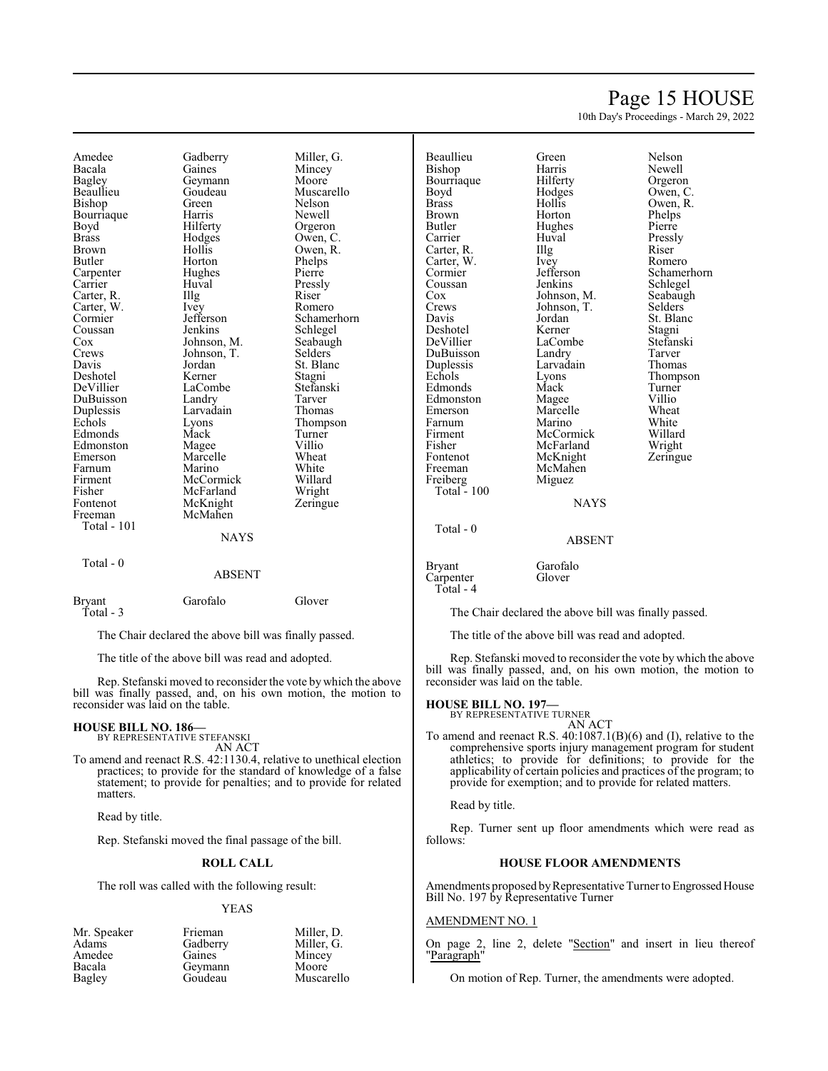### Page 15 HOUSE

10th Day's Proceedings - March 29, 2022

Amedee Gadberry Miller, G.<br>Bacala Gaines Mincey Bacala Gaines Mincey<br>
Bagley Geymann Moore Bagley Geymann<br>Beaullieu Goudeau Bishop Green Nelson<br>Bourriaque Harris Newell Bourriaque<br>Boyd Boyd Hilferty Orgeron<br>Brass Hodges Owen, C Brass Hodges Owen, C. Brown Hollis Owen, R.<br>Butler Horton Phelps Butler Horton Phelps<br>
Carpenter Hughes Pierre Carrier Huval Pressl<br>Carter, R. Illg Riser Carter, R. Illg. Riser Carter, W. Ivey Romero Carter, W. Ivey<br>Cormier Jefferson Cormier Jefferson Schamerhorn<br>
Coussan Jenkins Schlegel Coussan Jenkins Schlegel<br>Cox Johnson, M. Seabaugh Cox Johnson, M. Seabaugh<br>Crews Johnson, T. Selders Crews Johnson, T.<br>Davis Jordan Deshotel Kerner Stagni<br>
DeVillier LaCombe Stefanski DeVillier LaCombe Stefans<br>DuBuisson Landry Tarver DuBuisson Landry Tarver Duplessis Larvadain<br>Echols Lyons Edmonds Mack Turner<br>
Edmonston Magee Villio Edmonston Magee Villio Farnum Marino White<br>
Firment McCormick Willard Firment McCormick Willard<br>Fisher McFarland Wright Fisher McFarland Wright<br>Fontenot McKnight Zeringue Fontenot McKnight<br>Freeman McMahen Total - 101 Total - 0

Goudeau Muscarello<br>Green Nelson Hughes Pierre<br>Huval Pressly Jordan St. Blanc<br>Kerner Stagni Eyons Thompson<br>
Mack Turner Marcelle Wheat<br>
Marino White McMahen **NAYS** 

### ABSENT Bryant Garofalo Glover

Total - 3

The Chair declared the above bill was finally passed.

The title of the above bill was read and adopted.

Rep. Stefanski moved to reconsider the vote by which the above bill was finally passed, and, on his own motion, the motion to reconsider was laid on the table.

#### **HOUSE BILL NO. 186—** BY REPRESENTATIVE STEFANSKI

AN ACT

To amend and reenact R.S. 42:1130.4, relative to unethical election practices; to provide for the standard of knowledge of a false statement; to provide for penalties; and to provide for related matters.

Read by title.

Rep. Stefanski moved the final passage of the bill.

#### **ROLL CALL**

The roll was called with the following result:

#### YEAS

Amedee Gaines Mince<br>Bacala Geymann Moore Bacala Geymann<br>Bagley Goudeau

Mr. Speaker Frieman Miller, D.<br>Adams Gadberry Miller, G. Gadberry Miller, G.<br>Gaines Mincey

Muscarello

Total - 100

Beaullieu Green Nelson Bourriaque Hilferty<br>Boyd Hodges Boyd Hodges Owen, C.<br>Brass Hollis Owen, R. Brass Hollis Owen, R. Brown Horton Phelps<br>Butler Hughes Pierre Butler Hughes<br>Carrier Huval Carter, R. Illg Riser<br>Carter, W. Ivey Romero Carter, W. Ivey<br>Cormier Jefferson Coussan Jenkins Schlegel<br>Cox Johnson, M. Seabaugh Cox Johnson, M. Seabaugh<br>Crews Johnson, T. Selders Crews Johnson, T.<br>Davis Jordan Deshotel Kerner Stagni<br>
DeVillier LaCombe Stefanski DuBuisson Landry Tarver<br>
Duplessis Larvadain Thomas Duplessis Larvad<br>
Echols Lyons Edmonds Mack Turner<br>
Edmonston Magee Villio Edmonston Magee Villio<br>Emerson Marcelle Wheat Farnum Marino White<br>Firment McCormick Willard Firment McCormick Willard<br>Fisher McFarland Wright Fisher McFarland Wright<br>
Fontenot McKnight Zeringue Fontenot McKnight<br>Freeman McMahen McMahen<br>Miguez Freiberg Miguez

Harris Newell<br>Hilferty Orgeron Huval Pressly<br>Illg Riser Cormier Jefferson Schamerhorn<br>
Coussan Jenkins Schlegel Jordan St. Blanc<br>Kerner Stagni LaCombe<br>
Landry Stefans<br>
Tarver Eyons Thompson<br>
Mack Turner Marcelle Wheat<br>
Marino White

**NAYS** 

ABSENT

Bryant Garofalo<br>Carpenter Glover Carpenter Total - 4

Total - 0

The Chair declared the above bill was finally passed.

The title of the above bill was read and adopted.

Rep. Stefanski moved to reconsider the vote by which the above bill was finally passed, and, on his own motion, the motion to reconsider was laid on the table.

### **HOUSE BILL NO. 197—** BY REPRESENTATIVE TURNER

AN ACT

To amend and reenact R.S. 40:1087.1(B)(6) and (I), relative to the comprehensive sports injury management program for student athletics; to provide for definitions; to provide for the applicability of certain policies and practices of the program; to provide for exemption; and to provide for related matters.

Read by title.

Rep. Turner sent up floor amendments which were read as follows:

#### **HOUSE FLOOR AMENDMENTS**

Amendments proposed by Representative Turner to Engrossed House Bill No. 197 by Representative Turner

#### AMENDMENT NO. 1

On page 2, line 2, delete "Section" and insert in lieu thereof "Paragraph"

On motion of Rep. Turner, the amendments were adopted.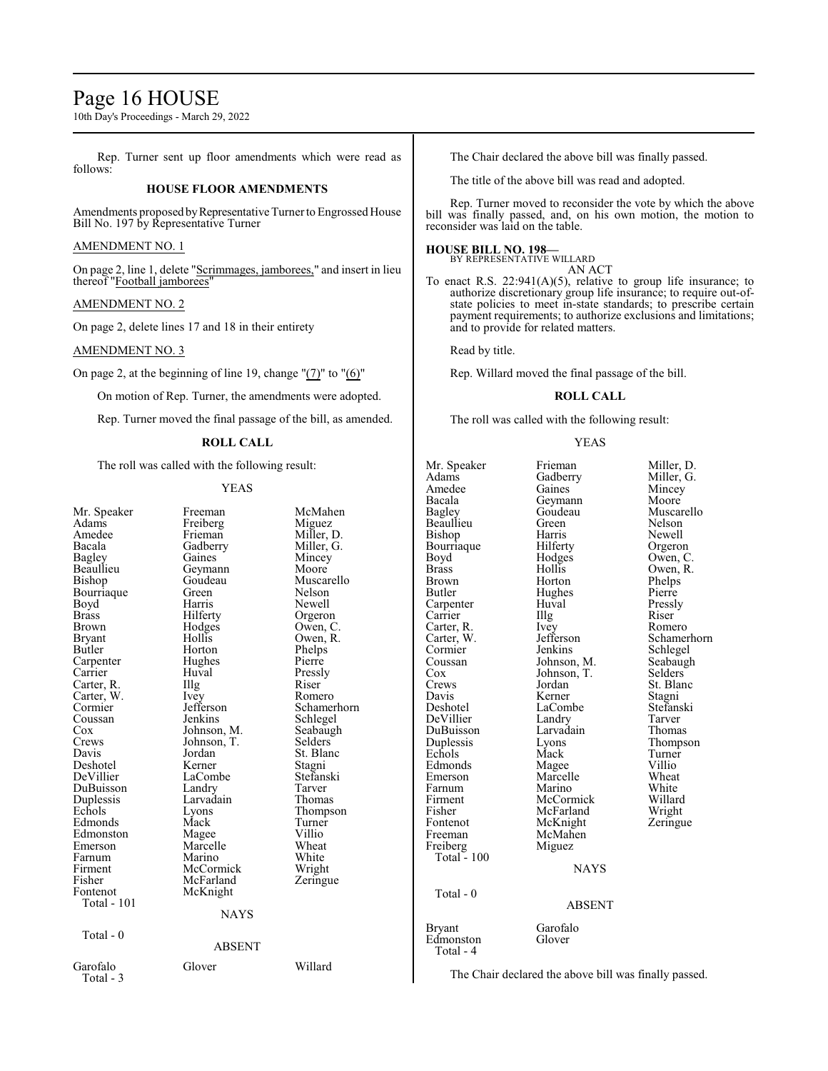### Page 16 HOUSE

10th Day's Proceedings - March 29, 2022

Rep. Turner sent up floor amendments which were read as follows:

#### **HOUSE FLOOR AMENDMENTS**

Amendments proposed by Representative Turner to Engrossed House Bill No. 197 by Representative Turner

#### AMENDMENT NO. 1

On page 2, line 1, delete "Scrimmages, jamborees," and insert in lieu thereof "Football jamborees"

#### AMENDMENT NO. 2

On page 2, delete lines 17 and 18 in their entirety

#### AMENDMENT NO. 3

On page 2, at the beginning of line 19, change "(7)" to "(6)"

On motion of Rep. Turner, the amendments were adopted.

Rep. Turner moved the final passage of the bill, as amended.

#### **ROLL CALL**

The roll was called with the following result:

#### YEAS

| Mr. Speaker   | Freeman           | McMahen     |  |
|---------------|-------------------|-------------|--|
| Adams         | Freiberg          | Miguez      |  |
| Amedee        | Frieman           | Miller, D.  |  |
| Bacala        | Gadberry          | Miller, G.  |  |
| <b>Bagley</b> | Gaines            | Mincey      |  |
| Beaullieu     | Geymann           | Moore       |  |
| Bishop        | Goudeau           | Muscarello  |  |
| Bourriaque    | Green             | Nelson      |  |
| Boyd          | Harris            | Newell      |  |
| <b>Brass</b>  | Hilferty          | Orgeron     |  |
| <b>Brown</b>  | Hodges            | Owen, C.    |  |
| <b>Bryant</b> | Hollis            | Owen, R.    |  |
| <b>Butler</b> | Horton            | Phelps      |  |
| Carpenter     | Hughes            | Pierre      |  |
| Carrier       | Huval             | Pressly     |  |
| Carter, R.    | $\prod_{i=1}^{n}$ | Riser       |  |
| Carter, W.    | Ivey              | Romero      |  |
| Cormier       | Jefferson         | Schamerhorn |  |
| Coussan       | Jenkins           | Schlegel    |  |
| Cox           | Johnson, M.       | Seabaugh    |  |
| Crews         | Johnson, T.       | Selders     |  |
| Davis         | Jordan            | St. Blanc   |  |
| Deshotel      | Kerner            | Stagni      |  |
| DeVillier     | LaCombe           | Stefanski   |  |
| DuBuisson     | Landry            | Tarver      |  |
| Duplessis     | Larvadain         | Thomas      |  |
| Echols        | Lyons             | Thompson    |  |
| Edmonds       | Mack              | Turner      |  |
| Edmonston     | Magee             | Villio      |  |
| Emerson       | Marcelle          | Wheat       |  |
| Farnum        | Marino            | White       |  |
| Firment       | McCormick         | Wright      |  |
| Fisher        | McFarland         | Zeringue    |  |
| Fontenot      | McKnight          |             |  |
| Total - 101   |                   |             |  |
|               | <b>NAYS</b>       |             |  |
| Total - $0$   |                   |             |  |
|               | <b>ABSENT</b>     |             |  |
|               |                   |             |  |
| Garofalo      | Glover            | Willard     |  |
| Total - 3     |                   |             |  |
|               |                   |             |  |

The Chair declared the above bill was finally passed.

The title of the above bill was read and adopted.

Rep. Turner moved to reconsider the vote by which the above bill was finally passed, and, on his own motion, the motion to reconsider was laid on the table.

#### **HOUSE BILL NO. 198—**

BY REPRESENTATIVE WILLARD AN ACT

To enact R.S. 22:941(A)(5), relative to group life insurance; to authorize discretionary group life insurance; to require out-ofstate policies to meet in-state standards; to prescribe certain payment requirements; to authorize exclusions and limitations; and to provide for related matters.

Read by title.

Rep. Willard moved the final passage of the bill.

#### **ROLL CALL**

The roll was called with the following result:

#### YEAS

Mr. Speaker Frieman Miller, D.<br>Adams Gadberry Miller, G. Amedee Gaines Mincey<br>Bacala Geymann Moore Bacala Geymann Moore Beaullieu Green Nelson Bishop Harris Newell Bourriaque Hilferty<br>Boyd Hodges Boyd Hodges Owen, C. Brass Hollis Owen, R. Brown Horton Phelps Exementer Huval Pressly<br>Carrier Hugh Riser Carrier Illg Riser Carter, R. Ivey<br>Carter, W. Jefferson Carter, W. Jefferson Schamerhorn Eormier Jenkins Schlegel<br>Coussan Johnson, M. Seabaugh Coussan Johnson, M. Seabaughten<br>Cox Johnson, T. Selders Cox Johnson, T.<br>Crews Jordan Crews Jordan St. Blanc<br>
Davis Kerner Stagni Davis Kerner<br>Deshotel LaCombe DeVillier Landry Tarver<br>DuBuisson Larvadain Thomas DuBuisson Larvad<br>Duplessis Lyons Echols Mack Turner Edmonds Magee Villio<br>Emerson Marcelle Wheat Emerson Marcelle Wheat<br>Farnum Marino White Farnum Marino White Firment McCormick Willard Fisher McFarland<br>Fontenot McKnight Fontenot McKnight Zeringue<br>Freeman McMahen Freiberg Miguez Total - 100 Total - 0 Bryant Garofalo<br>Edmonston Glover Edmonston Total - 4

Gadberry Miller, G.<br>Gaines Mincey Goudeau Muscarello<br>Green Nelson Hughes Pierre<br>Huval Pressly LaCombe<br>
Landrv Stefanski<br>
Tarver Lyons Thompson<br>Mack Turner

#### NAYS

#### ABSENT

McMahen<br>Miguez

The Chair declared the above bill was finally passed.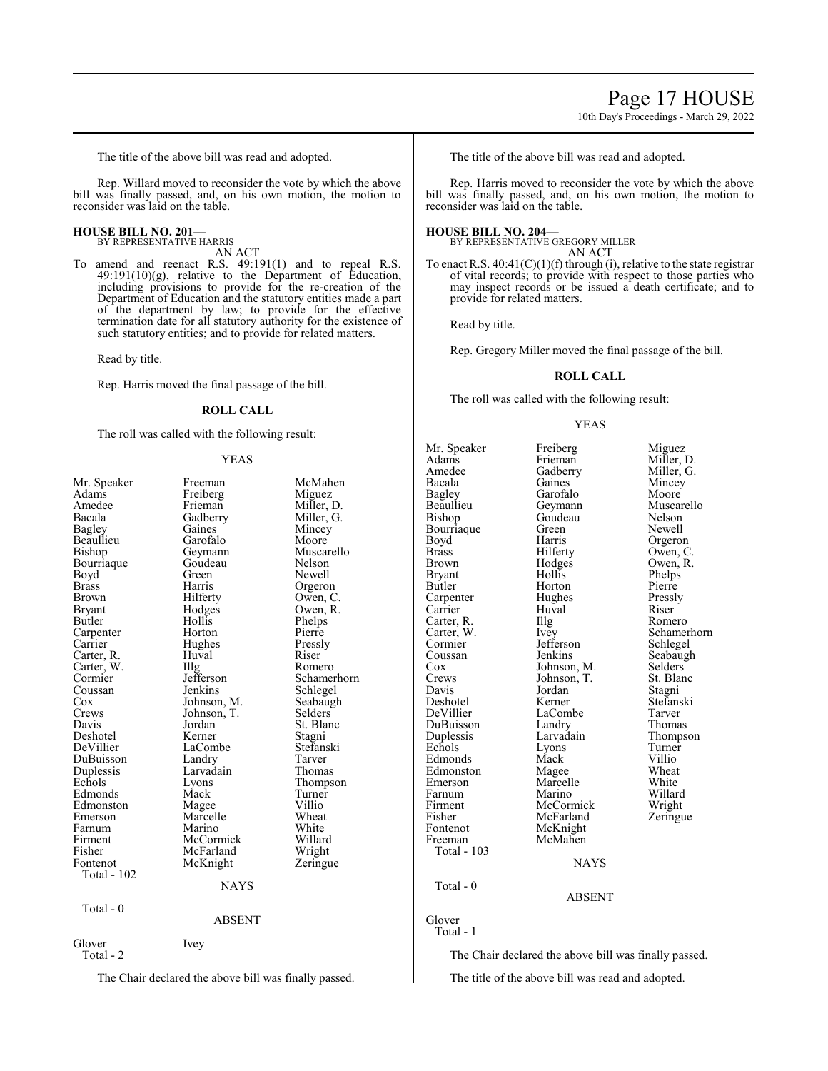10th Day's Proceedings - March 29, 2022

The title of the above bill was read and adopted.

Rep. Willard moved to reconsider the vote by which the above bill was finally passed, and, on his own motion, the motion to reconsider was laid on the table.

#### **HOUSE BILL NO. 201—** BY REPRESENTATIVE HARRIS

AN ACT

To amend and reenact R.S. 49:191(1) and to repeal R.S. 49:191(10)(g), relative to the Department of Education, including provisions to provide for the re-creation of the Department of Education and the statutory entities made a part of the department by law; to provide for the effective termination date for all statutory authority for the existence of such statutory entities; and to provide for related matters.

Read by title.

Rep. Harris moved the final passage of the bill.

#### **ROLL CALL**

The roll was called with the following result:

#### YEAS

| Total - 0<br><b>ABSENT</b><br>Glover<br>Ivey<br>Total - 2 | Mr. Speaker<br>Adams<br>Amedee<br>Bacala<br>Bagley<br>Beaullieu<br>Bishop<br>Bourriaque<br>Boyd<br><b>Brass</b><br><b>Brown</b><br><b>Bryant</b><br><b>Butler</b><br>Carpenter<br>Carrier<br>Carter, R.<br>Carter, W.<br>Cormier<br>Coussan<br>$\cos$<br>Crews<br>Davis<br>Deshotel<br>DeVillier<br>DuBuisson<br>Duplessis<br>Echols<br>Edmonds<br>Edmonston<br>Emerson<br>Farnum<br>Firment<br>Fisher<br>Fontenot<br>Total - 102 | Freeman<br>Freiberg<br>Frieman<br>Gadberry<br>Gaines<br>Garofalo<br>Geymann<br>Goudeau<br>Green<br>Harris<br>Hilferty<br>Hodges<br>Hollis<br>Horton<br>Hughes<br>Huval<br>$\prod_{i=1}^{n}$<br>Jefferson<br>Jenkins<br>Johnson, M.<br>Johnson, T.<br>Jordan<br>Kerner<br>LaCombe<br>Landry<br>Larvadain<br>Lyons<br>Mack<br>Magee<br>Marcelle<br>Marino<br>McCormick<br>McFarland<br>McKnight<br>NAYS | McMahen<br>Miguez<br>Miller, D.<br>Miller, G.<br>Mincey<br>Moore<br>Muscarello<br>Nelson<br>Newell<br>Orgeron<br>Owen, C.<br>Owen, R.<br>Phelps<br>Pierre<br>Pressly<br>Riser<br>Romero<br>Schamerhorn<br>Schlegel<br>Seabaugh<br>Selders<br>St. Blanc<br>Stagni<br>Stefanski<br>Tarver<br>Thomas<br>Thompson<br>Turner<br>Villio<br>Wheat<br>White<br>Willard<br>Wright<br>Zeringue |
|-----------------------------------------------------------|-----------------------------------------------------------------------------------------------------------------------------------------------------------------------------------------------------------------------------------------------------------------------------------------------------------------------------------------------------------------------------------------------------------------------------------|-------------------------------------------------------------------------------------------------------------------------------------------------------------------------------------------------------------------------------------------------------------------------------------------------------------------------------------------------------------------------------------------------------|--------------------------------------------------------------------------------------------------------------------------------------------------------------------------------------------------------------------------------------------------------------------------------------------------------------------------------------------------------------------------------------|
|                                                           |                                                                                                                                                                                                                                                                                                                                                                                                                                   |                                                                                                                                                                                                                                                                                                                                                                                                       |                                                                                                                                                                                                                                                                                                                                                                                      |
|                                                           |                                                                                                                                                                                                                                                                                                                                                                                                                                   |                                                                                                                                                                                                                                                                                                                                                                                                       |                                                                                                                                                                                                                                                                                                                                                                                      |
|                                                           |                                                                                                                                                                                                                                                                                                                                                                                                                                   |                                                                                                                                                                                                                                                                                                                                                                                                       |                                                                                                                                                                                                                                                                                                                                                                                      |

The Chair declared the above bill was finally passed.

The title of the above bill was read and adopted.

Rep. Harris moved to reconsider the vote by which the above bill was finally passed, and, on his own motion, the motion to reconsider was laid on the table.

#### **HOUSE BILL NO. 204—**

BY REPRESENTATIVE GREGORY MILLER AN ACT

To enact R.S.  $40:41(C)(1)(f)$  through (i), relative to the state registrar of vital records; to provide with respect to those parties who may inspect records or be issued a death certificate; and to provide for related matters.

Read by title.

Rep. Gregory Miller moved the final passage of the bill.

#### **ROLL CALL**

The roll was called with the following result:

#### YEAS

Mr. Speaker Freiberg Miguez<br>Adams Frieman Miller, 1 Adams Frieman Miller, D.<br>Amedee Gadberry Miller, G. Amedee Gadberry Miller, G.<br>Bacala Gaines Mincey Bagley Garofalo Moore<br>Beaullieu Geymann Musca Bourriaque Green<br>Boyd Harris Boyd Harris Orgeron<br>Brass Hilferty Owen, C Brass Hilferty Owen, C.<br>Brown Hodges Owen, R. Bryant Hollis<br>Butler Horton Carpenter Hughes Pressly<br>Carrier Huval Riser Carrier Huval Riser<br>Carter, R. Illg Romero Carter, R. Illg<br>Carter, W. Ivey Cormier Jefferson<br>Coussan Jenkins Coussan Jenkins Seabaugh<br>Cox Johnson, M. Selders Cox Johnson, M. Selders<br>Crews Johnson, T. St. Blanc Crews Johnson, T.<br>Davis Jordan Davis Jordan Stagni Deshotel Kerner Stefanski<br>DeVillier LaCombe Tarver DuBuisson Landry Thomas<br>
Duplessis Larvadain Thompson Duplessis Larvadain Thomp<br>
Echols Lyons Turner Echols Lyons Turner Edmonds Mack Villio<br>
Edmonston Magee Wheat Edmonston Magee Wheat<br>Emerson Marcelle White Emerson Marcelle White<br>
Farnum Marino Willard Farnum Marino Willard<br>Firment McCormick Wright Firment McCormick Wright<br>
Fisher McFarland Zeringue Fisher McFarland<br>Fontenot McKnight Fontenot McKnight<br>Freeman McMahen Total - 103 Total - 0 Glover

Horton Pierre<br>
Hughes Pressly McMahen

Mincey Beaullieu Geymann Muscarello<br>Bishop Goudeau Nelson Goudeau Nelson<br>Green Newell Hodges Owen, R.<br>Hollis Phelps Carter, W. Ivey Schamerhorn<br>
Cormier Jefferson Schlegel LaCombe Tarver<br>
Landry Thomas

#### **NAYS**

#### ABSENT

Total - 1

The Chair declared the above bill was finally passed.

The title of the above bill was read and adopted.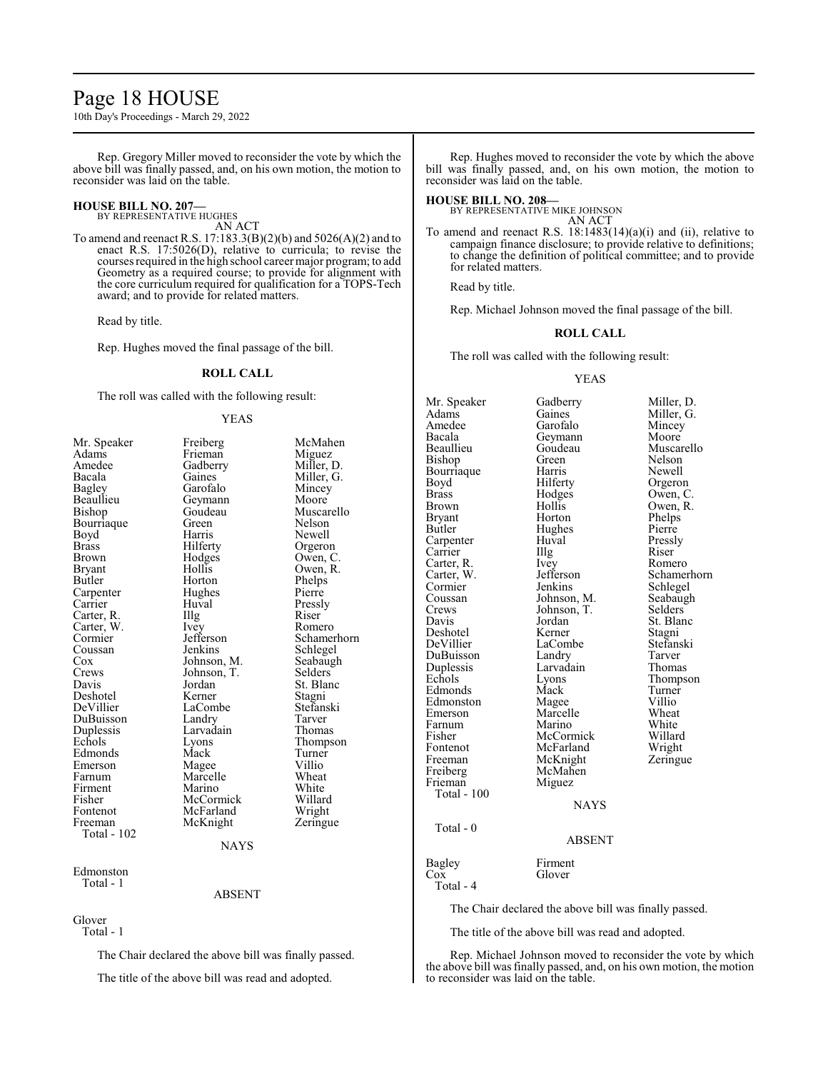### Page 18 HOUSE

10th Day's Proceedings - March 29, 2022

Rep. Gregory Miller moved to reconsider the vote by which the above bill was finally passed, and, on his own motion, the motion to reconsider was laid on the table.

#### **HOUSE BILL NO. 207—** BY REPRESENTATIVE HUGHES

AN ACT

To amend and reenact R.S. 17:183.3(B)(2)(b) and 5026(A)(2) and to enact R.S. 17:5026(D), relative to curricula; to revise the courses required in the high school career major program; to add Geometry as a required course; to provide for alignment with the core curriculum required for qualification for a TOPS-Tech award; and to provide for related matters.

Read by title.

Rep. Hughes moved the final passage of the bill.

#### **ROLL CALL**

The roll was called with the following result:

#### YEAS

| Mr. Speaker   | Freiberg    | McMahen     |
|---------------|-------------|-------------|
| Adams         | Frieman     | Miguez      |
| Amedee        | Gadberry    | Miller, D.  |
| Bacala        | Gaines      | Miller, G.  |
| <b>Bagley</b> | Garofalo    | Mincey      |
| Beaullieu     | Geymann     | Moore       |
| Bishop        | Goudeau     | Muscarello  |
| Bourriaque    | Green       | Nelson      |
| Boyd          | Harris      | Newell      |
| Brass         | Hilferty    | Orgeron     |
| Brown         | Hodges      | Owen, C.    |
| Bryant        | Hollis      | Owen, R.    |
| Butler        | Horton      | Phelps      |
| Carpenter     | Hughes      | Pierre      |
| Carrier       | Huval       | Pressly     |
| Carter, R.    | Illg        | Riser       |
| Carter, W.    | Ivey        | Romero      |
| Cormier       | Jefferson   | Schamerhorn |
| Coussan       | Jenkins     | Schlegel    |
| Cox           | Johnson, M. | Seabaugh    |
| Crews         | Johnson, T. | Selders     |
| Davis         | Jordan      | St. Blanc   |
| Deshotel      | Kerner      | Stagni      |
| DeVillier     | LaCombe     | Stefanski   |
| DuBuisson     | Landry      | Tarver      |
| Duplessis     | Larvadain   | Thomas      |
| Echols        | Lyons       | Thompson    |
| Edmonds       | Mack        | Turner      |
| Emerson       | Magee       | Villio      |
| Farnum        | Marcelle    | Wheat       |
| Firment       | Marino      | White       |
| Fisher        | McCormick   | Willard     |
| Fontenot      | McFarland   | Wright      |
| Freeman       | McKnight    | Zeringue    |
| Total - 102   |             |             |
|               | <b>NAYS</b> |             |
| Edmonston     |             |             |

Total - 1

ABSENT

Glover Total - 1

The Chair declared the above bill was finally passed.

The title of the above bill was read and adopted.

Rep. Hughes moved to reconsider the vote by which the above bill was finally passed, and, on his own motion, the motion to reconsider was laid on the table.

#### **HOUSE BILL NO. 208—** BY REPRESENTATIVE MIKE JOHNSON

AN ACT

To amend and reenact R.S.  $18:1483(14)(a)(i)$  and (ii), relative to campaign finance disclosure; to provide relative to definitions; to change the definition of political committee; and to provide for related matters.

Read by title.

Rep. Michael Johnson moved the final passage of the bill.

#### **ROLL CALL**

The roll was called with the following result:

#### YEAS

Mr. Speaker Gadberry Miller, D.<br>Adams Gaines Miller, G. Adams Gaines Miller, G.<br>Amedee Garofalo Mincey Amedee Garofalo Mincey<br>Bacala Geymann Moore Bacala Geymann<br>Beaullieu Goudeau Bishop Green Nelson Bourriaque Harris<br>Boyd Hilferty Brass Hodges Owen, C. Brown Hollis Owen, R.<br>Bryant Horton Phelps Bryant Horton Phelps<br>Butler Hughes Pierre Carpenter Huval Pressl<br>Carrier Hugh Riser Carrier IIIg Riser<br>Carter, R. Ivey Romero Carter, R. Ivey<br>Carter, W. Jefferson Carter, W. Jefferson Schamerhorn<br>
Cormier Jenkins Schlegel Cormier Jenkins Schlegel<br>Coussan Johnson, M. Seabaugh Coussan Johnson, M. Seabaugh<br>Crews Johnson, T. Selders Crews Johnson, T.<br>Davis Jordan Deshotel Kerner Stagni DeVillier LaCombe Stefans<br>DuBuisson Landry Tarver DuBuisson Landry Tarver<br>
Duplessis Larvadain Thomas Duplessis Larvadain<br>
Echols Lyons Edmonds Mack Turner<br>Edmonston Magee Villio Edmonston Magee Villio<br>Emerson Marcelle Wheat Farnum Marino White<br>
Fisher McCormick Willard Fisher McCormick Willard Fontenot McFarland Wright<br>
Freeman McKnight Zeringue Freeman McKnight<br>Freiberg McMahen Freiberg McMahen<br>Frieman Miguez Total - 100 Total - 0

Hughes Pierre<br>Huval Pressly Jordan St. Blanc<br>Kerner Stagni Extends Extends Thompson<br>
Extends Turner<br>
Mack Turner Marcelle Wheat<br>
Marino White Miguez NAYS

Goudeau Muscarello<br>Green Nelson Orgeron

#### ABSENT

Bagley Firment<br>Cox Glover Glover Total - 4

The Chair declared the above bill was finally passed.

The title of the above bill was read and adopted.

Rep. Michael Johnson moved to reconsider the vote by which the above bill was finally passed, and, on his own motion, the motion to reconsider was laid on the table.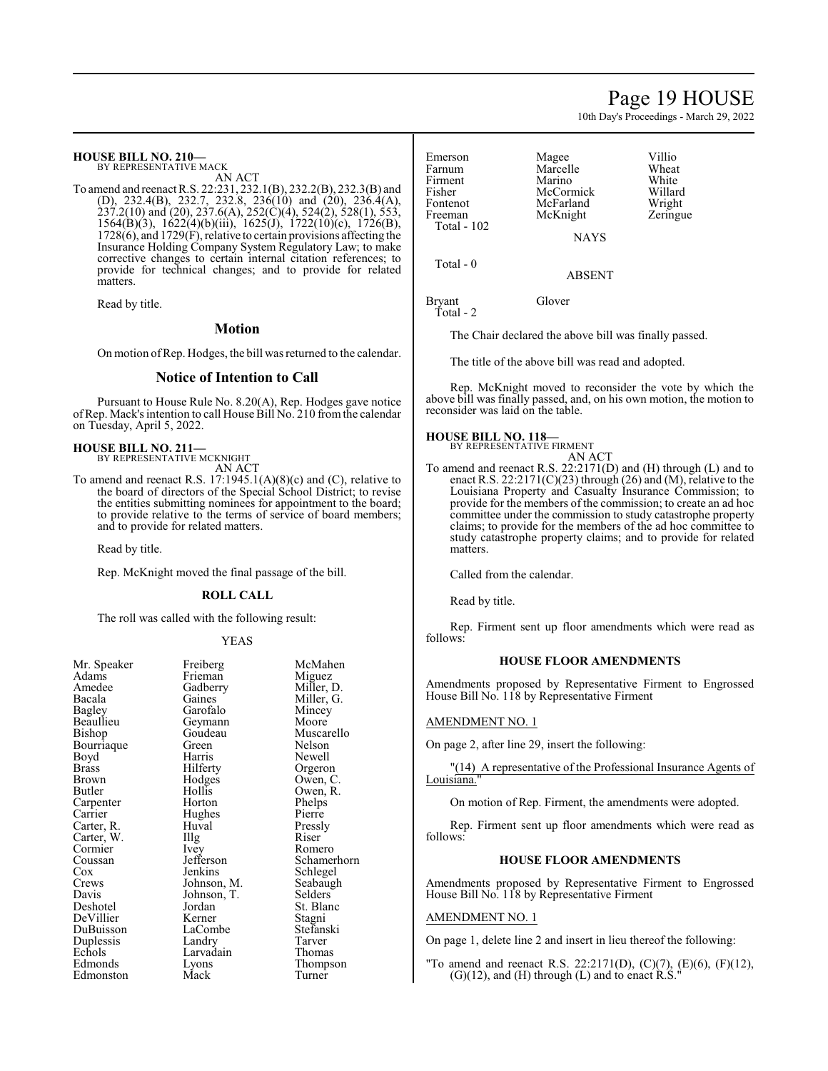### Page 19 HOUSE

10th Day's Proceedings - March 29, 2022

#### **HOUSE BILL NO. 210—**

BY REPRESENTATIVE MACK

AN ACT To amend and reenact R.S. 22:231, 232.1(B), 232.2(B), 232.3(B) and (D), 232.4(B), 232.7, 232.8, 236(10) and (20), 236.4(A),  $\frac{237}{2}(10)$  and  $\left(\frac{20}{237.6}(A), \frac{252}{C}\right)(4), \frac{524}{2}, \frac{528}{1}, \frac{553}{1}, \frac{553}{1}, \frac{553}{1}, \frac{553}{1}, \frac{553}{1}, \frac{553}{1}, \frac{553}{1}, \frac{553}{1}, \frac{553}{1}, \frac{553}{1}, \frac{553}{1}, \frac{553}{1}, \frac{553}{1}, \frac{553}{1}, \frac{553}{1}, \frac{553}{1}, \frac{553}{1}, \$ 1564(B)(3), 1622(4)(b)(iii), 1625(J), 1722(10)(c), 1726(B), 1728(6), and 1729(F), relative to certain provisions affecting the Insurance Holding Company System Regulatory Law; to make corrective changes to certain internal citation references; to provide for technical changes; and to provide for related matters.

Read by title.

#### **Motion**

On motion ofRep. Hodges, the bill was returned to the calendar.

#### **Notice of Intention to Call**

Pursuant to House Rule No. 8.20(A), Rep. Hodges gave notice ofRep. Mack's intention to call House Bill No. 210 fromthe calendar on Tuesday, April 5, 2022.

#### **HOUSE BILL NO. 211—**

BY REPRESENTATIVE MCKNIGHT

AN ACT To amend and reenact R.S. 17:1945.1(A)(8)(c) and (C), relative to the board of directors of the Special School District; to revise the entities submitting nominees for appointment to the board; to provide relative to the terms of service of board members; and to provide for related matters.

Read by title.

Rep. McKnight moved the final passage of the bill.

#### **ROLL CALL**

The roll was called with the following result:

#### YEAS

| Mr. Speaker<br>Adams | Freiberg<br>Frieman | McMah<br>Miguez |
|----------------------|---------------------|-----------------|
| Amedee               | Gadberry            | Miller,         |
| Bacala               | Gaines              | Miller,         |
| Bagley               | Garofalo            | Mincey          |
| Beaullieu            | Geymann             | Moore           |
| Bishop               | Goudeau             | Muscar          |
| Bourriaque           | Green               | Nelson          |
| Boyd                 | Harris              | Newell          |
| Brass                | Hilferty            | Orgeroi         |
| Brown                | Hodges              | Owen,           |
| Butler               | Hollis              | Owen, l         |
| Carpenter            | Horton              | Phelps          |
| Carrier              | Hughes              | Pierre          |
| Carter, R.           | Huval               | Pressly         |
| Carter, W.           | Illg                | Riser           |
| Cormier              | Ivey                | Romerc          |
| Coussan              | Jefferson           | Schame          |
| Cox                  | Jenkins             | Schlege         |
| Crews                | Johnson, M.         | Seabaug         |
| Davis                | Johnson, T.         | Selders         |
| Deshotel             | Jordan              | St. Blar        |
| DeVillier            | Kerner              | Stagni          |
| DuBuisson            | LaCombe             | Stefansl        |
| Duplessis            | Landry              | Tarver          |
| Echols               | Larvadain           | Thomas          |
| Edmonds              | Lyons               | <b>Thomps</b>   |
| Edmonston            | Mack                | Turner          |
|                      |                     |                 |

McMahen<br>Miguez Miller, D. Miller, G. Mincey<br>Moore Muscarello Nelson Newell Orgeron Owen, C. Owen, R. Phelps<br>Pierre Pressly<br>Riser Romero Schamerhorn Schlegel<br>M. Seabaugh M. Seabaugh<br>T. Selders Selders<sup>®</sup> St. Blanc<br>Stagni Stefanski Tarver n Thomas Thompson Turner

| Emerson            | Magee       | Villio |
|--------------------|-------------|--------|
| Farnum             | Marcelle    | Wheat  |
| Firment            | Marino      | White  |
| Fisher             | McCormick   | Willar |
| Fontenot           | McFarland   | Wrigh  |
| Freeman            | McKnight    | Zering |
| <b>Total - 102</b> |             |        |
|                    | <b>NAYS</b> |        |
| Total - 0          |             |        |
|                    |             |        |

White Willard Wright Zeringue

ABSENT

Bryant Glover Total - 2

The Chair declared the above bill was finally passed.

The title of the above bill was read and adopted.

Rep. McKnight moved to reconsider the vote by which the above bill was finally passed, and, on his own motion, the motion to reconsider was laid on the table.

#### **HOUSE BILL NO. 118—**

BY REPRESENTATIVE FIRMENT AN ACT

To amend and reenact R.S. 22:2171(D) and (H) through (L) and to enact R.S. 22:2171(C)(23) through (26) and (M), relative to the Louisiana Property and Casualty Insurance Commission; to provide for the members of the commission; to create an ad hoc committee under the commission to study catastrophe property claims; to provide for the members of the ad hoc committee to study catastrophe property claims; and to provide for related matters.

Called from the calendar.

Read by title.

Rep. Firment sent up floor amendments which were read as follows:

#### **HOUSE FLOOR AMENDMENTS**

Amendments proposed by Representative Firment to Engrossed House Bill No. 118 by Representative Firment

#### AMENDMENT NO. 1

On page 2, after line 29, insert the following:

"(14) A representative of the Professional Insurance Agents of Louisiana.

On motion of Rep. Firment, the amendments were adopted.

Rep. Firment sent up floor amendments which were read as follows:

#### **HOUSE FLOOR AMENDMENTS**

Amendments proposed by Representative Firment to Engrossed House Bill No. 118 by Representative Firment

#### AMENDMENT NO. 1

On page 1, delete line 2 and insert in lieu thereof the following:

"To amend and reenact R.S. 22:2171(D), (C)(7), (E)(6), (F)(12),  $(G)(12)$ , and  $(H)$  through  $(L)$  and to enact  $R.S.''$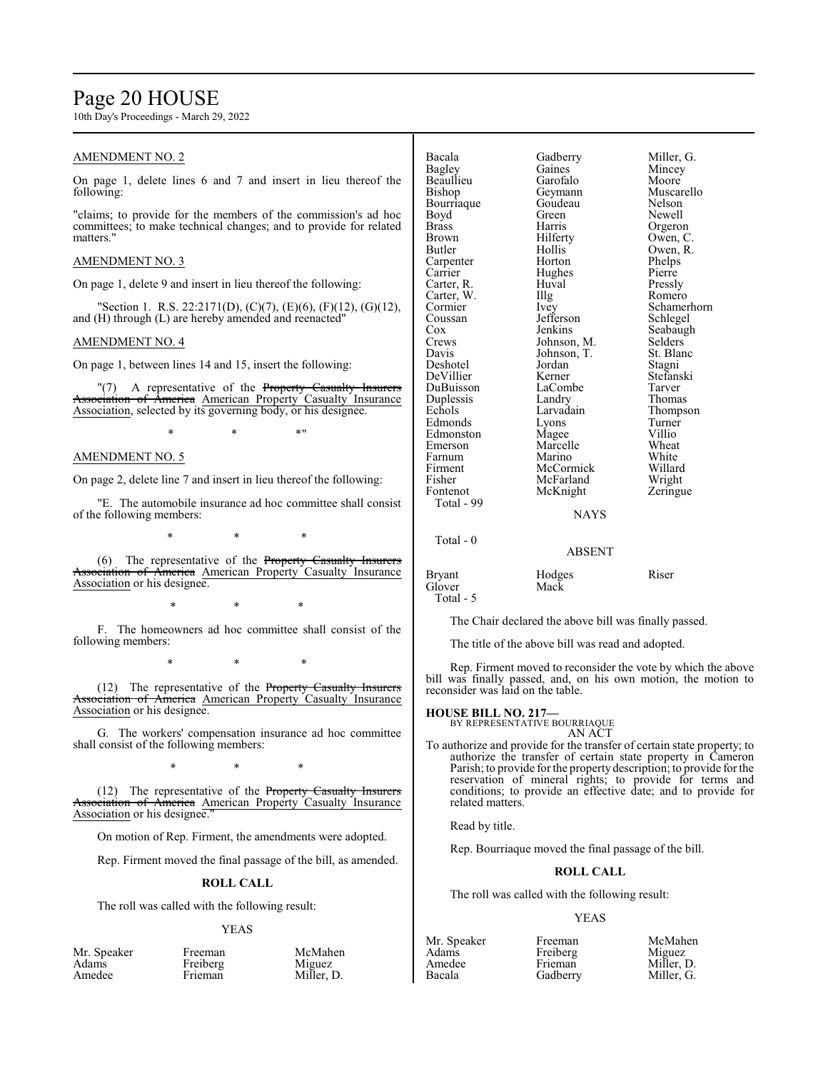### Page 20 HOUSE

10th Day's Proceedings - March 29, 2022

#### AMENDMENT NO. 2

On page 1, delete lines 6 and 7 and insert in lieu thereof the following:

"claims; to provide for the members of the commission's ad hoc committees; to make technical changes; and to provide for related matters."

#### AMENDMENT NO. 3

On page 1, delete 9 and insert in lieu thereof the following:

"Section 1. R.S. 22:2171(D), (C)(7), (E)(6), (F)(12), (G)(12), and (H) through (L) are hereby amended and reenacted"

#### AMENDMENT NO. 4

On page 1, between lines 14 and 15, insert the following:

"(7) A representative of the Property Casualty Insurers Association of America American Property Casualty Insurance Association, selected by its governing body, or his designee.

 $*$  \*  $*$  \*

#### AMENDMENT NO. 5

On page 2, delete line 7 and insert in lieu thereof the following:

"E. The automobile insurance ad hoc committee shall consist of the following members:

\* \* \*

(6) The representative of the Property Casualty Insurers Association of America American Property Casualty Insurance Association or his designee.

\* \* \*

F. The homeowners ad hoc committee shall consist of the following members:

\* \* \*

(12) The representative of the Property Casualty Insurers Association of America American Property Casualty Insurance Association or his designee.

G. The workers' compensation insurance ad hoc committee shall consist of the following members:

\* \* \*

(12) The representative of the Property Casualty Insurers merica American Property Casualty Insurance Association or his designee."

On motion of Rep. Firment, the amendments were adopted.

Rep. Firment moved the final passage of the bill, as amended.

#### **ROLL CALL**

The roll was called with the following result:

#### YEAS

| Mr. Speaker |  |
|-------------|--|
| Adams       |  |
| Amedee      |  |

| Bacala            | Gadberry               | Miller, G.         |
|-------------------|------------------------|--------------------|
| Bagley            | Gaines                 | Mincey             |
| Beaullieu         | Garofalo               | Moore              |
| Bishop            | Geymann                | Muscarello         |
| Bourriaque        | Goudeau                | Nelson             |
| Boyd              | Green                  | Newell             |
| Brass             | Harris                 | Orgeron            |
| Brown             | Hilferty               | Owen, C.           |
| Butler            | Hollis                 | Owen, R.           |
| Carpenter         | Horton                 | Phelps             |
| Carrier           | Hughes                 | Pierre             |
| Carter, R.        | Huval                  | Pressly            |
| Carter, W.        | Illg                   | Romero             |
| Cormier           | Ivey                   | Schamerho          |
| Coussan           | Jefferson              | Schlegel           |
| Cox               | Jenkins                | Seabaugh           |
| Crews             | Johnson, M.            | Selders            |
| Davis             | Johnson, T.            | St. Blanc          |
| Deshotel          | Jordan                 | Stagni             |
| DeVillier         | Kerner                 | Stefanski          |
| DuBuisson         | LaCombe                | Tarver             |
| Duplessis         | Landry                 | Thomas             |
| Echols            | Larvadain              |                    |
| Edmonds           | Lyons                  | Thompson<br>Turner |
| Edmonston         |                        | Villio             |
| Emerson           | Magee<br>Marcelle      | Wheat              |
| Farnum            | Marino                 | White              |
|                   |                        |                    |
| Firment<br>Fisher | McCormick<br>McFarland | Willard            |
|                   |                        | Wright             |
| Fontenot          | McKnight               | Zeringue           |
| Total - 99        |                        |                    |
|                   | <b>NAYS</b>            |                    |
| Total - 0         |                        |                    |

en Newell France Contains to the Phelps<br>
Pierre r<br>Expansion<br>Schlegel Zeringue

#### NAYS

#### ABSENT

#### Bryant Hodges Riser<br>
Hodges Riser<br>
Mack Mack

Total - 5

The Chair declared the above bill was finally passed.

The title of the above bill was read and adopted.

Rep. Firment moved to reconsider the vote by which the above bill was finally passed, and, on his own motion, the motion to reconsider was laid on the table.

#### **HOUSE BILL NO. 217—**

BY REPRESENTATIVE BOURRIAQUE AN ACT

To authorize and provide for the transfer of certain state property; to authorize the transfer of certain state property in Cameron Parish; to provide for the property description; to provide for the reservation of mineral rights; to provide for terms and conditions; to provide an effective date; and to provide for related matters.

Read by title.

Rep. Bourriaque moved the final passage of the bill.

#### **ROLL CALL**

The roll was called with the following result:

#### YEAS

| Mr. Speaker<br>Adams<br>Amedee | Freeman<br>Freiberg<br>∙rieman | McMahen<br>Miguez<br>Miller, D. | Mr. Speaker<br>Adams<br>Amedee<br>Bacala | Freeman<br>Freiberg<br>Frieman<br>Gadberrv | McMahen<br>Miguez<br>Miller, D.<br>Miller. G. |
|--------------------------------|--------------------------------|---------------------------------|------------------------------------------|--------------------------------------------|-----------------------------------------------|
|                                |                                |                                 |                                          |                                            |                                               |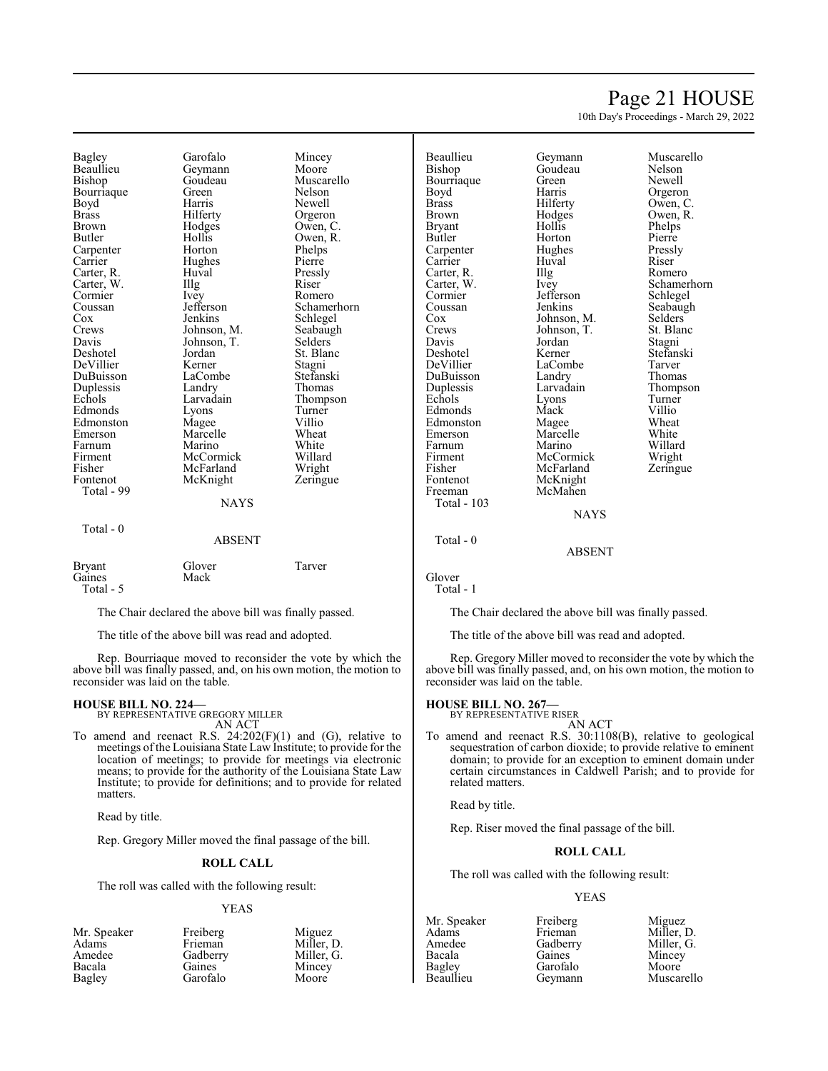### Page 21 HOUSE

10th Day's Proceedings - March 29, 2022

Bagley Garofalo Mincey<br>Beaullieu Gevmann Moore Beaullieu Geymann<br>Bishop Goudeau Bourriaque Green<br>Boyd Harris Boyd Harris Newell<br>Brass Hilferty Orgero Brown Hodges Owen, C.<br>Butler Hollis Owen, R. Carpenter Horton Phelps<br>
Carrier Hughes Pierre Carter, R. Huval Pressl<br>Carter, W. Illg Riser Carter, W. Illg Riser Cormier Livey Romero Cormier Ivey<br>Coussan Jefferson Coussan Jefferson Schamerhorn<br>
Cox Jenkins Schlegel Cox Jenkins Schlegel<br>Crews Johnson, M. Seabaugh Crews Johnson, M. Seabaugh<br>
Davis Johnson, T. Selders Davis Johnson, T.<br>Deshotel Jordan DeVillier Kerner Stagni Duplessis Landry<br>
Echols Larvadain Edmonds Lyons Turne<br>
Edmonston Magee Villio Edmonston Magee Villio<br>Emerson Marcelle Wheat Farnum Marino White<br>Firment McCormick Willard Firment McCormick Willard Fisher McFarland<br>Fontenot McKnight Total - 99 Total - 0

Hollis Owen, R.<br>Horton Phelps Hughes Pierre<br>Huval Pressly Jordan St. Blanc<br>
Kerner Stagni LaCombe Stefansk<br>Landry Thomas Marcelle Wheat<br>
Marino White **NAYS** 

Goudeau Muscarello<br>Green Nelson Orgeron Larvadain Thompson<br>Lyons Turner Zeringue

| <b>Bryant</b> | Glover | Tarver |
|---------------|--------|--------|
| Gaines        | Mack   |        |
| Total $-5$    |        |        |

The Chair declared the above bill was finally passed.

ABSENT

The title of the above bill was read and adopted.

Rep. Bourriaque moved to reconsider the vote by which the above bill was finally passed, and, on his own motion, the motion to reconsider was laid on the table.

### **HOUSE BILL NO. 224—** BY REPRESENTATIVE GREGORY MILLER

AN ACT

To amend and reenact R.S.  $24:202(F)(1)$  and  $(G)$ , relative to meetings of the Louisiana State Law Institute; to provide for the location of meetings; to provide for meetings via electronic means; to provide for the authority of the Louisiana State Law Institute; to provide for definitions; and to provide for related matters.

Read by title.

Rep. Gregory Miller moved the final passage of the bill.

#### **ROLL CALL**

The roll was called with the following result:

#### YEAS

| Freiberg | Miguez     |
|----------|------------|
| Frieman  | Miller, D. |
| Gadberry | Miller, G. |
| Gaines   | Mincey     |
| Garofalo | Moore      |
|          |            |

Beaullieu Geymann Muscarello Bourriaque Green<br>Boyd Harris Boyd Harris Orgeron<br>Brass Hilferty Owen, C Brass Hilferty Owen, C.<br>Brown Hodges Owen, R. Brown Hodges Owen, R.<br>Brvant Hollis Phelps Bryant Hollis Phelps<br>Butler Horton Pierre Carpenter Hughes Pressl<br>Carrier Huval Riser Carrier Huval Riser<br>Carter, R. Illg Romero Carter, R. Illg<br>Carter, W. Ivey Carter, W. Ivey Schamerhorn Cormier Jefferson<br>Coussan Jenkins Coussan Jenkins Seabaugh<br>Cox Johnson, M. Selders Cox Johnson, M. Selders<br>Crews Johnson, T. St. Blanc Crews Johnson, T. St. Blanch<br>Davis Jordan Stagni Davis Jordan<br>Deshotel Kerner Deshotel Kerner Stefanski DuBuisson Landry<br>
Duplessis Larvadain Echols Lyons Turner<br>
Edmonds Mack Villio Edmonds Mack Villio<br>
Edmonston Magee Wheat Edmonston Magee Wheat<br>
Emerson Marcelle White Farnum Marino Willard<br>Firment McCormick Wright Firment McCormick Wright<br>
Fisher McFarland Zeringue Fisher McFarland<br>Fontenot McKnight Fontenot McKnight<br>Freeman McMahen Total - 103 Total - 0

Goudeau Nelson<br>Green Newell Horton Pierre<br>
Hughes Pressly LaCombe Tarver<br>
Landrv Thomas Larvadain Thompson<br>
Lyons Turner Marcelle White<br>
Marino Willard McMahen

#### NAYS

ABSENT

Glover Total - 1

The Chair declared the above bill was finally passed.

The title of the above bill was read and adopted.

Rep. Gregory Miller moved to reconsider the vote by which the above bill was finally passed, and, on his own motion, the motion to reconsider was laid on the table.

### **HOUSE BILL NO. 267—** BY REPRESENTATIVE RISER

AN ACT To amend and reenact R.S. 30:1108(B), relative to geological sequestration of carbon dioxide; to provide relative to eminent domain; to provide for an exception to eminent domain under certain circumstances in Caldwell Parish; and to provide for related matters.

Read by title.

Rep. Riser moved the final passage of the bill.

#### **ROLL CALL**

The roll was called with the following result:

#### YEAS

Bacala Gaines Mincey Bagley Garofalo<br>Beaullieu Geymann

Mr. Speaker Freiberg Miguez<br>Adams Frieman Miller, 1 Adams Frieman Miller, D. Amedee Gadberry Miller, G.<br>Bacala Gaines Mincey Muscarello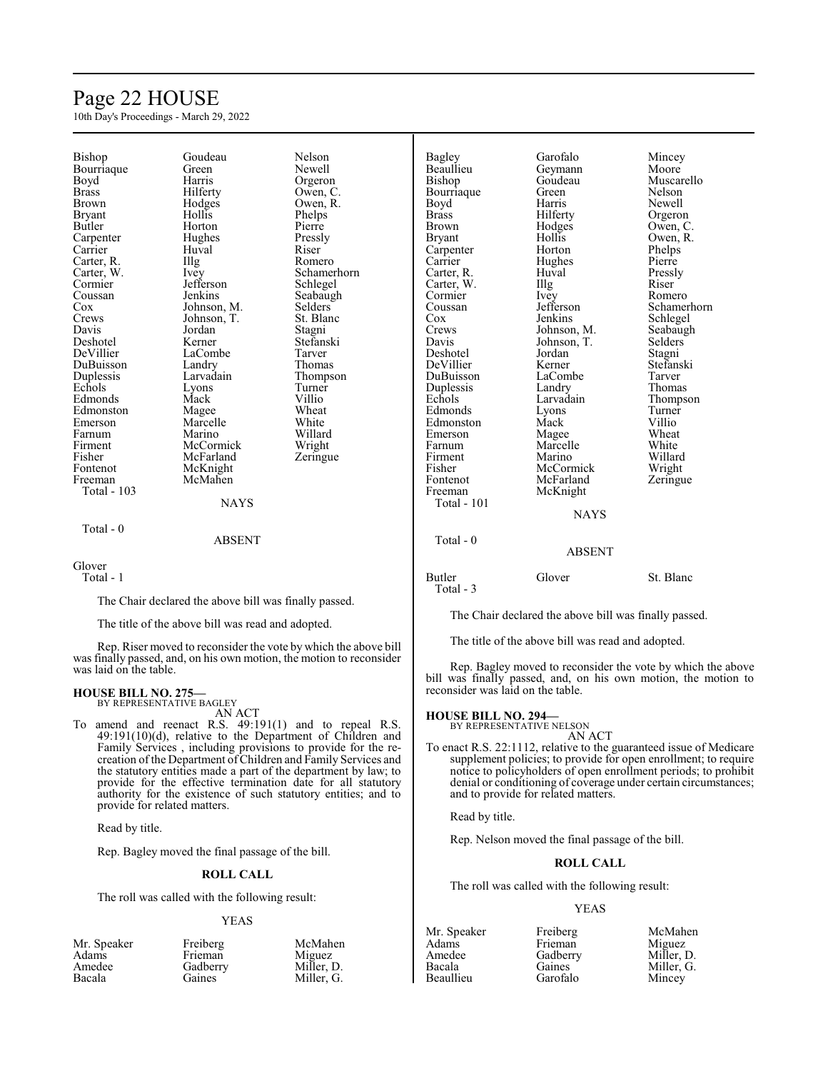### Page 22 HOUSE

10th Day's Proceedings - March 29, 2022

| Bishop             | Goudeau                                               | Nelson         | Bagley             | Garofalo      | Mincey      |
|--------------------|-------------------------------------------------------|----------------|--------------------|---------------|-------------|
| Bourriaque         | Green                                                 | Newell         | Beaullieu          | Geymann       | Moore       |
| Boyd               | Harris                                                | Orgeron        | Bishop             | Goudeau       | Muscarello  |
| <b>Brass</b>       | Hilferty                                              | Owen, C.       | Bourriaque         | Green         | Nelson      |
| <b>Brown</b>       | Hodges                                                | Owen, R.       | Boyd               | Harris        | Newell      |
| <b>Bryant</b>      | Hollis                                                | Phelps         | <b>Brass</b>       | Hilferty      | Orgeron     |
| Butler             | Horton                                                | Pierre         | <b>Brown</b>       | Hodges        | Owen, C.    |
| Carpenter          | Hughes                                                | Pressly        | <b>Bryant</b>      | Hollis        | Owen, R.    |
| Carrier            | Huval                                                 | Riser          | Carpenter          | Horton        | Phelps      |
| Carter, R.         | Illg                                                  | Romero         | Carrier            | Hughes        | Pierre      |
| Carter, W.         | Ivey                                                  | Schamerhorn    | Carter, R.         | Huval         | Pressly     |
| Cormier            | Jefferson                                             | Schlegel       | Carter, W.         | Illg          | Riser       |
| Coussan            | Jenkins                                               | Seabaugh       | Cormier            | Ivey          | Romero      |
| Cox                | Johnson, M.                                           | <b>Selders</b> | Coussan            | Jefferson     | Schamerhorn |
| Crews              | Johnson, T.                                           | St. Blanc      | Cox                | Jenkins       | Schlegel    |
| Davis              | Jordan                                                | Stagni         | Crews              | Johnson, M.   | Seabaugh    |
| Deshotel           | Kerner                                                | Stefanski      | Davis              | Johnson, T.   | Selders     |
| DeVillier          | LaCombe                                               | Tarver         | Deshotel           | Jordan        | Stagni      |
| DuBuisson          | Landry                                                | Thomas         | DeVillier          | Kerner        | Stefanski   |
| Duplessis          | Larvadain                                             | Thompson       | DuBuisson          | LaCombe       | Tarver      |
| Echols             | Lyons                                                 | Turner         | Duplessis          | Landry        | Thomas      |
| Edmonds            | Mack                                                  | Villio         | Echols             | Larvadain     | Thompson    |
| Edmonston          | Magee                                                 | Wheat          | Edmonds            | Lyons         | Turner      |
| Emerson            | Marcelle                                              | White          | Edmonston          | Mack          | Villio      |
| Farnum             | Marino                                                | Willard        | Emerson            | Magee         | Wheat       |
| Firment            | McCormick                                             | Wright         | Farnum             | Marcelle      | White       |
| Fisher             | McFarland                                             | Zeringue       | Firment            | Marino        | Willard     |
| Fontenot           | McKnight                                              |                | Fisher             | McCormick     | Wright      |
| Freeman            | McMahen                                               |                | Fontenot           | McFarland     | Zeringue    |
| <b>Total - 103</b> |                                                       |                | Freeman            | McKnight      |             |
|                    | <b>NAYS</b>                                           |                | <b>Total - 101</b> |               |             |
|                    |                                                       |                |                    | <b>NAYS</b>   |             |
|                    |                                                       |                |                    |               |             |
| Total - 0          |                                                       |                |                    |               |             |
|                    | <b>ABSENT</b>                                         |                | Total - $0$        |               |             |
|                    |                                                       |                |                    | <b>ABSENT</b> |             |
| Glover             |                                                       |                |                    |               |             |
| Total - 1          |                                                       |                | Butler             | Glover        | St. Blanc   |
|                    |                                                       |                | Total - 3          |               |             |
|                    | The Chair declared the above bill was finally passed. |                |                    |               |             |

The title of the above bill was read and adopted.

Rep. Riser moved to reconsider the vote by which the above bill was finally passed, and, on his own motion, the motion to reconsider was laid on the table.

#### **HOUSE BILL NO. 275—**

BY REPRESENTATIVE BAGLEY AN ACT

To amend and reenact R.S. 49:191(1) and to repeal R.S. 49:191(10)(d), relative to the Department of Children and Family Services , including provisions to provide for the recreation of the Department ofChildren and Family Services and the statutory entities made a part of the department by law; to provide for the effective termination date for all statutory authority for the existence of such statutory entities; and to provide for related matters.

Read by title.

Rep. Bagley moved the final passage of the bill.

#### **ROLL CALL**

The roll was called with the following result:

#### YEAS

| Mr. Speaker | Freiberg | McMahen    |
|-------------|----------|------------|
| Adams       | Frieman  | Miguez     |
| Amedee      | Gadberry | Miller, D. |
| Bacala      | Gaines   | Miller, G. |

The Chair declared the above bill was finally passed.

The title of the above bill was read and adopted.

Rep. Bagley moved to reconsider the vote by which the above bill was finally passed, and, on his own motion, the motion to reconsider was laid on the table.

### **HOUSE BILL NO. 294—** BY REPRESENTATIVE NELSON

AN ACT

To enact R.S. 22:1112, relative to the guaranteed issue of Medicare supplement policies; to provide for open enrollment; to require notice to policyholders of open enrollment periods; to prohibit denial or conditioning of coverage under certain circumstances; and to provide for related matters.

Read by title.

Rep. Nelson moved the final passage of the bill.

#### **ROLL CALL**

The roll was called with the following result:

Frieman<br>Gadberry

Garofalo

#### YEAS

| Adams     |
|-----------|
| Amedee    |
| Bacala    |
| Beaullieu |
|           |

Mr. Speaker Freiberg McMahen<br>Adams Frieman Miguez Gadberry Miller, D.<br>Gaines Miller, G. Miller, G.<br>Mincey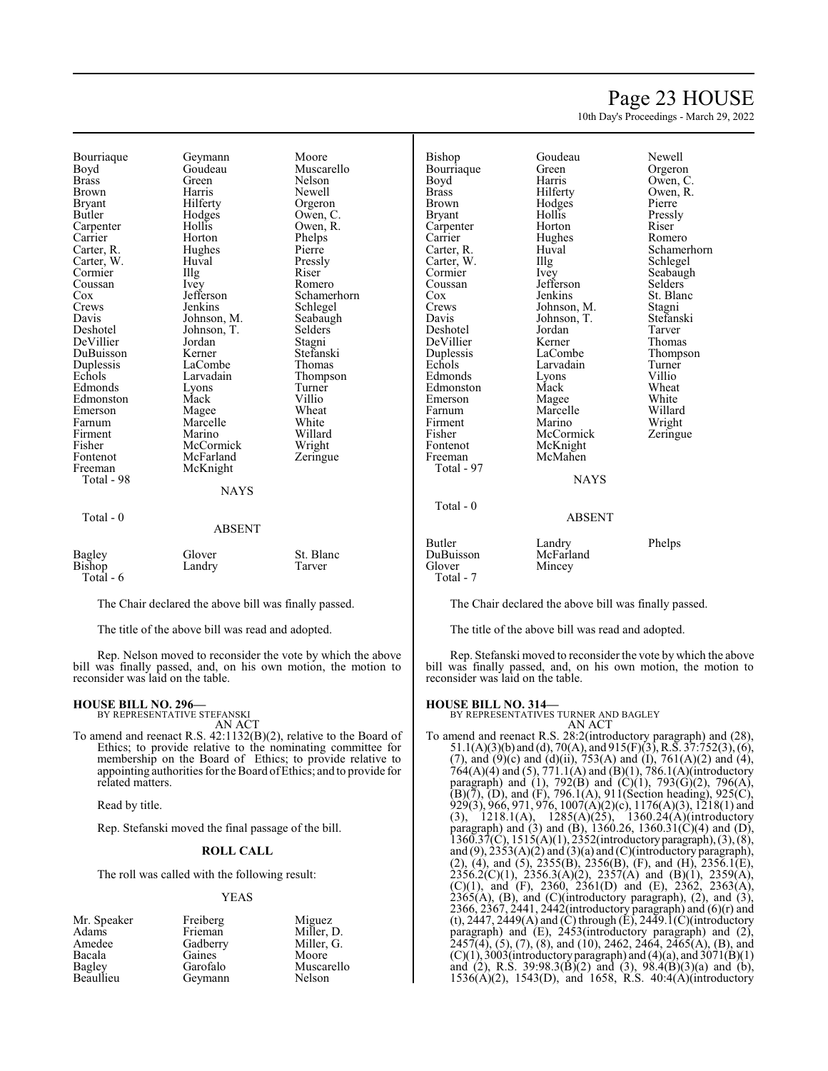### Page 23 HOUSE

10th Day's Proceedings - March 29, 2022

Bourriaque Geymann Moore<br>Boyd Goudeau Muscar Boyd Goudeau Muscarello<br>Brass Green Nelson Brass Green Nelson Brown Harris Newell<br>Bryant Hilferty Orgeror Bryant Hilferty Orgeron<br>Butler Hodges Owen, C Carpenter Hollis Owen, R.<br>
Carrier Horton Phelps Carter, R. Hughes Pierre Carter, W. Huval Pressl<br>Cormier – Hlg – Riser Cormier Illg Riser<br>
Coussan Ivev Romero Coussan Ivey<br>Cox Jefferson Cox **Jefferson** Schamerhorn<br>Crews Jenkins Schlegel Crews Jenkins Schlegel<br>Davis Johnson M. Seabaugh Davis Johnson, M. Seabaugh DeVillier Jordan Stagni DuBuisson Kerner Stefanski Duplessis LaCombe<br>
Echols Larvadain Edmonds Lyons Turne<br>
Edmonston Mack Villio Edmonston Mack Villio<br>Emerson Magee Wheat Emerson Magee Wheat<br>
Farnum Marcelle White Farnum Marcelle<br>Firment Marino Firment Marino Willard<br>Fisher McCormick Wright Fisher McCormick Wright<br>Fontenot McFarland Zeringue Fontenot McFarland<br>Freeman McKnight Total - 98 Total - 0

Hodges Owen, C.<br>Hollis Owen, R. Horton Phelps<br>Hughes Pierre Johnson, T. Selders<br>Jordan Stagni Larvadain Thompson<br>Lyons Turner McKnight **NAYS** 

| Bagley<br>Bishop | Glover<br>Landry | St. Blanc<br>Tarver |
|------------------|------------------|---------------------|
| Total - $6$      |                  |                     |

The Chair declared the above bill was finally passed.

ABSENT

The title of the above bill was read and adopted.

Rep. Nelson moved to reconsider the vote by which the above bill was finally passed, and, on his own motion, the motion to reconsider was laid on the table.

#### **HOUSE BILL NO. 296—**

BY REPRESENTATIVE STEFANSKI AN ACT

To amend and reenact R.S. 42:1132(B)(2), relative to the Board of Ethics; to provide relative to the nominating committee for membership on the Board of Ethics; to provide relative to appointing authorities for the Board of Ethics; and to provide for related matters.

Read by title.

Rep. Stefanski moved the final passage of the bill.

#### **ROLL CALL**

The roll was called with the following result:

#### YEAS

| Mr. Speaker | Freiberg | Miguez     |
|-------------|----------|------------|
| Adams       | Frieman  | Miller, D. |
| Amedee      | Gadberry | Miller, G. |
| Bacala      | Gaines   | Moore      |
| Bagley      | Garofalo | Muscarello |
| Beaullieu   | Geymann  | Nelson     |

Bishop Goudeau Newell<br>Bourriaque Green Orgeron Bourriaque Green<br>Boyd Harris Boyd Harris Owen, C.<br>Brass Hilferty Owen, R. Brass Hilferty Owen, R. Brown Hodges<br>Bryant Hollis Carpenter Horton Riser<br>
Carrier Hughes Romero Carrier Hughes<br>Carter, R. Huval Carter, W. Illg<br>Cormier Ivey Cormier Ivey Seabaugh<br>Coussan Jefferson Selders Coussan Jefferson<br>Cox Jenkins Cox Jenkins St. Blanc<br>Crews Johnson, M. Stagni Crews Johnson, M. Stagni<br>Davis Johnson, T. Stefanski Deshotel Jordan Tarver DeVillier Kerner<br>Duplessis LaCombe Duplessis LaCombe Thompson<br>
Echols Larvadain Turner Edmonds Lyons Villio<br>Edmonston Mack Wheat Edmonston Mack Wheat<br>
Emerson Magee White Emerson Magee White<br>
Farnum Marcelle Willard Farnum Marcelle<br>Firment Marino Firment Marino Wright<br>
Fisher McCormick Zeringue Fisher McCormick<br>Fontenot McKnight Fontenot McKnight<br>Freeman McMahen Total - 97

Total - 0

Johnson, T.<br>Jordan McMahen

Pressly Huval Schamerhorn<br>
Illg Schlegel Larvadain Turner<br>Lyons Villio

**NAYS** 

#### ABSENT

Butler Landry Phelps<br>
DuBuisson McFarland Phelps DuBuisson McFarland Mincey Total - 7

The Chair declared the above bill was finally passed.

The title of the above bill was read and adopted.

Rep. Stefanski moved to reconsider the vote by which the above bill was finally passed, and, on his own motion, the motion to reconsider was laid on the table.

#### **HOUSE BILL NO. 314—**

BY REPRESENTATIVES TURNER AND BAGLEY AN ACT

To amend and reenact R.S. 28:2(introductory paragraph) and (28), 51.1(A)(3)(b) and (d), 70(A), and 915(F)(3), R.S. 37:752(3), (6), (7), and (9)(c) and (d)(ii),  $753(A)$  and (I),  $761(A)(2)$  and (4), 764(A)(4) and (5), 771.1(A) and (B)(1), 786.1(A)(introductory paragraph) and (1), 792(B) and (C)(1), 793(G)(2), 796(A),  $(B)(\bar{7})$ ,  $(D)$ , and  $(F)$ , 796.1(A), 911(Section heading), 925(C), 929(3), 966, 971, 976, 1007(A)(2)(c), 1176(A)(3), 1218(1) and (3), 1218.1(A), 1285(A)(25), 1360.24(A)(introductory paragraph) and (3) and (B), 1360.26, 1360.31(C)(4) and (D),  $1360.37(C)$ ,  $1515(A)(1)$ ,  $2352(introductory paragraph)$ ,  $(3)$ ,  $(8)$ , and (9), 2353(A)(2) and (3)(a) and (C)(introductory paragraph), (2), (4), and (5), 2355(B), 2356(B), (F), and (H), 2356.1(E),  $2356.2(C)(1)$ ,  $2356.3(A)(2)$ ,  $2357(A)$  and  $(B)(1)$ ,  $2359(A)$ , (C)(1), and (F), 2360, 2361(D) and (E), 2362, 2363(A),  $2365(A)$ , (B), and (C)(introductory paragraph), (2), and (3), 2366, 2367, 2441, 2442(introductory paragraph) and (6)(r) and (t), 2447, 2449(A) and (C) through (E), 2449.1(C)(introductory paragraph) and (E), 2453(introductory paragraph) and (2), 2457(4), (5), (7), (8), and (10), 2462, 2464, 2465(A), (B), and  $(C)(1)$ , 3003(introductory paragraph) and (4)(a), and 3071(B)(1) and (2), R.S. 39:98.3(B)(2) and (3), 98.4(B)(3)(a) and (b), 1536(A)(2), 1543(D), and 1658, R.S. 40:4(A)(introductory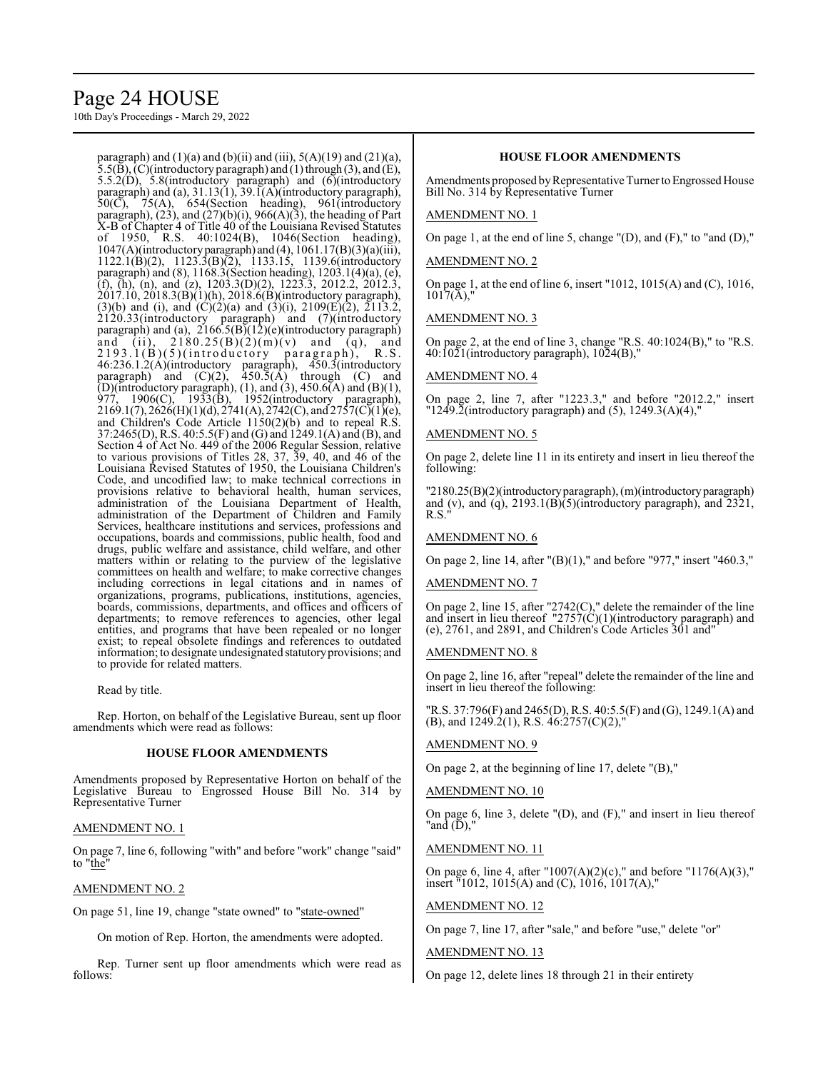### Page 24 HOUSE

10th Day's Proceedings - March 29, 2022

paragraph) and  $(1)(a)$  and  $(b)(ii)$  and  $(iii)$ ,  $5(A)(19)$  and  $(21)(a)$ ,  $(5.5(B), (C)$ (introductory paragraph) and (1) through (3), and (E), 5.5.2(D), 5.8(introductory paragraph) and (6)(introductory paragraph) and (a), 31.13(1), 39.1(A)(introductory paragraph),  $50(\overline{C})$ ,  $75(A)$ ,  $654(Section$  heading),  $961(introductor)$ paragraph),  $(23)$ , and  $(27)(b)(i)$ ,  $966(A)(3)$ , the heading of Part X-B of Chapter 4 of Title 40 of the Louisiana Revised Statutes of 1950, R.S. 40:1024(B), 1046(Section heading),  $1047(A)$ (introductory paragraph) and (4),  $1061.17(B)(3)(a)(iii)$ , 1122.1(B)(2), 1123.3(B)(2), 1133.15, 1139.6(introductory paragraph) and (8), 1168.3(Section heading), 1203.1(4)(a), (e), (f), (h), (n), and (z),  $1203.3(D)(2)$ ,  $1223.3$ ,  $2012.2$ ,  $2012.3$ , 2017.10, 2018.3(B)(1)(h), 2018.6(B)(introductory paragraph),  $(3)(b)$  and (i), and  $(C)(2)(a)$  and  $(3)(i)$ ,  $2109(E)(2)$ ,  $2113.2$ , 2120.33(introductory paragraph) and (7)(introductory paragraph) and (a), 2166.5(B)(12)(e)(introductory paragraph) paragrapii) and (a),  $2180.25(B)(2)(m)(v)$  and (q), and<br>
2193.1(B)(5)(introductory paragraph), R.S.  $2193.1(B)(5)$ (introductory) 46:236.1.2(A)(introductory paragraph), 450.3(introductory paragraph) and  $(C)(2)$ ,  $\overline{450.5}(\overline{A})$  through  $(C)$  and (D)(introductory paragraph), (1), and (3), 450.6(A) and (B)(1), 977, 1906(C), 1933(B), 1952(introductory paragraph),  $2169.1(7), 2626(H)(1)(d), 2741(A), 2742(C),$  and  $2757(C)(1)(e),$ and Children's Code Article 1150(2)(b) and to repeal R.S. 37:2465(D), R.S. 40:5.5(F) and (G) and 1249.1(A) and (B), and Section 4 of Act No. 449 of the 2006 Regular Session, relative to various provisions of Titles 28, 37, 39, 40, and 46 of the Louisiana Revised Statutes of 1950, the Louisiana Children's Code, and uncodified law; to make technical corrections in provisions relative to behavioral health, human services, administration of the Louisiana Department of Health, administration of the Department of Children and Family Services, healthcare institutions and services, professions and occupations, boards and commissions, public health, food and drugs, public welfare and assistance, child welfare, and other matters within or relating to the purview of the legislative committees on health and welfare; to make corrective changes including corrections in legal citations and in names of organizations, programs, publications, institutions, agencies, boards, commissions, departments, and offices and officers of departments; to remove references to agencies, other legal entities, and programs that have been repealed or no longer exist; to repeal obsolete findings and references to outdated information; to designate undesignated statutoryprovisions; and to provide for related matters.

Read by title.

Rep. Horton, on behalf of the Legislative Bureau, sent up floor amendments which were read as follows:

#### **HOUSE FLOOR AMENDMENTS**

Amendments proposed by Representative Horton on behalf of the Legislative Bureau to Engrossed House Bill No. 314 by Representative Turner

#### AMENDMENT NO. 1

On page 7, line 6, following "with" and before "work" change "said" to "the"

#### AMENDMENT NO. 2

On page 51, line 19, change "state owned" to "state-owned"

On motion of Rep. Horton, the amendments were adopted.

Rep. Turner sent up floor amendments which were read as follows:

#### **HOUSE FLOOR AMENDMENTS**

Amendments proposed by Representative Turner to Engrossed House Bill No. 314 by Representative Turner

#### AMENDMENT NO. 1

On page 1, at the end of line 5, change "(D), and (F)," to "and (D),"

#### AMENDMENT NO. 2

On page 1, at the end of line 6, insert "1012, 1015(A) and (C), 1016,  $1017(A)$ ,"

#### AMENDMENT NO. 3

On page 2, at the end of line 3, change "R.S. 40:1024(B)," to "R.S. 40:1021(introductory paragraph), 1024(B),"

#### AMENDMENT NO. 4

On page 2, line 7, after "1223.3," and before "2012.2," insert " $12\overline{49}$ .2(introductory paragraph) and (5),  $12\overline{49}$ .3(A)(4),"

#### AMENDMENT NO. 5

On page 2, delete line 11 in its entirety and insert in lieu thereof the following:

"2180.25(B)(2)(introductoryparagraph), (m)(introductoryparagraph) and (v), and (q), 2193.1(B)(5)(introductory paragraph), and 2321, R.S."

#### AMENDMENT NO. 6

On page 2, line 14, after "(B)(1)," and before "977," insert "460.3,"

#### AMENDMENT NO. 7

On page 2, line 15, after "2742(C)," delete the remainder of the line and insert in lieu thereof  $"2757(C)(1)($ introductory paragraph) and (e), 2761, and 2891, and Children's Code Articles 301 and"

#### AMENDMENT NO. 8

On page 2, line 16, after "repeal" delete the remainder of the line and insert in lieu thereof the following:

"R.S. 37:796(F) and 2465(D), R.S. 40:5.5(F) and (G), 1249.1(A) and (B), and 1249.2(1), R.S. 46:2757(C)(2),"

#### AMENDMENT NO. 9

On page 2, at the beginning of line 17, delete "(B),"

#### AMENDMENT NO. 10

On page 6, line 3, delete "(D), and (F)," and insert in lieu thereof "and (D),"

#### AMENDMENT NO. 11

On page 6, line 4, after "1007(A)(2)(c)," and before "1176(A)(3)," insert  $\frac{1012}{1015(A)}$  and (C), 1016, 1017(A),

#### AMENDMENT NO. 12

On page 7, line 17, after "sale," and before "use," delete "or"

#### AMENDMENT NO. 13

On page 12, delete lines 18 through 21 in their entirety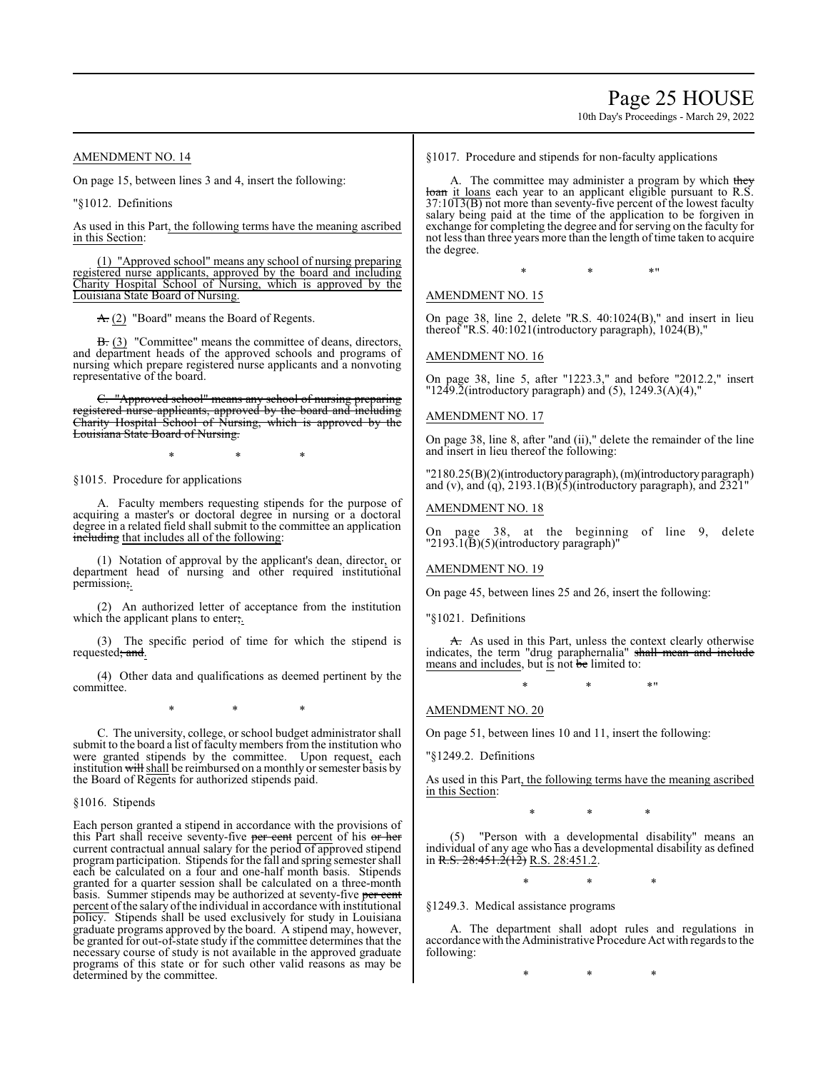Page 25 HOUSE

10th Day's Proceedings - March 29, 2022

#### AMENDMENT NO. 14

On page 15, between lines 3 and 4, insert the following:

"§1012. Definitions

As used in this Part, the following terms have the meaning ascribed in this Section:

(1) "Approved school" means any school of nursing preparing registered nurse applicants, approved by the board and including Charity Hospital School of Nursing, which is approved by the Louisiana State Board of Nursing.

A. (2) "Board" means the Board of Regents.

B. (3) "Committee" means the committee of deans, directors, and department heads of the approved schools and programs of nursing which prepare registered nurse applicants and a nonvoting representative of the board.

"Approved school" means any school of nursing preparing registered nurse applicants, approved by the board and including Charity Hospital School of Nursing, which is approved by the Louisiana State Board of Nursing.

\* \* \*

§1015. Procedure for applications

A. Faculty members requesting stipends for the purpose of acquiring a master's or doctoral degree in nursing or a doctoral degree in a related field shall submit to the committee an application including that includes all of the following:

(1) Notation of approval by the applicant's dean, director, or department head of nursing and other required institutional permission;.

(2) An authorized letter of acceptance from the institution which the applicant plans to enter;.

(3) The specific period of time for which the stipend is requested; and.

(4) Other data and qualifications as deemed pertinent by the committee.

\* \* \*

C. The university, college, or school budget administrator shall submit to the board a list of faculty members from the institution who were granted stipends by the committee. Upon request, each institution will shall be reimbursed on a monthly or semester basis by the Board of Regents for authorized stipends paid.

§1016. Stipends

Each person granted a stipend in accordance with the provisions of this Part shall receive seventy-five per cent percent of his or her current contractual annual salary for the period of approved stipend program participation. Stipends for the fall and spring semester shall each be calculated on a four and one-half month basis. Stipends granted for a quarter session shall be calculated on a three-month basis. Summer stipends may be authorized at seventy-five per cent percent ofthe salary ofthe individual in accordance with institutional policy. Stipends shall be used exclusively for study in Louisiana graduate programs approved by the board. A stipend may, however, be granted for out-of-state study if the committee determines that the necessary course of study is not available in the approved graduate programs of this state or for such other valid reasons as may be determined by the committee.

§1017. Procedure and stipends for non-faculty applications

A. The committee may administer a program by which they loan it loans each year to an applicant eligible pursuant to R.S.  $37:10\overline{13(B)}$  not more than seventy-five percent of the lowest faculty salary being paid at the time of the application to be forgiven in exchange for completing the degree and for serving on the faculty for not less than three years more than the length of time taken to acquire the degree.

 $*$  \*  $*$  \*

#### AMENDMENT NO. 15

On page 38, line 2, delete "R.S. 40:1024(B)," and insert in lieu thereof "R.S. 40:1021(introductory paragraph), 1024(B),"

#### AMENDMENT NO. 16

On page 38, line 5, after "1223.3," and before "2012.2," insert " $12\overline{49}$ . $\overline{2}$ (introductory paragraph) and (5),  $12\overline{49}$ . $\overline{3}(A)(4)$ ,"

#### AMENDMENT NO. 17

On page 38, line 8, after "and (ii)," delete the remainder of the line and insert in lieu thereof the following:

"2180.25(B)(2)(introductoryparagraph),(m)(introductory paragraph) and (v), and (q),  $2193.1(B)(5)$ (introductory paragraph), and  $2321$ "

#### AMENDMENT NO. 18

On page 38, at the beginning of line 9, delete "2193.1(B)(5)(introductory paragraph)"

#### AMENDMENT NO. 19

On page 45, between lines 25 and 26, insert the following:

"§1021. Definitions

A. As used in this Part, unless the context clearly otherwise indicates, the term "drug paraphernalia" shall mean and include means and includes, but is not be limited to:

\* \* \*"

#### AMENDMENT NO. 20

On page 51, between lines 10 and 11, insert the following:

"§1249.2. Definitions

As used in this Part, the following terms have the meaning ascribed in this Section:

\* \* \*

"Person with a developmental disability" means an individual of any age who has a developmental disability as defined in R.S.  $28:451.\overline{2}(1\overline{2})$  R.S. 28:451.2.

\* \* \*

#### §1249.3. Medical assistance programs

A. The department shall adopt rules and regulations in accordance with the Administrative Procedure Act with regards to the following:

\* \* \*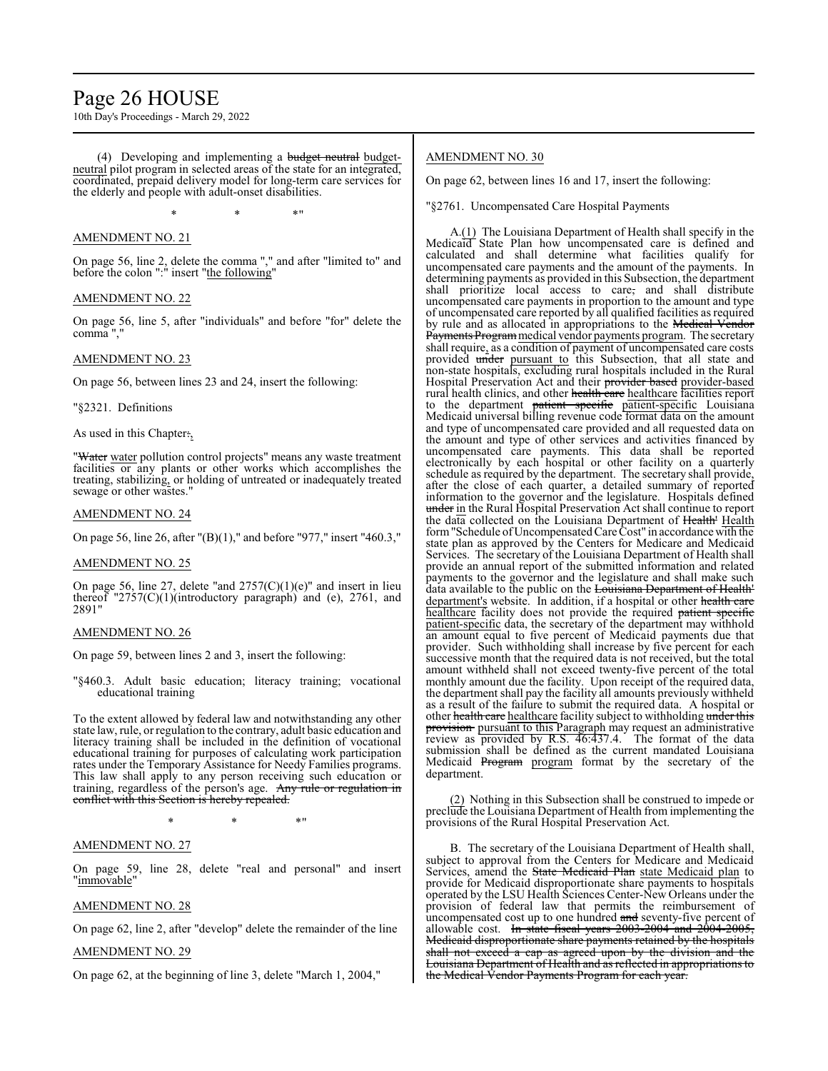### Page 26 HOUSE

10th Day's Proceedings - March 29, 2022

(4) Developing and implementing a budget neutral budgetneutral pilot program in selected areas of the state for an integrated, coordinated, prepaid delivery model for long-term care services for the elderly and people with adult-onset disabilities.

 $*$  \*  $*$  \*

#### AMENDMENT NO. 21

On page 56, line 2, delete the comma "," and after "limited to" and before the colon ":" insert "the following"

#### AMENDMENT NO. 22

On page 56, line 5, after "individuals" and before "for" delete the comma ","

#### AMENDMENT NO. 23

On page 56, between lines 23 and 24, insert the following:

"§2321. Definitions

As used in this Chapter.,

"Water water pollution control projects" means any waste treatment facilities or any plants or other works which accomplishes the treating, stabilizing, or holding of untreated or inadequately treated sewage or other wastes."

#### AMENDMENT NO. 24

On page 56, line 26, after "(B)(1)," and before "977," insert "460.3,"

#### AMENDMENT NO. 25

On page 56, line 27, delete "and  $2757(C)(1)(e)$ " and insert in lieu thereof "2757(C)(1)(introductory paragraph) and (e), 2761, and 2891"

#### AMENDMENT NO. 26

On page 59, between lines 2 and 3, insert the following:

"§460.3. Adult basic education; literacy training; vocational educational training

To the extent allowed by federal law and notwithstanding any other state law, rule, or regulation to the contrary, adult basic education and literacy training shall be included in the definition of vocational educational training for purposes of calculating work participation rates under the Temporary Assistance for Needy Families programs. This law shall apply to any person receiving such education or training, regardless of the person's age. Any rule or regulation in conflict with this Section is hereby repealed.

 $*$  \*  $*$  \*

#### AMENDMENT NO. 27

On page 59, line 28, delete "real and personal" and insert "immovable"

#### AMENDMENT NO. 28

On page 62, line 2, after "develop" delete the remainder of the line

#### AMENDMENT NO. 29

On page 62, at the beginning of line 3, delete "March 1, 2004,"

#### AMENDMENT NO. 30

On page 62, between lines 16 and 17, insert the following:

"§2761. Uncompensated Care Hospital Payments

A.(1) The Louisiana Department of Health shall specify in the Medicaid State Plan how uncompensated care is defined and calculated and shall determine what facilities qualify for uncompensated care payments and the amount of the payments. In determining payments as provided in this Subsection, the department shall prioritize local access to care, and shall distribute uncompensated care payments in proportion to the amount and type of uncompensated care reported by all qualified facilities as required by rule and as allocated in appropriations to the Medical Vendor Payments Program medical vendor payments program. The secretary shall require, as a condition of payment of uncompensated care costs provided under pursuant to this Subsection, that all state and non-state hospitals, excluding rural hospitals included in the Rural Hospital Preservation Act and their provider based provider-based rural health clinics, and other health care healthcare facilities report to the department patient specific patient-specific Louisiana Medicaid universal billing revenue code format data on the amount and type of uncompensated care provided and all requested data on the amount and type of other services and activities financed by uncompensated care payments. This data shall be reported electronically by each hospital or other facility on a quarterly schedule as required by the department. The secretary shall provide, after the close of each quarter, a detailed summary of reported information to the governor and the legislature. Hospitals defined under in the Rural Hospital Preservation Act shall continue to report the data collected on the Louisiana Department of Health' Health form"Schedule ofUncompensatedCare Cost" in accordance with the state plan as approved by the Centers for Medicare and Medicaid Services. The secretary of the Louisiana Department of Health shall provide an annual report of the submitted information and related payments to the governor and the legislature and shall make such data available to the public on the Louisiana Department of Health' department's website. In addition, if a hospital or other health care healthcare facility does not provide the required patient specific patient-specific data, the secretary of the department may withhold an amount equal to five percent of Medicaid payments due that provider. Such withholding shall increase by five percent for each successive month that the required data is not received, but the total amount withheld shall not exceed twenty-five percent of the total monthly amount due the facility. Upon receipt of the required data, the department shall pay the facility all amounts previously withheld as a result of the failure to submit the required data. A hospital or other health care healthcare facility subject to withholding under this provision pursuant to this Paragraph may request an administrative review as provided by R.S. 46:437.4. The format of the data submission shall be defined as the current mandated Louisiana Medicaid Program program format by the secretary of the department.

(2) Nothing in this Subsection shall be construed to impede or preclude the Louisiana Department of Health from implementing the provisions of the Rural Hospital Preservation Act.

B. The secretary of the Louisiana Department of Health shall, subject to approval from the Centers for Medicare and Medicaid Services, amend the State Medicaid Plan state Medicaid plan to provide for Medicaid disproportionate share payments to hospitals operated by the LSU Health Sciences Center-New Orleans under the provision of federal law that permits the reimbursement of uncompensated cost up to one hundred and seventy-five percent of allowable cost. In state fiscal years  $2003-2004$  and  $2004-2005$ , Medicaid disproportionate share payments retained by the hospitals shall not exceed a cap as agreed upon by the division and the Louisiana Department of Health and as reflected in appropriations to the Medical Vendor Payments Program for each year.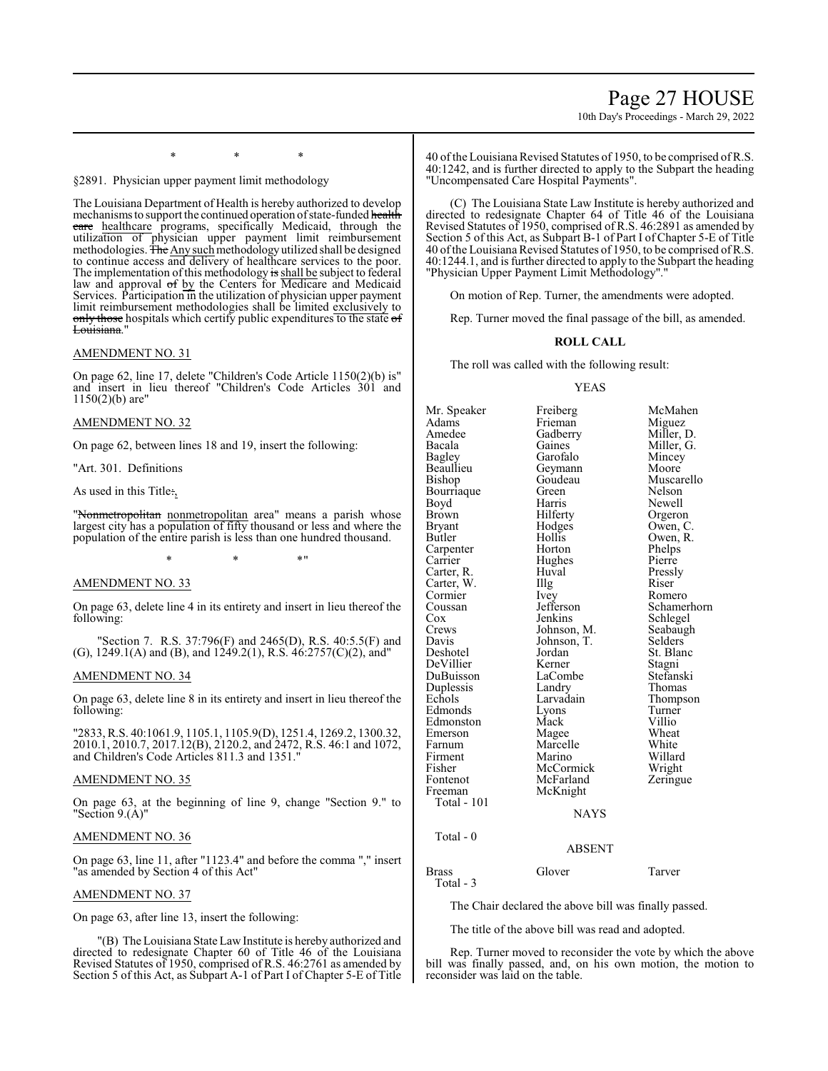### Page 27 HOUSE

10th Day's Proceedings - March 29, 2022

§2891. Physician upper payment limit methodology

The Louisiana Department of Health is hereby authorized to develop mechanisms to support the continued operation of state-funded health eare healthcare programs, specifically Medicaid, through the utilization of physician upper payment limit reimbursement methodologies. <del>The Any such</del> methodology utilized shall be designed to continue access and delivery of healthcare services to the poor. The implementation of this methodology is shall be subject to federal law and approval of by the Centers for Medicare and Medicaid Services. Participation in the utilization of physician upper payment limit reimbursement methodologies shall be limited exclusively to only those hospitals which certify public expenditures to the state of Louisiana."

\* \* \*

#### AMENDMENT NO. 31

On page 62, line 17, delete "Children's Code Article 1150(2)(b) is" and insert in lieu thereof "Children's Code Articles 301 and 1150(2)(b) are"

#### AMENDMENT NO. 32

On page 62, between lines 18 and 19, insert the following:

"Art. 301. Definitions

As used in this Title:,

"Nonmetropolitan nonmetropolitan area" means a parish whose largest city has a population of fifty thousand or less and where the population of the entire parish is less than one hundred thousand.

 $*$  \*  $*$  \*

#### AMENDMENT NO. 33

On page 63, delete line 4 in its entirety and insert in lieu thereof the following:

"Section 7. R.S. 37:796(F) and 2465(D), R.S. 40:5.5(F) and (G), 1249.1(A) and (B), and 1249.2(1), R.S. 46:2757(C)(2), and"

#### AMENDMENT NO. 34

On page 63, delete line 8 in its entirety and insert in lieu thereof the following:

"2833, R.S. 40:1061.9, 1105.1, 1105.9(D), 1251.4, 1269.2, 1300.32, 2010.1, 2010.7, 2017.12(B), 2120.2, and 2472, R.S. 46:1 and 1072, and Children's Code Articles 811.3 and 1351."

#### AMENDMENT NO. 35

On page 63, at the beginning of line 9, change "Section 9." to "Section 9.(A)"

#### AMENDMENT NO. 36

On page 63, line 11, after "1123.4" and before the comma "," insert "as amended by Section 4 of this Act"

#### AMENDMENT NO. 37

On page 63, after line 13, insert the following:

"(B) The Louisiana State LawInstitute is hereby authorized and directed to redesignate Chapter 60 of Title 46 of the Louisiana Revised Statutes of 1950, comprised of R.S. 46:2761 as amended by Section 5 of this Act, as Subpart A-1 of Part I of Chapter 5-E of Title

40 ofthe Louisiana Revised Statutes of 1950, to be comprised ofR.S. 40:1242, and is further directed to apply to the Subpart the heading "Uncompensated Care Hospital Payments".

(C) The Louisiana State Law Institute is hereby authorized and directed to redesignate Chapter 64 of Title 46 of the Louisiana Revised Statutes of 1950, comprised of R.S. 46:2891 as amended by Section 5 of this Act, as Subpart B-1 of Part I of Chapter 5-E of Title 40 of the Louisiana Revised Štatutes of 1950, to be comprised of R.S. 40:1244.1, and is further directed to apply to the Subpart the heading "Physician Upper Payment Limit Methodology"."

On motion of Rep. Turner, the amendments were adopted.

Rep. Turner moved the final passage of the bill, as amended.

#### **ROLL CALL**

The roll was called with the following result:

#### YEAS

Mr. Speaker Freiberg McMahen<br>Adams Frieman Miguez Adams Frieman Miguez<br>Amedee Gadberry Miller, D. Amedee Gadberry<br>Bacala Gaines Bacala Gaines Miller, G.<br>Bagley Garofalo Mincey Bagley Garofalo Mincey<br>Beaullieu Geymann Moore Beaullieu Geymann Moore<br>Bishop Goudeau Muscarello Goudeau Muscarello<br>Green Nelson Bourriaque Green<br>Boyd Harris Boyd Harris Newell<br>Brown Hilferty Orgeror Brown Hilferty Orgeron<br>Bryant Hodges Owen, C Bryant Hodges Owen, C. Carpenter Horton Phelps<br>
Carrier Hughes Pierre Carter, R. Carter, W. Illg Riser Cormier Ney Romero Cormier Ivey<br>Coussan Jefferson Coussan Jefferson Schamerhorn<br>
Cox Jenkins Schlegel Cox Jenkins Schlegel<br>Crews Johnson, M. Seabaugh Crews Johnson, M. Seabaugh<br>
Davis Johnson, T. Selders Davis Johnson, T.<br>Deshotel Jordan DeVillier Kerner<br>DuBuisson LaCombe Duplessis Landry<br>Echols Larvadain Edmonds Lyons Turne<br>
Edmonston Mack Villio Edmonston Mack Villio<br>Emerson Magee Wheat Emerson Magee Wheat<br>
Farnum Marcelle White Firment Marino Willard<br>Fisher McCormick Wright Fisher McCormick<br>Fontenot McFarland Fontenot McFarland Zeringue<br>Freeman McKnight McKnight Total - 101

Hollis Owen, R.<br>Horton Phelps Hughes Pierre<br>Huval Pressly Jordan St. Blanc<br>Kerner Stagni LaCombe Stefanski<br>Landry Thomas Larvadain Thompson<br>Lyons Turner Marcelle White<br>
Marino Willard

#### NAYS

ABSENT

#### Total - 0

#### Brass Glover Tarver

Total - 3

The Chair declared the above bill was finally passed.

The title of the above bill was read and adopted.

Rep. Turner moved to reconsider the vote by which the above bill was finally passed, and, on his own motion, the motion to reconsider was laid on the table.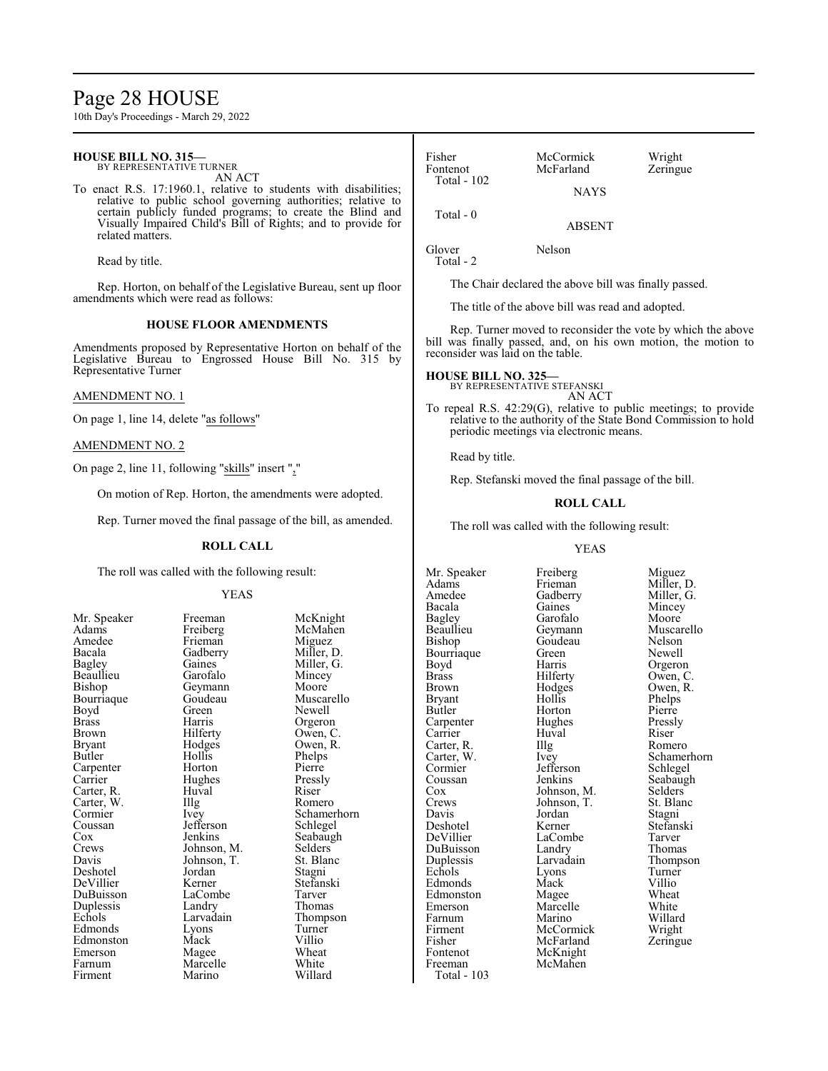### Page 28 HOUSE

10th Day's Proceedings - March 29, 2022

#### **HOUSE BILL NO. 315—** BY REPRESENTATIVE TURNER

AN ACT

To enact R.S. 17:1960.1, relative to students with disabilities; relative to public school governing authorities; relative to certain publicly funded programs; to create the Blind and Visually Impaired Child's Bill of Rights; and to provide for related matters.

Read by title.

Rep. Horton, on behalf of the Legislative Bureau, sent up floor amendments which were read as follows:

#### **HOUSE FLOOR AMENDMENTS**

Amendments proposed by Representative Horton on behalf of the Legislative Bureau to Engrossed House Bill No. 315 by Representative Turner

#### AMENDMENT NO. 1

On page 1, line 14, delete "as follows"

#### AMENDMENT NO. 2

On page 2, line 11, following "skills" insert ","

On motion of Rep. Horton, the amendments were adopted.

Rep. Turner moved the final passage of the bill, as amended.

#### **ROLL CALL**

The roll was called with the following result:

#### YEAS

Adams Freiberg McMahen Amedee Frieman Miguez<br>Bacala Gadberry Miller, D. Bacala Gadberry<br>Bagley Gaines Beaullieu<br>Bishop Bourriaque Goude<br>Boyd Green Boyd Green Newell<br>Brass Harris Orgeror Brass Harris Orgeron<br>Brown Hilferty Owen, C Brown Hilferty Owen, C.<br>Bryant Hodges Owen, R. Bryant Hodges Owen, R. Carpenter Horton Pierre<br>Carrier Hughes Pressly Carter, R. Huval Riser Carter, W. Illg<br>Cormier Ivey Cormier Ivey Schamerhorn<br>Coussan Jefferson Schlegel Coussan Jefferson<br>Cox Jenkins Cox Jenkins Seabaugh<br>Crews Johnson, M. Selders Crews Johnson, M. Selders<br>Davis Johnson, T. St. Blanc Deshotel Jordan<br>DeVillier Kerner DuBuisson LaCombe Tarver Duplessis Landry Thomas<br>
Echols Larvadain Thompson Echols Larvadain Thompson Edmonston Mack Villio<br>Emerson Magee Wheat Emerson Magee Wheat<br>
Farnum Marcelle White Firment

Mr. Speaker Freeman McKnight<br>
Adams Freiberg McMahen Gaines Miller, G.<br>Garofalo Mincev Geymann Moore<br>Goudeau Muscarello Hollis Phelps<br>Horton Pierre Hughes Pressl<br>Huval Riser Johnson, T. St. Blanch<br>Jordan Stagni Kerner Stefanski<br>LaCombe Tarver Lyons Turner<br>
Mack Villio Marcelle White<br>
Marino Willard

| Fisher        | McCormick   | Wright  |
|---------------|-------------|---------|
| Fontenot      | McFarland   | Zeringu |
| Total - $102$ |             |         |
|               | <b>NAYS</b> |         |

Zeringue

Total - 0

ABSENT

Glover Nelson Total - 2

The Chair declared the above bill was finally passed.

The title of the above bill was read and adopted.

Rep. Turner moved to reconsider the vote by which the above bill was finally passed, and, on his own motion, the motion to reconsider was laid on the table.

**HOUSE BILL NO. 325—** BY REPRESENTATIVE STEFANSKI AN ACT

To repeal R.S. 42:29(G), relative to public meetings; to provide relative to the authority of the State Bond Commission to hold periodic meetings via electronic means.

Read by title.

Rep. Stefanski moved the final passage of the bill.

#### **ROLL CALL**

The roll was called with the following result:

#### YEAS

Mr. Speaker Freiberg Miguez<br>Adams Frieman Miller, 1 Adams Frieman Miller, D.<br>Amedee Gadberry Miller, G. Bagley Garofalo<br>Beaullieu Geymann Bourriaque Green<br>Boyd Harris Boyd Harris Orgeron<br>Brass Hilferty Owen, C Brass Hilferty Owen, C.<br>Brown Hodges Owen, R. Bryant Hollis Phelps<br>Butler Horton Pierre Carpenter Hughes Press<br>
Carrier Huval Riser Carrier Huval Riser<br>Carter, R. Illg Romero Carter, R. Illg<br>Carter, W. Ivey Cormier Jefferson Schlegel<br>
Coussan Jenkins Seabaugl Coussan Jenkins Seabaugh<br>Cox Johnson, M. Selders Cox Johnson, M. Selders<br>Crews Johnson, T. St. Blanc Crews Johnson, T. St. Blanch<br>Davis Jordan Stagni Davis Jordan<br>Deshotel Kerner Deshotel Kerner Stefanski DuBuisson Landry<br>
Duplessis Larvadain Edmonds Mack Villio<br>Edmonston Magee Wheat Edmonston Magee Wheat<br>
Emerson Marcelle White Farnum Marino Willard<br>Firment McCormick Wright Firment McCormick Wright<br>
Fisher McFarland Zeringue Fisher McFarland<br>Fontenot McKnight Fontenot McKnight<br>Freeman McMahen McMahen

Total - 103

Amedee Gadberry Miller, G.<br>Bacala Gaines Mincey Gaines Mincey<br>Garofalo Moore Beaullieu Geymann Muscarello<br>Bishop Goudeau Nelson Goudeau Nelson<br>Green Newell Hodges Owen, R.<br>Hollis Phelps Horton Pierre<br>
Hughes Pressly Carter, W. Ivey Schamerhorn LaCombe<br>
Landry Thomas Duplessis Larvadain Thompson<br>
Echols Lyons Turner Lyons Turner<br>
Mack Villio Marcelle White<br>
Marino Willard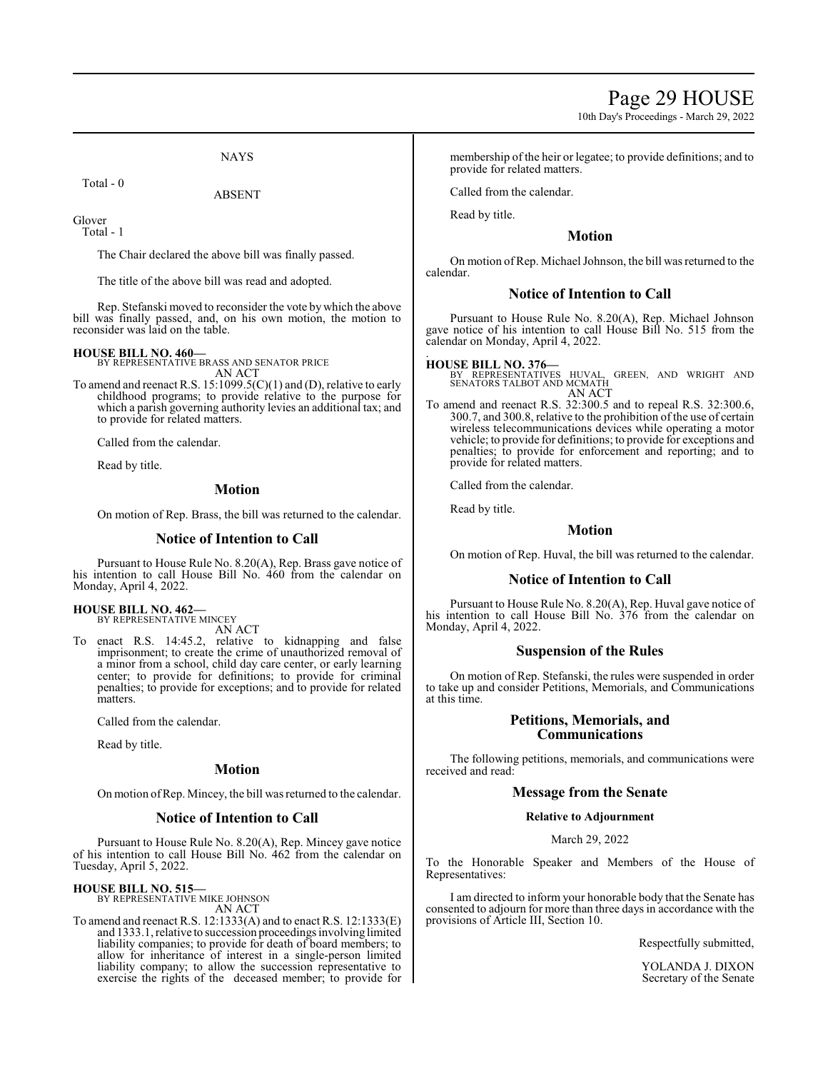10th Day's Proceedings - March 29, 2022

**NAYS** 

ABSENT

Total - 0

Glover Total - 1

The Chair declared the above bill was finally passed.

The title of the above bill was read and adopted.

Rep. Stefanski moved to reconsider the vote by which the above bill was finally passed, and, on his own motion, the motion to reconsider was laid on the table.

#### **HOUSE BILL NO. 460—**

BY REPRESENTATIVE BRASS AND SENATOR PRICE AN ACT

To amend and reenact R.S. 15:1099.5(C)(1) and (D), relative to early childhood programs; to provide relative to the purpose for which a parish governing authority levies an additional tax; and to provide for related matters.

Called from the calendar.

Read by title.

#### **Motion**

On motion of Rep. Brass, the bill was returned to the calendar.

#### **Notice of Intention to Call**

Pursuant to House Rule No. 8.20(A), Rep. Brass gave notice of his intention to call House Bill No. 460 from the calendar on Monday, April 4, 2022.

#### **HOUSE BILL NO. 462—**

BY REPRESENTATIVE MINCEY AN ACT

To enact R.S. 14:45.2, relative to kidnapping and false imprisonment; to create the crime of unauthorized removal of a minor from a school, child day care center, or early learning center; to provide for definitions; to provide for criminal penalties; to provide for exceptions; and to provide for related matters.

Called from the calendar.

Read by title.

#### **Motion**

On motion ofRep. Mincey, the bill was returned to the calendar.

#### **Notice of Intention to Call**

Pursuant to House Rule No. 8.20(A), Rep. Mincey gave notice of his intention to call House Bill No. 462 from the calendar on Tuesday, April 5, 2022.

#### **HOUSE BILL NO. 515—**

BY REPRESENTATIVE MIKE JOHNSON AN ACT

To amend and reenact R.S. 12:1333(A) and to enact R.S. 12:1333(E) and 1333.1, relative to succession proceedings involving limited liability companies; to provide for death of board members; to allow for inheritance of interest in a single-person limited liability company; to allow the succession representative to exercise the rights of the deceased member; to provide for membership of the heir or legatee; to provide definitions; and to provide for related matters.

Called from the calendar.

Read by title.

#### **Motion**

On motion ofRep. Michael Johnson, the bill was returned to the calendar.

#### **Notice of Intention to Call**

Pursuant to House Rule No. 8.20(A), Rep. Michael Johnson gave notice of his intention to call House Bill No. 515 from the calendar on Monday, April 4, 2022.

#### . **HOUSE BILL NO. 376—**

BY REPRESENTATIVES HUVAL, GREEN, AND WRIGHT AND SENATORS TALBOT AND MCMATH AN ACT

To amend and reenact R.S. 32:300.5 and to repeal R.S. 32:300.6, 300.7, and 300.8, relative to the prohibition of the use of certain wireless telecommunications devices while operating a motor vehicle; to provide for definitions; to provide for exceptions and penalties; to provide for enforcement and reporting; and to provide for related matters.

Called from the calendar.

Read by title.

#### **Motion**

On motion of Rep. Huval, the bill was returned to the calendar.

#### **Notice of Intention to Call**

Pursuant to House Rule No. 8.20(A), Rep. Huval gave notice of his intention to call House Bill No. 376 from the calendar on Monday, April 4, 2022.

#### **Suspension of the Rules**

On motion of Rep. Stefanski, the rules were suspended in order to take up and consider Petitions, Memorials, and Communications at this time.

#### **Petitions, Memorials, and Communications**

The following petitions, memorials, and communications were received and read:

#### **Message from the Senate**

#### **Relative to Adjournment**

#### March 29, 2022

To the Honorable Speaker and Members of the House of Representatives:

I am directed to inform your honorable body that the Senate has consented to adjourn for more than three days in accordance with the provisions of Article III, Section 10.

Respectfully submitted,

YOLANDA J. DIXON Secretary of the Senate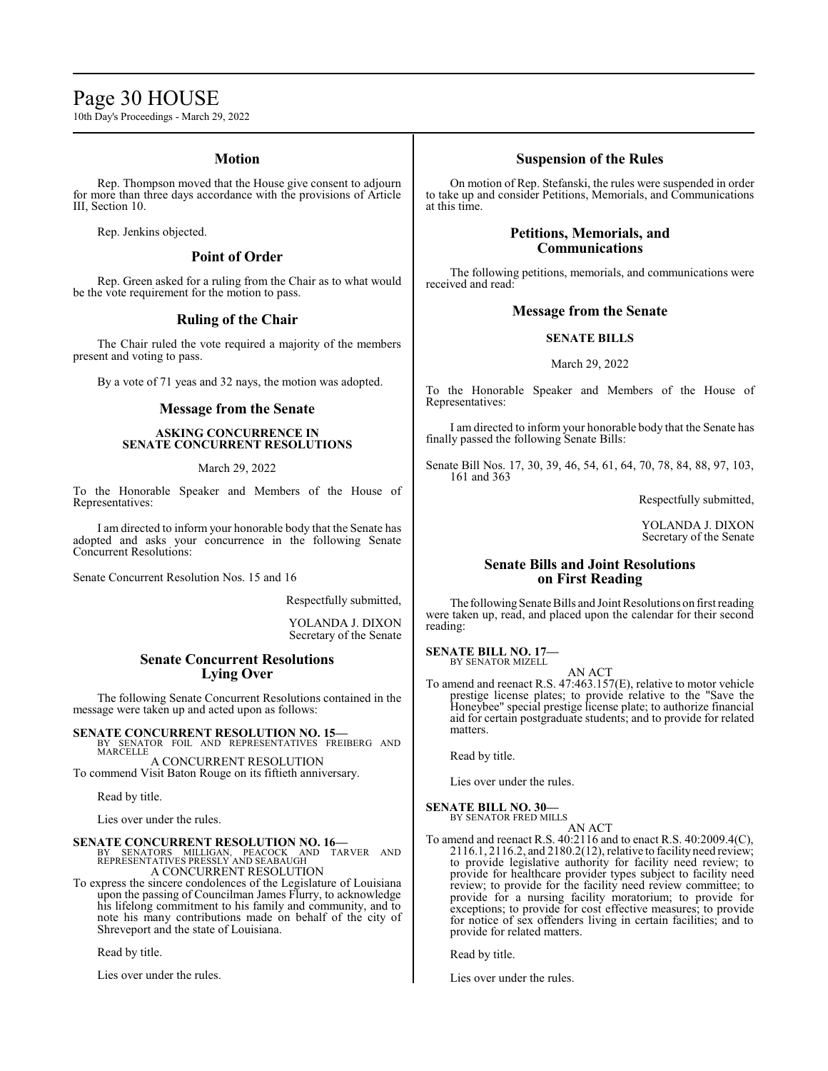### Page 30 HOUSE

10th Day's Proceedings - March 29, 2022

#### **Motion**

Rep. Thompson moved that the House give consent to adjourn for more than three days accordance with the provisions of Article III, Section 10.

Rep. Jenkins objected.

#### **Point of Order**

Rep. Green asked for a ruling from the Chair as to what would be the vote requirement for the motion to pass.

#### **Ruling of the Chair**

The Chair ruled the vote required a majority of the members present and voting to pass.

By a vote of 71 yeas and 32 nays, the motion was adopted.

#### **Message from the Senate**

#### **ASKING CONCURRENCE IN SENATE CONCURRENT RESOLUTIONS**

March 29, 2022

To the Honorable Speaker and Members of the House of Representatives:

I am directed to inform your honorable body that the Senate has adopted and asks your concurrence in the following Senate Concurrent Resolutions:

Senate Concurrent Resolution Nos. 15 and 16

Respectfully submitted,

YOLANDA J. DIXON Secretary of the Senate

#### **Senate Concurrent Resolutions Lying Over**

The following Senate Concurrent Resolutions contained in the message were taken up and acted upon as follows:

**SENATE CONCURRENT RESOLUTION NO. 15—**<br>BY SENATOR FOIL AND REPRESENTATIVES FREIBERG AND MARCELLE

A CONCURRENT RESOLUTION To commend Visit Baton Rouge on its fiftieth anniversary.

Read by title.

Lies over under the rules.

#### **SENATE CONCURRENT RESOLUTION NO. 16—**

BY SENATORS MILLIGAN, PEACOCK AND TARVER AND REPRESENTATIVES PRESSLY AND SEABAUGH A CONCURRENT RESOLUTION

To express the sincere condolences of the Legislature of Louisiana upon the passing of Councilman James Flurry, to acknowledge his lifelong commitment to his family and community, and to note his many contributions made on behalf of the city of Shreveport and the state of Louisiana.

Read by title.

Lies over under the rules.

#### **Suspension of the Rules**

On motion of Rep. Stefanski, the rules were suspended in order to take up and consider Petitions, Memorials, and Communications at this time.

#### **Petitions, Memorials, and Communications**

The following petitions, memorials, and communications were received and read:

#### **Message from the Senate**

#### **SENATE BILLS**

#### March 29, 2022

To the Honorable Speaker and Members of the House of Representatives:

I am directed to inform your honorable body that the Senate has finally passed the following Senate Bills:

Senate Bill Nos. 17, 30, 39, 46, 54, 61, 64, 70, 78, 84, 88, 97, 103, 161 and 363

Respectfully submitted,

YOLANDA J. DIXON Secretary of the Senate

#### **Senate Bills and Joint Resolutions on First Reading**

The following Senate Bills and Joint Resolutions on first reading were taken up, read, and placed upon the calendar for their second reading:

**SENATE BILL NO. 17—** BY SENATOR MIZELL

AN ACT

To amend and reenact R.S. 47:463.157(E), relative to motor vehicle prestige license plates; to provide relative to the "Save the Honeybee" special prestige license plate; to authorize financial aid for certain postgraduate students; and to provide for related matters.

Read by title.

Lies over under the rules.

#### **SENATE BILL NO. 30—**

BY SENATOR FRED MILLS AN ACT

To amend and reenact R.S. 40:2116 and to enact R.S. 40:2009.4(C), 2116.1, 2116.2, and 2180.2(12), relative to facility need review; to provide legislative authority for facility need review; to provide for healthcare provider types subject to facility need review; to provide for the facility need review committee; to provide for a nursing facility moratorium; to provide for exceptions; to provide for cost effective measures; to provide for notice of sex offenders living in certain facilities; and to provide for related matters.

Read by title.

Lies over under the rules.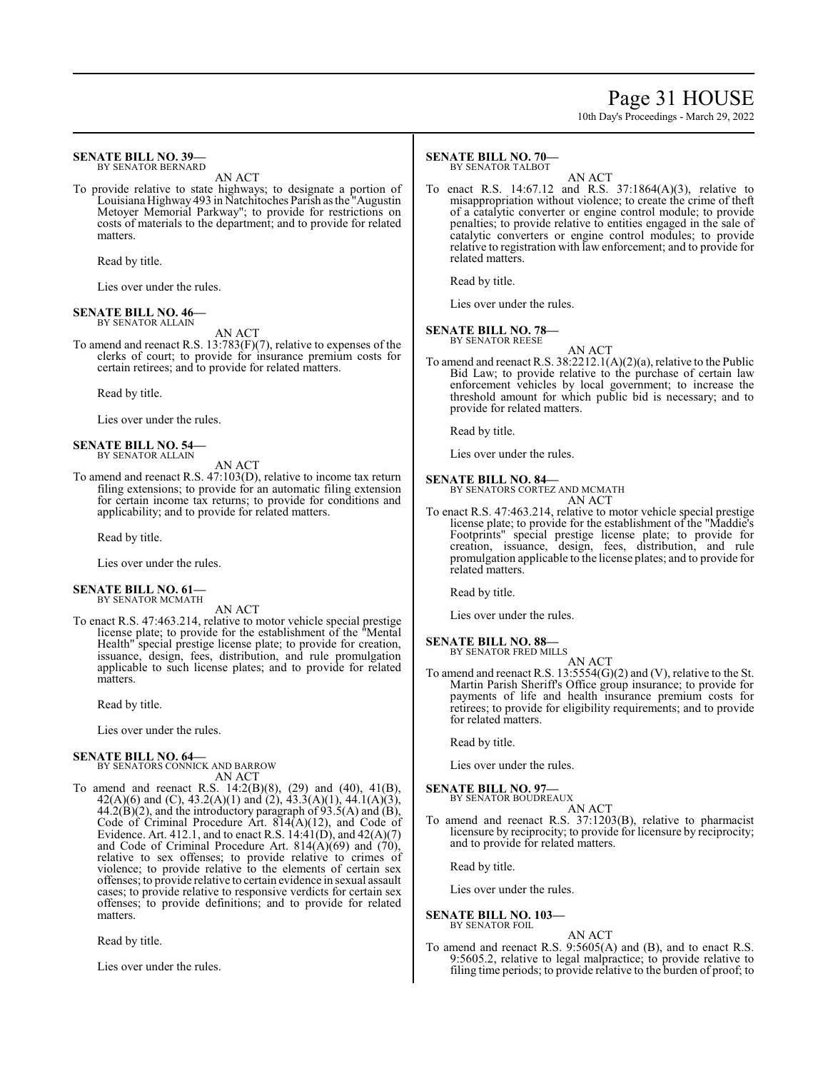### Page 31 HOUSE

10th Day's Proceedings - March 29, 2022

#### **SENATE BILL NO. 39—** BY SENATOR BERNARD

AN ACT

To provide relative to state highways; to designate a portion of Louisiana Highway 493 in Natchitoches Parish as the "Augustin Metoyer Memorial Parkway"; to provide for restrictions on costs of materials to the department; and to provide for related matters.

Read by title.

Lies over under the rules.

#### **SENATE BILL NO. 46—** BY SENATOR ALLAIN

AN ACT

To amend and reenact R.S. 13:783(F)(7), relative to expenses of the clerks of court; to provide for insurance premium costs for certain retirees; and to provide for related matters.

Read by title.

Lies over under the rules.

**SENATE BILL NO. 54—** BY SENATOR ALLAIN

AN ACT To amend and reenact R.S. 47:103(D), relative to income tax return filing extensions; to provide for an automatic filing extension for certain income tax returns; to provide for conditions and applicability; and to provide for related matters.

Read by title.

Lies over under the rules.

#### **SENATE BILL NO. 61—** BY SENATOR MCMATH

AN ACT

To enact R.S. 47:463.214, relative to motor vehicle special prestige license plate; to provide for the establishment of the "Mental Health" special prestige license plate; to provide for creation, issuance, design, fees, distribution, and rule promulgation applicable to such license plates; and to provide for related matters.

Read by title.

Lies over under the rules.

#### **SENATE BILL NO. 64—** BY SENATORS CONNICK AND BARROW

AN ACT

To amend and reenact R.S. 14:2(B)(8), (29) and (40), 41(B), 42(A)(6) and (C), 43.2(A)(1) and (2), 43.3(A)(1), 44.1(A)(3),  $44.2(\widehat{B})(2)$ , and the introductory paragraph of  $93.5(A)$  and  $(\widehat{B})$ , Code of Criminal Procedure Art. 814(A)(12), and Code of Evidence. Art. 412.1, and to enact R.S.  $14:41(D)$ , and  $42(A)(7)$ and Code of Criminal Procedure Art.  $814(\hat{A})(69)$  and  $(70)$ , relative to sex offenses; to provide relative to crimes of violence; to provide relative to the elements of certain sex offenses; to provide relative to certain evidence in sexual assault cases; to provide relative to responsive verdicts for certain sex offenses; to provide definitions; and to provide for related matters.

Read by title.

Lies over under the rules.

#### **SENATE BILL NO. 70—** BY SENATOR TALBOT

AN ACT To enact R.S. 14:67.12 and R.S. 37:1864(A)(3), relative to misappropriation without violence; to create the crime of theft of a catalytic converter or engine control module; to provide penalties; to provide relative to entities engaged in the sale of catalytic converters or engine control modules; to provide relative to registration with law enforcement; and to provide for related matters.

Read by title.

Lies over under the rules.

#### **SENATE BILL NO. 78—**

BY SENATOR REESE

AN ACT To amend and reenact R.S. 38:2212.1(A)(2)(a), relative to the Public Bid Law; to provide relative to the purchase of certain law enforcement vehicles by local government; to increase the threshold amount for which public bid is necessary; and to provide for related matters.

Read by title.

Lies over under the rules.

### **SENATE BILL NO. 84—** BY SENATORS CORTEZ AND MCMATH

AN ACT

To enact R.S. 47:463.214, relative to motor vehicle special prestige license plate; to provide for the establishment of the "Maddie's Footprints" special prestige license plate; to provide for creation, issuance, design, fees, distribution, and rule promulgation applicable to the license plates; and to provide for related matters.

Read by title.

Lies over under the rules.

#### **SENATE BILL NO. 88—**

BY SENATOR FRED MILLS AN ACT

To amend and reenact R.S. 13:5554(G)(2) and (V), relative to the St. Martin Parish Sheriff's Office group insurance; to provide for payments of life and health insurance premium costs for retirees; to provide for eligibility requirements; and to provide for related matters.

Read by title.

Lies over under the rules.

**SENATE BILL NO. 97—** BY SENATOR BOUDREAUX

AN ACT

To amend and reenact R.S. 37:1203(B), relative to pharmacist licensure by reciprocity; to provide for licensure by reciprocity; and to provide for related matters.

Read by title.

Lies over under the rules.

**SENATE BILL NO. 103—** BY SENATOR FOIL

#### AN ACT

To amend and reenact R.S. 9:5605(A) and (B), and to enact R.S. 9:5605.2, relative to legal malpractice; to provide relative to filing time periods; to provide relative to the burden of proof; to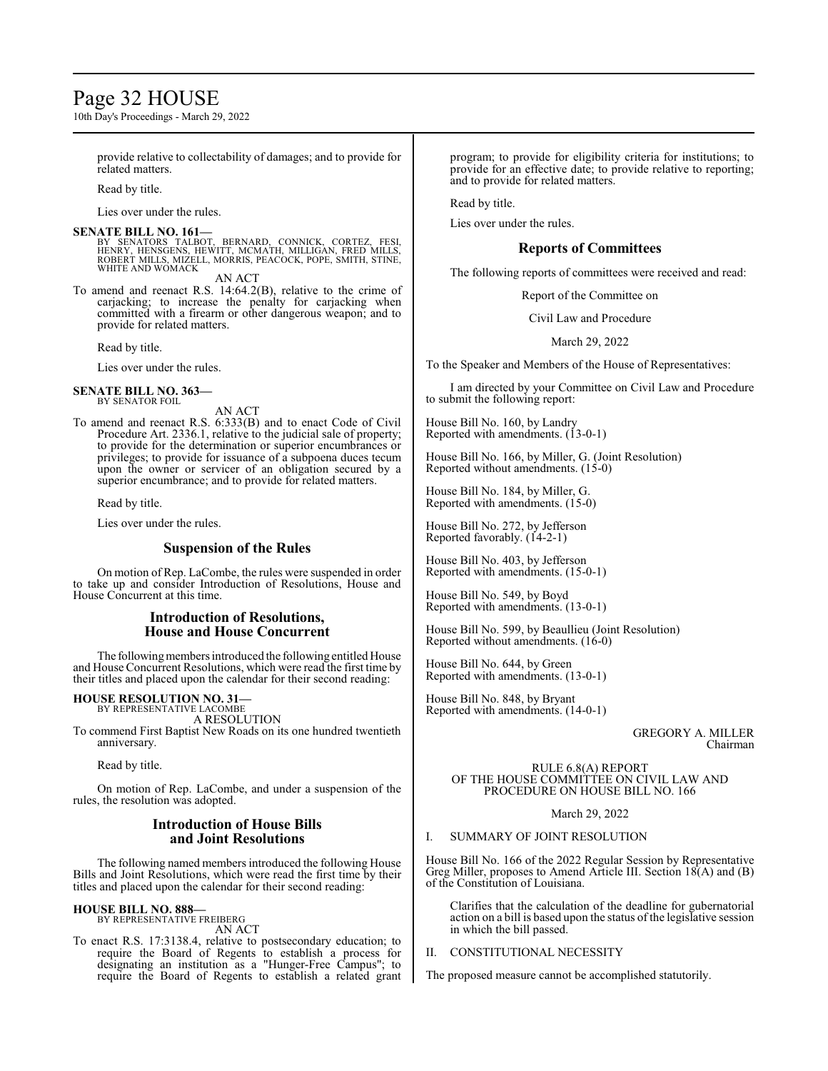### Page 32 HOUSE

10th Day's Proceedings - March 29, 2022

provide relative to collectability of damages; and to provide for related matters.

Read by title.

Lies over under the rules.

**SENATE BILL NO. 161—** BY SENATORS TALBOT, BERNARD, CONNICK, CORTEZ, FESI,<br>HENRY, HENSGENS, HEWITT, MCMATH, MILLIGAN, FRED MILLS,<br>ROBERT MILLS, MIZELL, MORRIS, PEACOCK, POPE, SMITH, STINE,<br>WHITE AND WOMACK AN ACT

To amend and reenact R.S. 14:64.2(B), relative to the crime of carjacking; to increase the penalty for carjacking when committed with a firearm or other dangerous weapon; and to provide for related matters.

Read by title.

Lies over under the rules.

#### **SENATE BILL NO. 363—**

BY SENATOR FOIL

AN ACT

To amend and reenact R.S. 6:333(B) and to enact Code of Civil Procedure Art. 2336.1, relative to the judicial sale of property; to provide for the determination or superior encumbrances or privileges; to provide for issuance of a subpoena duces tecum upon the owner or servicer of an obligation secured by a superior encumbrance; and to provide for related matters.

#### Read by title.

Lies over under the rules.

#### **Suspension of the Rules**

On motion of Rep. LaCombe, the rules were suspended in order to take up and consider Introduction of Resolutions, House and House Concurrent at this time.

#### **Introduction of Resolutions, House and House Concurrent**

The following members introduced the following entitled House and House Concurrent Resolutions, which were read the first time by their titles and placed upon the calendar for their second reading:

### **HOUSE RESOLUTION NO. 31—** BY REPRESENTATIVE LACOMBE

A RESOLUTION To commend First Baptist New Roads on its one hundred twentieth anniversary.

Read by title.

On motion of Rep. LaCombe, and under a suspension of the rules, the resolution was adopted.

#### **Introduction of House Bills and Joint Resolutions**

The following named members introduced the following House Bills and Joint Resolutions, which were read the first time by their titles and placed upon the calendar for their second reading:

#### **HOUSE BILL NO. 888—** BY REPRESENTATIVE FREIBERG

AN ACT

To enact R.S. 17:3138.4, relative to postsecondary education; to require the Board of Regents to establish a process for designating an institution as a "Hunger-Free Campus"; to require the Board of Regents to establish a related grant program; to provide for eligibility criteria for institutions; to provide for an effective date; to provide relative to reporting; and to provide for related matters.

Read by title.

Lies over under the rules.

#### **Reports of Committees**

The following reports of committees were received and read:

Report of the Committee on

Civil Law and Procedure

March 29, 2022

To the Speaker and Members of the House of Representatives:

I am directed by your Committee on Civil Law and Procedure to submit the following report:

House Bill No. 160, by Landry Reported with amendments. (13-0-1)

House Bill No. 166, by Miller, G. (Joint Resolution) Reported without amendments. (15-0)

House Bill No. 184, by Miller, G. Reported with amendments. (15-0)

House Bill No. 272, by Jefferson Reported favorably. (14-2-1)

House Bill No. 403, by Jefferson Reported with amendments. (15-0-1)

House Bill No. 549, by Boyd Reported with amendments. (13-0-1)

House Bill No. 599, by Beaullieu (Joint Resolution) Reported without amendments. (16-0)

House Bill No. 644, by Green Reported with amendments. (13-0-1)

House Bill No. 848, by Bryant Reported with amendments. (14-0-1)

> GREGORY A. MILLER Chairman

RULE 6.8(A) REPORT OF THE HOUSE COMMITTEE ON CIVIL LAW AND PROCEDURE ON HOUSE BILL NO. 166

March 29, 2022

#### I. SUMMARY OF JOINT RESOLUTION

House Bill No. 166 of the 2022 Regular Session by Representative Greg Miller, proposes to Amend Article III. Section 18(A) and (B) of the Constitution of Louisiana.

Clarifies that the calculation of the deadline for gubernatorial action on a bill is based upon the status of the legislative session in which the bill passed.

#### CONSTITUTIONAL NECESSITY

The proposed measure cannot be accomplished statutorily.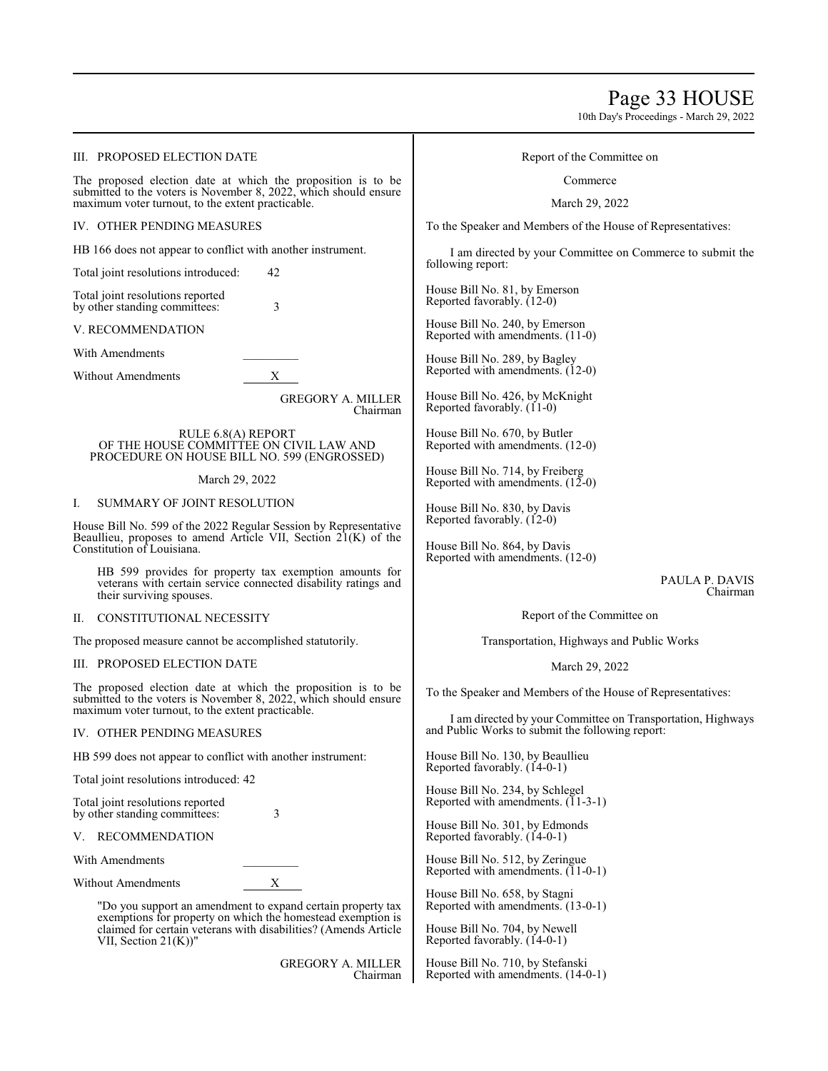### Page 33 HOUSE

10th Day's Proceedings - March 29, 2022

#### III. PROPOSED ELECTION DATE

The proposed election date at which the proposition is to be submitted to the voters is November 8, 2022, which should ensure maximum voter turnout, to the extent practicable.

IV. OTHER PENDING MEASURES

HB 166 does not appear to conflict with another instrument.

Total joint resolutions introduced: 42

Total joint resolutions reported by other standing committees: 3

V. RECOMMENDATION

With Amendments

Without Amendments X

GREGORY A. MILLER Chairman

RULE 6.8(A) REPORT OF THE HOUSE COMMITTEE ON CIVIL LAW AND PROCEDURE ON HOUSE BILL NO. 599 (ENGROSSED)

#### March 29, 2022

#### I. SUMMARY OF JOINT RESOLUTION

House Bill No. 599 of the 2022 Regular Session by Representative Beaullieu, proposes to amend Article VII, Section 21(K) of the Constitution of Louisiana.

HB 599 provides for property tax exemption amounts for veterans with certain service connected disability ratings and their surviving spouses.

#### II. CONSTITUTIONAL NECESSITY

The proposed measure cannot be accomplished statutorily.

#### III. PROPOSED ELECTION DATE

The proposed election date at which the proposition is to be submitted to the voters is November 8, 2022, which should ensure maximum voter turnout, to the extent practicable.

#### IV. OTHER PENDING MEASURES

HB 599 does not appear to conflict with another instrument:

Total joint resolutions introduced: 42

Total joint resolutions reported by other standing committees: 3

#### V. RECOMMENDATION

With Amendments

Without Amendments X

"Do you support an amendment to expand certain property tax exemptions for property on which the homestead exemption is claimed for certain veterans with disabilities? (Amends Article VII, Section 21(K))"

> GREGORY A. MILLER Chairman

#### Report of the Committee on

Commerce

#### March 29, 2022

To the Speaker and Members of the House of Representatives:

I am directed by your Committee on Commerce to submit the following report:

House Bill No. 81, by Emerson Reported favorably. (12-0)

House Bill No. 240, by Emerson Reported with amendments. (11-0)

House Bill No. 289, by Bagley Reported with amendments. (12-0)

House Bill No. 426, by McKnight Reported favorably.  $(11-0)$ 

House Bill No. 670, by Butler Reported with amendments. (12-0)

House Bill No. 714, by Freiberg Reported with amendments.  $(12-0)$ 

House Bill No. 830, by Davis Reported favorably. (12-0)

House Bill No. 864, by Davis Reported with amendments. (12-0)

> PAULA P. DAVIS Chairman

Report of the Committee on

Transportation, Highways and Public Works

#### March 29, 2022

To the Speaker and Members of the House of Representatives:

I am directed by your Committee on Transportation, Highways and Public Works to submit the following report:

House Bill No. 130, by Beaullieu Reported favorably. (14-0-1)

House Bill No. 234, by Schlegel Reported with amendments.  $(11-3-1)$ 

House Bill No. 301, by Edmonds Reported favorably. (14-0-1)

House Bill No. 512, by Zeringue Reported with amendments.  $(11-0-1)$ 

House Bill No. 658, by Stagni Reported with amendments. (13-0-1)

House Bill No. 704, by Newell Reported favorably. (14-0-1)

House Bill No. 710, by Stefanski Reported with amendments. (14-0-1)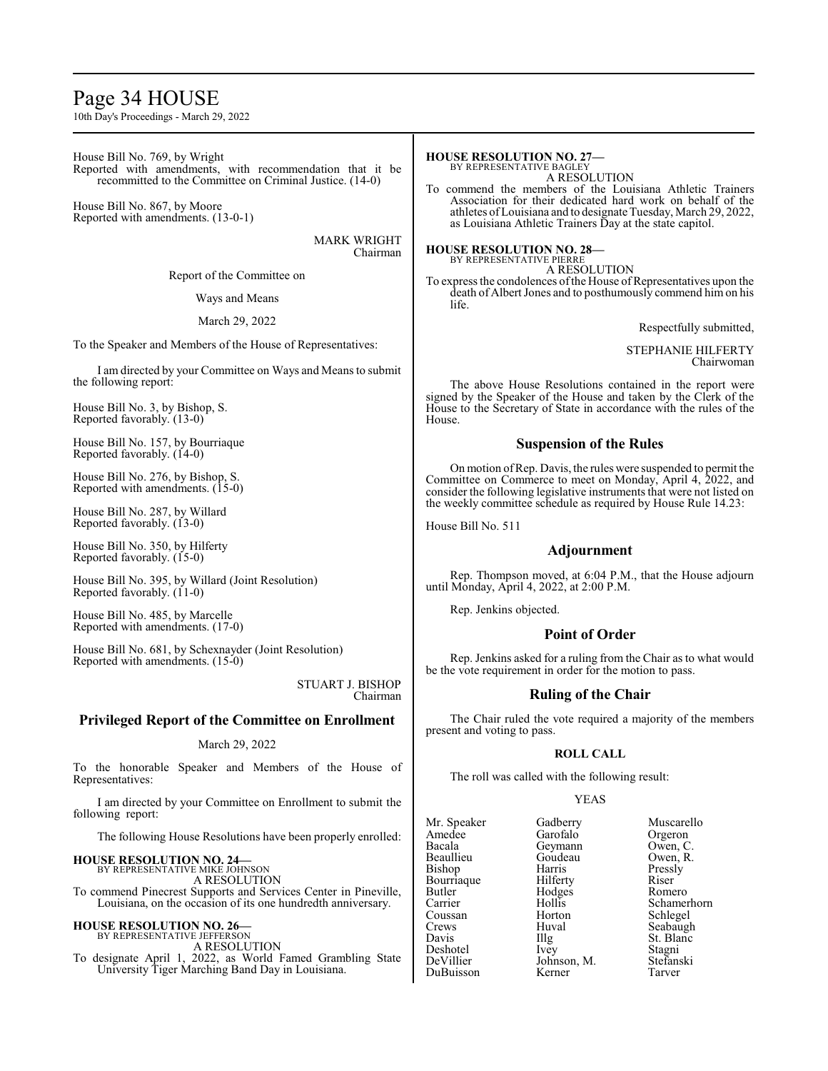### Page 34 HOUSE

10th Day's Proceedings - March 29, 2022

House Bill No. 769, by Wright Reported with amendments, with recommendation that it be recommitted to the Committee on Criminal Justice. (14-0)

House Bill No. 867, by Moore Reported with amendments. (13-0-1)

> MARK WRIGHT Chairman

Report of the Committee on

#### Ways and Means

#### March 29, 2022

To the Speaker and Members of the House of Representatives:

I am directed by your Committee on Ways and Means to submit the following report:

House Bill No. 3, by Bishop, S. Reported favorably. (13-0)

House Bill No. 157, by Bourriaque Reported favorably. (14-0)

House Bill No. 276, by Bishop, S. Reported with amendments. (15-0)

House Bill No. 287, by Willard Reported favorably. (13-0)

House Bill No. 350, by Hilferty Reported favorably. (15-0)

House Bill No. 395, by Willard (Joint Resolution) Reported favorably. (11-0)

House Bill No. 485, by Marcelle Reported with amendments. (17-0)

House Bill No. 681, by Schexnayder (Joint Resolution) Reported with amendments. (15-0)

> STUART J. BISHOP Chairman

#### **Privileged Report of the Committee on Enrollment**

#### March 29, 2022

To the honorable Speaker and Members of the House of Representatives:

I am directed by your Committee on Enrollment to submit the following report:

The following House Resolutions have been properly enrolled:

#### **HOUSE RESOLUTION NO. 24—**

BY REPRESENTATIVE MIKE JOHNSON A RESOLUTION

To commend Pinecrest Supports and Services Center in Pineville, Louisiana, on the occasion of its one hundredth anniversary.

### **HOUSE RESOLUTION NO. 26—** BY REPRESENTATIVE JEFFERSON

A RESOLUTION

To designate April 1, 2022, as World Famed Grambling State University Tiger Marching Band Day in Louisiana.

#### **HOUSE RESOLUTION NO. 27—**

BY REPRESENTATIVE BAGLEY A RESOLUTION

To commend the members of the Louisiana Athletic Trainers Association for their dedicated hard work on behalf of the athletes ofLouisiana and to designate Tuesday, March 29, 2022, as Louisiana Athletic Trainers Day at the state capitol.

#### **HOUSE RESOLUTION NO. 28—** BY REPRESENTATIVE PIERRE

A RESOLUTION To express the condolences of the House of Representatives upon the death of Albert Jones and to posthumously commend him on his life.

Respectfully submitted,

STEPHANIE HILFERTY Chairwoman

The above House Resolutions contained in the report were signed by the Speaker of the House and taken by the Clerk of the House to the Secretary of State in accordance with the rules of the House.

#### **Suspension of the Rules**

On motion ofRep. Davis, the rules were suspended to permit the Committee on Commerce to meet on Monday, April 4, 2022, and consider the following legislative instruments that were not listed on the weekly committee schedule as required by House Rule 14.23:

House Bill No. 511

#### **Adjournment**

Rep. Thompson moved, at 6:04 P.M., that the House adjourn until Monday, April 4, 2022, at 2:00 P.M.

Rep. Jenkins objected.

#### **Point of Order**

Rep. Jenkins asked for a ruling from the Chair as to what would be the vote requirement in order for the motion to pass.

#### **Ruling of the Chair**

The Chair ruled the vote required a majority of the members present and voting to pass.

#### **ROLL CALL**

The roll was called with the following result:

#### YEAS

Mr. Speaker Gadberry Muscarello<br>Amedee Garofalo Orgeron Amedee Garofalo Orgeron<br>Bacala Geymann Owen, C Bacala Geymann<br>Beaullieu Goudeau Beaullieu Goudeau Owen, R.<br>Bishop Harris Pressly Bourriaque Hilferty Riser<br>Butler Hodges Romero Butler Hodges<br>Carrier Hollis Coussan Horton Schlegel Crews Huval Seabaugh<br>
Davis Hlg St. Blanc Deshotel Ivey Stagni<br>
DeVillier Johnson M. Stefanski DuBuisson

Harris Pressly<br>Hilferty Riser Hollis Schamerhorn<br>Horton Schlegel Illg St. Blanc<br>Ivey Stagni Johnson, M. Stefans<br>Kerner Tarver